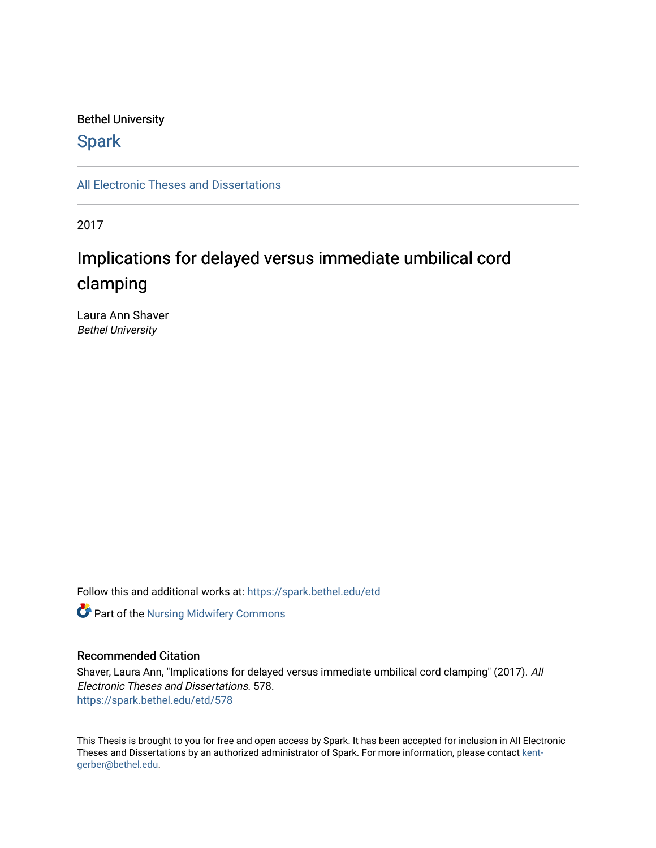# Bethel University

# **Spark**

[All Electronic Theses and Dissertations](https://spark.bethel.edu/etd) 

2017

# Implications for delayed versus immediate umbilical cord clamping

Laura Ann Shaver Bethel University

Follow this and additional works at: [https://spark.bethel.edu/etd](https://spark.bethel.edu/etd?utm_source=spark.bethel.edu%2Fetd%2F578&utm_medium=PDF&utm_campaign=PDFCoverPages)



# Recommended Citation

Shaver, Laura Ann, "Implications for delayed versus immediate umbilical cord clamping" (2017). All Electronic Theses and Dissertations. 578. [https://spark.bethel.edu/etd/578](https://spark.bethel.edu/etd/578?utm_source=spark.bethel.edu%2Fetd%2F578&utm_medium=PDF&utm_campaign=PDFCoverPages)

This Thesis is brought to you for free and open access by Spark. It has been accepted for inclusion in All Electronic Theses and Dissertations by an authorized administrator of Spark. For more information, please contact [kent](mailto:kent-gerber@bethel.edu)[gerber@bethel.edu.](mailto:kent-gerber@bethel.edu)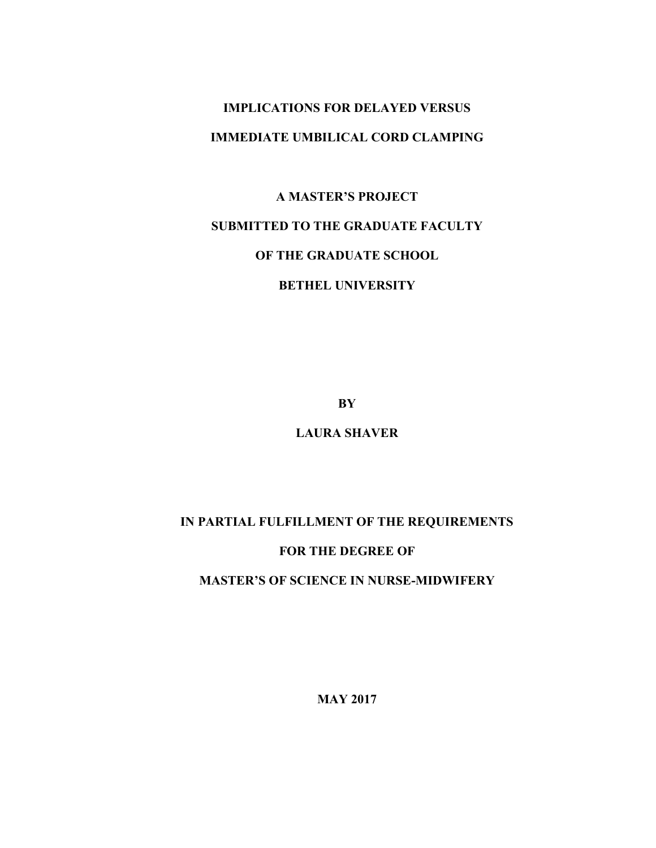# **IMPLICATIONS FOR DELAYED VERSUS IMMEDIATE UMBILICAL CORD CLAMPING**

# **A MASTER'S PROJECT**

# **SUBMITTED TO THE GRADUATE FACULTY**

# **OF THE GRADUATE SCHOOL**

# **BETHEL UNIVERSITY**

**BY**

# **LAURA SHAVER**

# **IN PARTIAL FULFILLMENT OF THE REQUIREMENTS**

# **FOR THE DEGREE OF**

# **MASTER'S OF SCIENCE IN NURSE-MIDWIFERY**

**MAY 2017**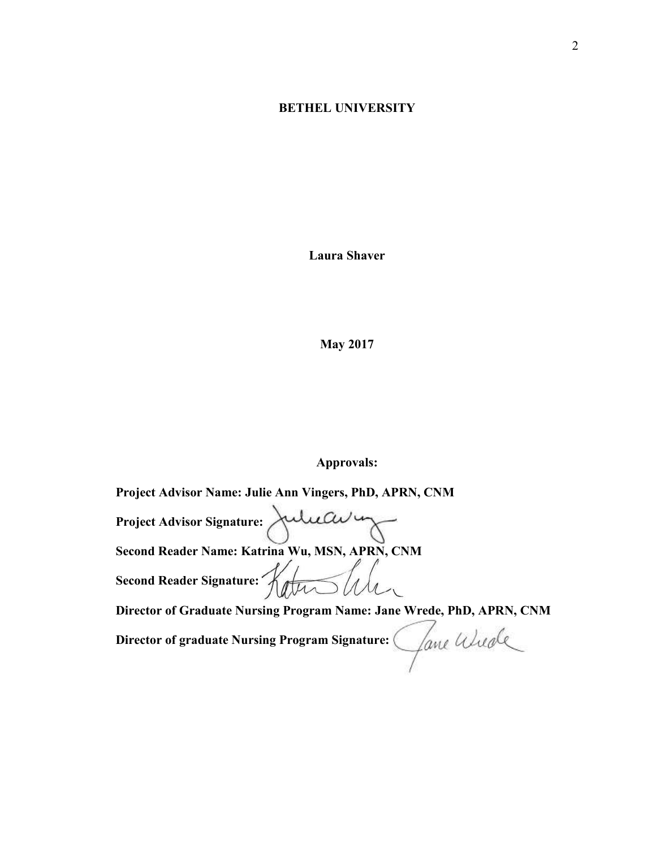# **BETHEL UNIVERSITY**

**Laura Shaver** 

**May 2017**

## **Approvals:**

**Project Advisor Name: Julie Ann Vingers, PhD, APRN, CNM** Project Advisor Signature: Julieau 1 **Second Reader Name: Katrina Wu, MSN, APRN, CNM**<br>Second Reader Signature:  $\sqrt{\sqrt{\mu}}$ Second Reader Signature: Katu **Director of Graduate Nursing Program Name: Jane Wrede, PhD, APRN, CNM Director of graduate Nursing Program Signature:**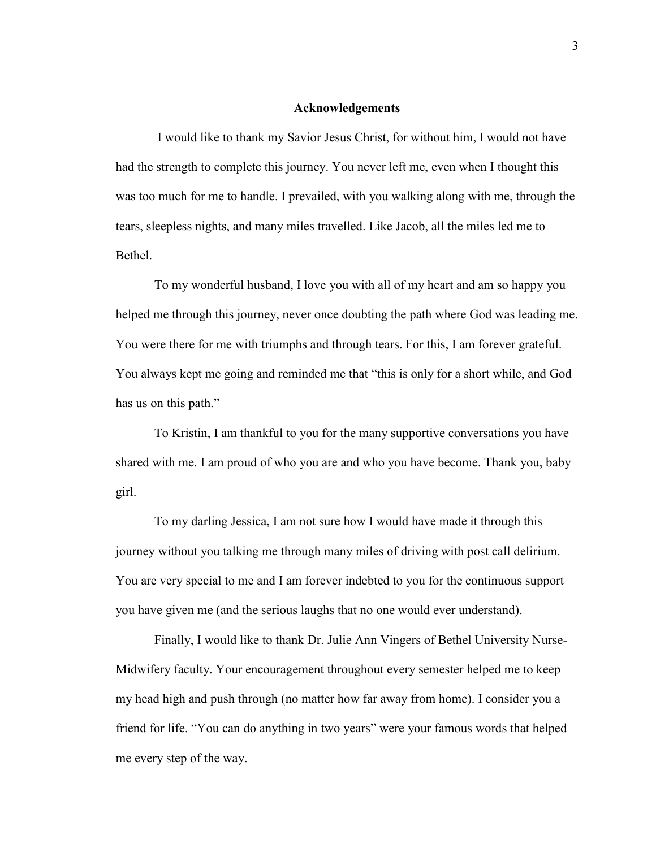#### **Acknowledgements**

I would like to thank my Savior Jesus Christ, for without him, I would not have had the strength to complete this journey. You never left me, even when I thought this was too much for me to handle. I prevailed, with you walking along with me, through the tears, sleepless nights, and many miles travelled. Like Jacob, all the miles led me to **Bethel** 

To my wonderful husband, I love you with all of my heart and am so happy you helped me through this journey, never once doubting the path where God was leading me. You were there for me with triumphs and through tears. For this, I am forever grateful. You always kept me going and reminded me that "this is only for a short while, and God has us on this path."

To Kristin, I am thankful to you for the many supportive conversations you have shared with me. I am proud of who you are and who you have become. Thank you, baby girl.

To my darling Jessica, I am not sure how I would have made it through this journey without you talking me through many miles of driving with post call delirium. You are very special to me and I am forever indebted to you for the continuous support you have given me (and the serious laughs that no one would ever understand).

Finally, I would like to thank Dr. Julie Ann Vingers of Bethel University Nurse-Midwifery faculty. Your encouragement throughout every semester helped me to keep my head high and push through (no matter how far away from home). I consider you a friend for life. "You can do anything in two years" were your famous words that helped me every step of the way.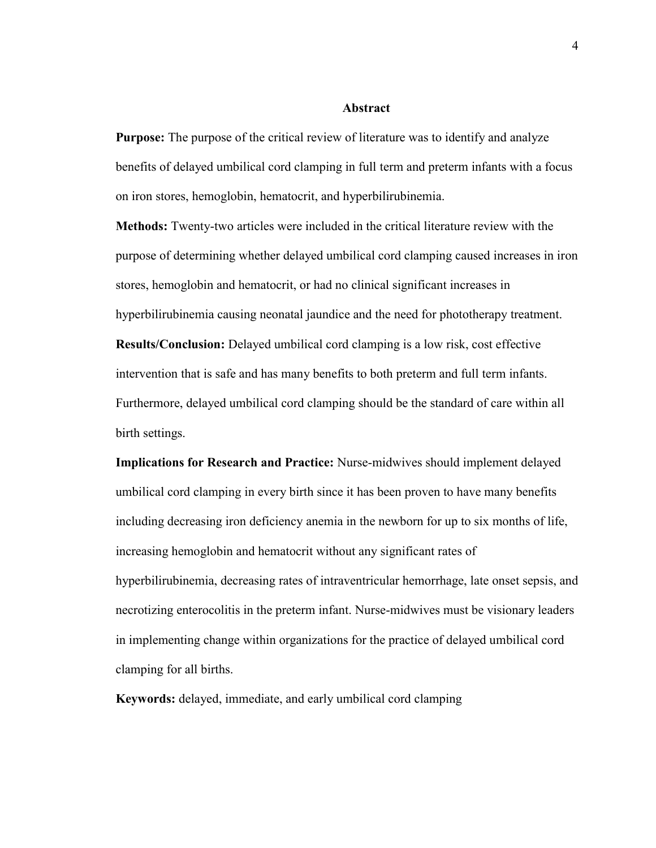#### **Abstract**

**Purpose:** The purpose of the critical review of literature was to identify and analyze benefits of delayed umbilical cord clamping in full term and preterm infants with a focus on iron stores, hemoglobin, hematocrit, and hyperbilirubinemia.

**Methods:** Twenty-two articles were included in the critical literature review with the purpose of determining whether delayed umbilical cord clamping caused increases in iron stores, hemoglobin and hematocrit, or had no clinical significant increases in hyperbilirubinemia causing neonatal jaundice and the need for phototherapy treatment. **Results/Conclusion:** Delayed umbilical cord clamping is a low risk, cost effective intervention that is safe and has many benefits to both preterm and full term infants. Furthermore, delayed umbilical cord clamping should be the standard of care within all birth settings.

**Implications for Research and Practice:** Nurse-midwives should implement delayed umbilical cord clamping in every birth since it has been proven to have many benefits including decreasing iron deficiency anemia in the newborn for up to six months of life, increasing hemoglobin and hematocrit without any significant rates of hyperbilirubinemia, decreasing rates of intraventricular hemorrhage, late onset sepsis, and necrotizing enterocolitis in the preterm infant. Nurse-midwives must be visionary leaders in implementing change within organizations for the practice of delayed umbilical cord clamping for all births.

**Keywords:** delayed, immediate, and early umbilical cord clamping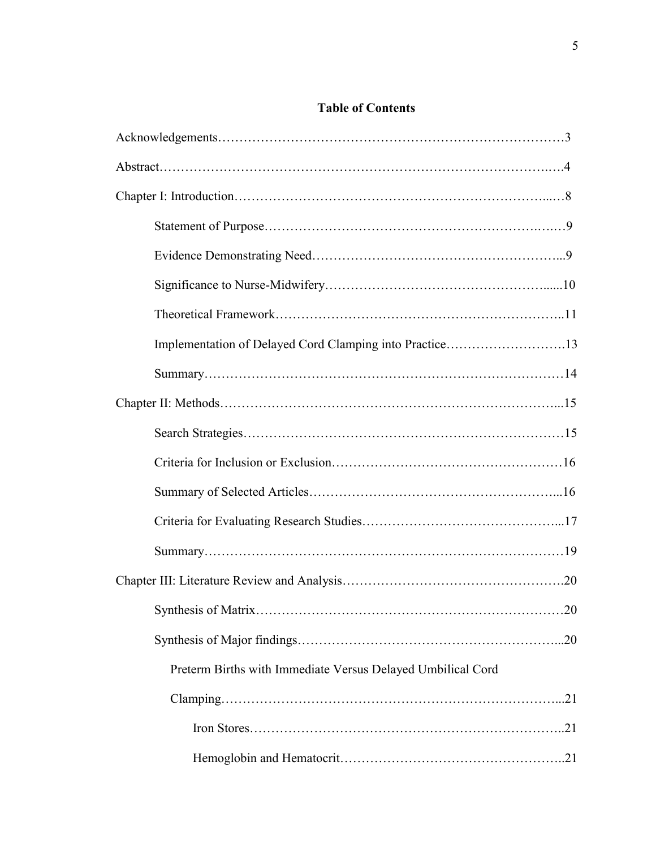# **Table of Contents**

| 20                                                          |
|-------------------------------------------------------------|
|                                                             |
| Preterm Births with Immediate Versus Delayed Umbilical Cord |
|                                                             |
|                                                             |
|                                                             |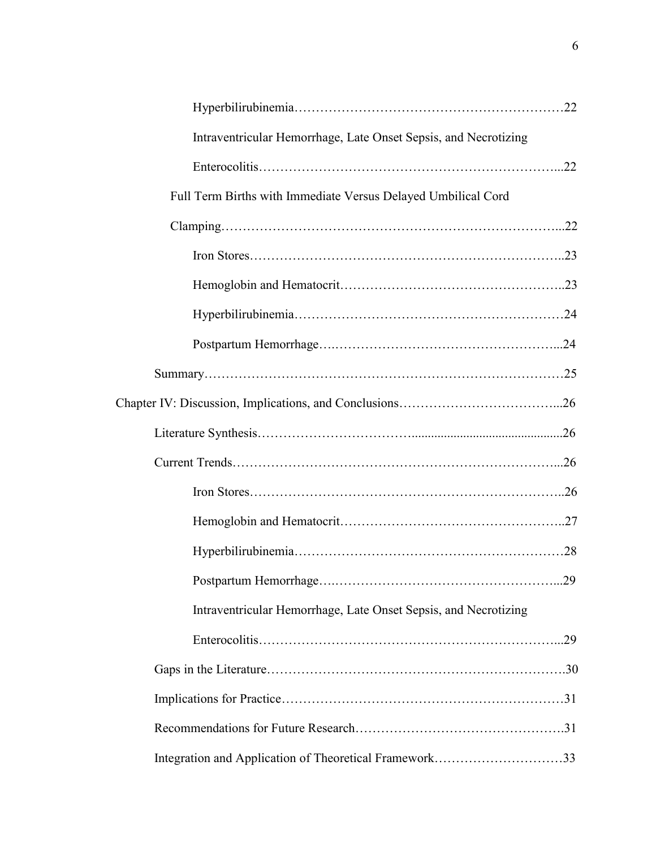| Intraventricular Hemorrhage, Late Onset Sepsis, and Necrotizing |  |
|-----------------------------------------------------------------|--|
|                                                                 |  |
| Full Term Births with Immediate Versus Delayed Umbilical Cord   |  |
|                                                                 |  |
|                                                                 |  |
|                                                                 |  |
|                                                                 |  |
|                                                                 |  |
|                                                                 |  |
|                                                                 |  |
|                                                                 |  |
|                                                                 |  |
|                                                                 |  |
|                                                                 |  |
|                                                                 |  |
|                                                                 |  |
| Intraventricular Hemorrhage, Late Onset Sepsis, and Necrotizing |  |
|                                                                 |  |
|                                                                 |  |
|                                                                 |  |
|                                                                 |  |
| Integration and Application of Theoretical Framework33          |  |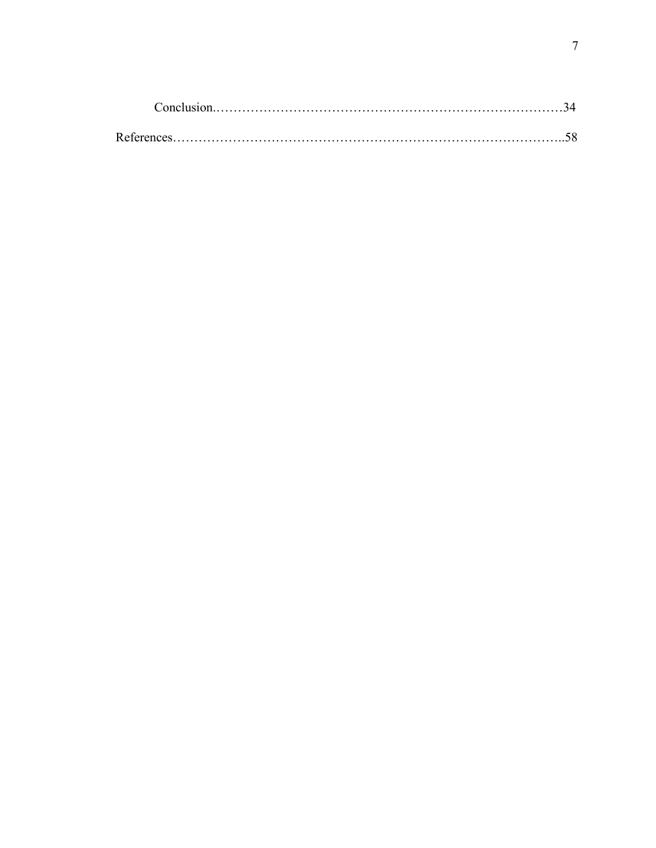| References |  |
|------------|--|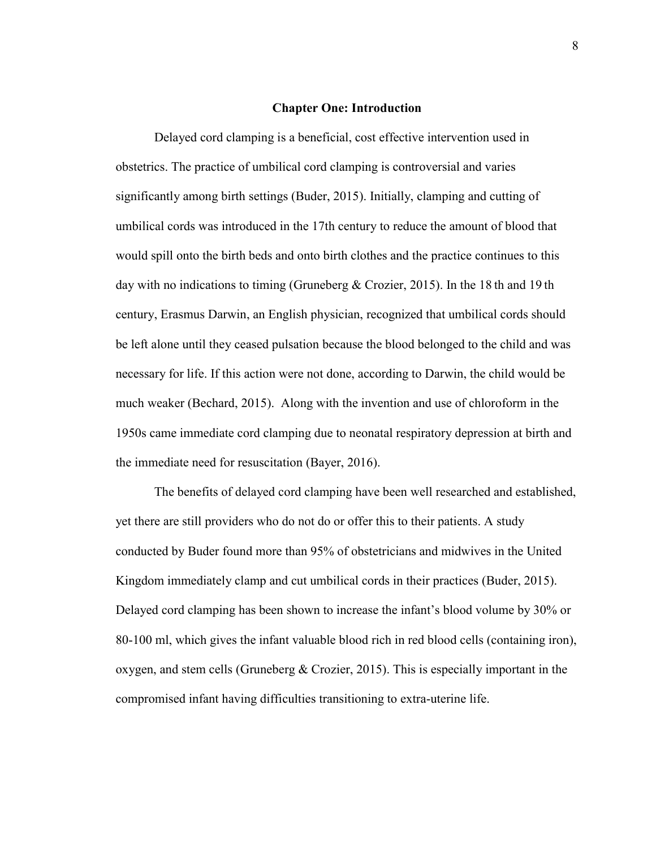#### **Chapter One: Introduction**

Delayed cord clamping is a beneficial, cost effective intervention used in obstetrics. The practice of umbilical cord clamping is controversial and varies significantly among birth settings (Buder, 2015). Initially, clamping and cutting of umbilical cords was introduced in the 17th century to reduce the amount of blood that would spill onto the birth beds and onto birth clothes and the practice continues to this day with no indications to timing (Gruneberg & Crozier, 2015). In the 18 th and 19 th century, Erasmus Darwin, an English physician, recognized that umbilical cords should be left alone until they ceased pulsation because the blood belonged to the child and was necessary for life. If this action were not done, according to Darwin, the child would be much weaker (Bechard, 2015). Along with the invention and use of chloroform in the 1950s came immediate cord clamping due to neonatal respiratory depression at birth and the immediate need for resuscitation (Bayer, 2016).

The benefits of delayed cord clamping have been well researched and established, yet there are still providers who do not do or offer this to their patients. A study conducted by Buder found more than 95% of obstetricians and midwives in the United Kingdom immediately clamp and cut umbilical cords in their practices (Buder, 2015). Delayed cord clamping has been shown to increase the infant's blood volume by 30% or 80-100 ml, which gives the infant valuable blood rich in red blood cells (containing iron), oxygen, and stem cells (Gruneberg  $& Crozier, 2015)$ . This is especially important in the compromised infant having difficulties transitioning to extra-uterine life.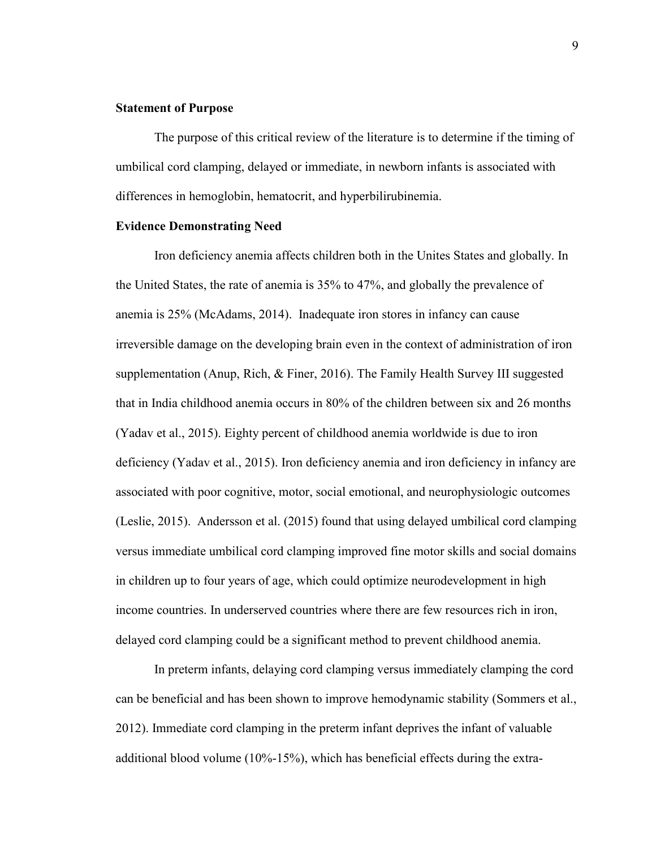## **Statement of Purpose**

The purpose of this critical review of the literature is to determine if the timing of umbilical cord clamping, delayed or immediate, in newborn infants is associated with differences in hemoglobin, hematocrit, and hyperbilirubinemia.

#### **Evidence Demonstrating Need**

Iron deficiency anemia affects children both in the Unites States and globally. In the United States, the rate of anemia is 35% to 47%, and globally the prevalence of anemia is 25% (McAdams, 2014). Inadequate iron stores in infancy can cause irreversible damage on the developing brain even in the context of administration of iron supplementation (Anup, Rich, & Finer, 2016). The Family Health Survey III suggested that in India childhood anemia occurs in 80% of the children between six and 26 months (Yadav et al., 2015). Eighty percent of childhood anemia worldwide is due to iron deficiency (Yadav et al., 2015). Iron deficiency anemia and iron deficiency in infancy are associated with poor cognitive, motor, social emotional, and neurophysiologic outcomes (Leslie, 2015). Andersson et al. (2015) found that using delayed umbilical cord clamping versus immediate umbilical cord clamping improved fine motor skills and social domains in children up to four years of age, which could optimize neurodevelopment in high income countries. In underserved countries where there are few resources rich in iron, delayed cord clamping could be a significant method to prevent childhood anemia.

In preterm infants, delaying cord clamping versus immediately clamping the cord can be beneficial and has been shown to improve hemodynamic stability (Sommers et al., 2012). Immediate cord clamping in the preterm infant deprives the infant of valuable additional blood volume (10%-15%), which has beneficial effects during the extra-

9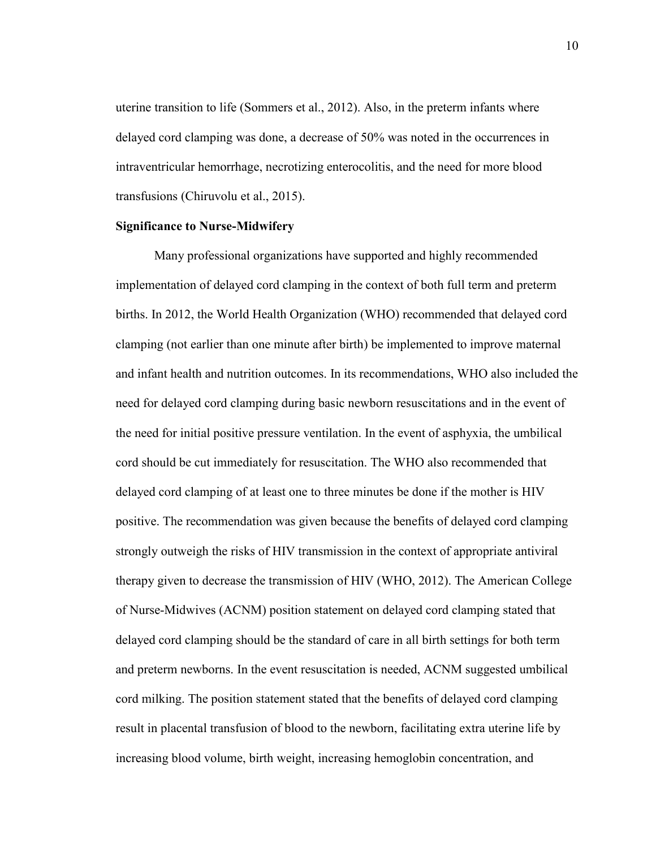uterine transition to life (Sommers et al., 2012). Also, in the preterm infants where delayed cord clamping was done, a decrease of 50% was noted in the occurrences in intraventricular hemorrhage, necrotizing enterocolitis, and the need for more blood transfusions (Chiruvolu et al., 2015).

#### **Significance to Nurse-Midwifery**

Many professional organizations have supported and highly recommended implementation of delayed cord clamping in the context of both full term and preterm births. In 2012, the World Health Organization (WHO) recommended that delayed cord clamping (not earlier than one minute after birth) be implemented to improve maternal and infant health and nutrition outcomes. In its recommendations, WHO also included the need for delayed cord clamping during basic newborn resuscitations and in the event of the need for initial positive pressure ventilation. In the event of asphyxia, the umbilical cord should be cut immediately for resuscitation. The WHO also recommended that delayed cord clamping of at least one to three minutes be done if the mother is HIV positive. The recommendation was given because the benefits of delayed cord clamping strongly outweigh the risks of HIV transmission in the context of appropriate antiviral therapy given to decrease the transmission of HIV (WHO, 2012). The American College of Nurse-Midwives (ACNM) position statement on delayed cord clamping stated that delayed cord clamping should be the standard of care in all birth settings for both term and preterm newborns. In the event resuscitation is needed, ACNM suggested umbilical cord milking. The position statement stated that the benefits of delayed cord clamping result in placental transfusion of blood to the newborn, facilitating extra uterine life by increasing blood volume, birth weight, increasing hemoglobin concentration, and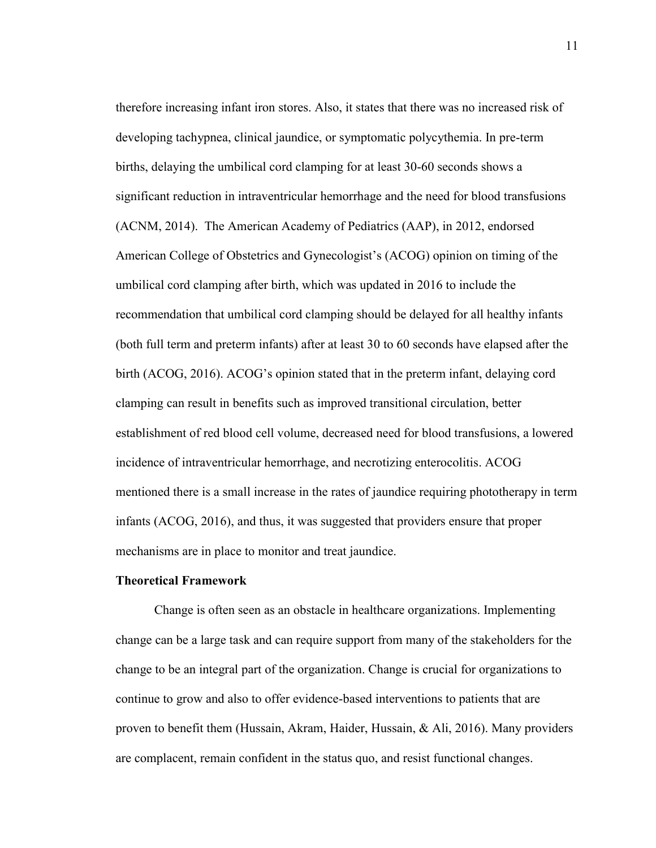therefore increasing infant iron stores. Also, it states that there was no increased risk of developing tachypnea, clinical jaundice, or symptomatic polycythemia. In pre-term births, delaying the umbilical cord clamping for at least 30-60 seconds shows a significant reduction in intraventricular hemorrhage and the need for blood transfusions (ACNM, 2014). The American Academy of Pediatrics (AAP), in 2012, endorsed American College of Obstetrics and Gynecologist's (ACOG) opinion on timing of the umbilical cord clamping after birth, which was updated in 2016 to include the recommendation that umbilical cord clamping should be delayed for all healthy infants (both full term and preterm infants) after at least 30 to 60 seconds have elapsed after the birth (ACOG, 2016). ACOG's opinion stated that in the preterm infant, delaying cord clamping can result in benefits such as improved transitional circulation, better establishment of red blood cell volume, decreased need for blood transfusions, a lowered incidence of intraventricular hemorrhage, and necrotizing enterocolitis. ACOG mentioned there is a small increase in the rates of jaundice requiring phototherapy in term infants (ACOG, 2016), and thus, it was suggested that providers ensure that proper mechanisms are in place to monitor and treat jaundice.

#### **Theoretical Framework**

Change is often seen as an obstacle in healthcare organizations. Implementing change can be a large task and can require support from many of the stakeholders for the change to be an integral part of the organization. Change is crucial for organizations to continue to grow and also to offer evidence-based interventions to patients that are proven to benefit them (Hussain, Akram, Haider, Hussain, & Ali, 2016). Many providers are complacent, remain confident in the status quo, and resist functional changes.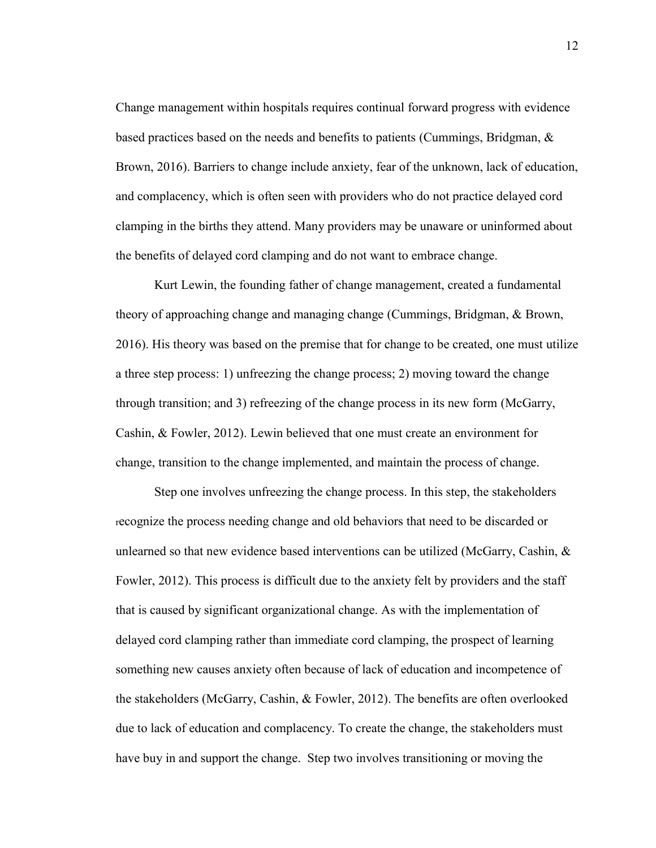Change management within hospitals requires continual forward progress with evidence based practices based on the needs and benefits to patients (Cummings, Bridgman, & Brown, 2016). Barriers to change include anxiety, fear of the unknown, lack of education, and complacency, which is often seen with providers who do not practice delayed cord clamping in the births they attend. Many providers may be unaware or uninformed about the benefits of delayed cord clamping and do not want to embrace change.

Kurt Lewin, the founding father of change management, created a fundamental theory of approaching change and managing change (Cummings, Bridgman, & Brown, 2016). His theory was based on the premise that for change to be created, one must utilize a three step process: 1) unfreezing the change process; 2) moving toward the change through transition; and 3) refreezing of the change process in its new form (McGarry, Cashin, & Fowler, 2012). Lewin believed that one must create an environment for change, transition to the change implemented, and maintain the process of change.

Step one involves unfreezing the change process. In this step, the stakeholders recognize the process needing change and old behaviors that need to be discarded or unlearned so that new evidence based interventions can be utilized (McGarry, Cashin,  $\&$ Fowler, 2012). This process is difficult due to the anxiety felt by providers and the staff that is caused by significant organizational change. As with the implementation of delayed cord clamping rather than immediate cord clamping, the prospect of learning something new causes anxiety often because of lack of education and incompetence of the stakeholders (McGarry, Cashin, & Fowler, 2012). The benefits are often overlooked due to lack of education and complacency. To create the change, the stakeholders must have buy in and support the change. Step two involves transitioning or moving the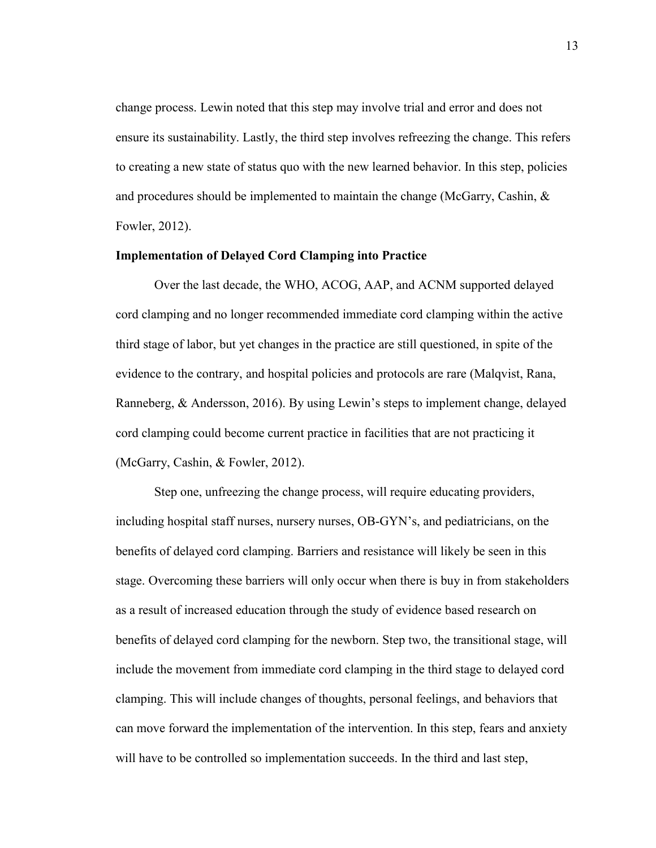change process. Lewin noted that this step may involve trial and error and does not ensure its sustainability. Lastly, the third step involves refreezing the change. This refers to creating a new state of status quo with the new learned behavior. In this step, policies and procedures should be implemented to maintain the change (McGarry, Cashin,  $\&$ Fowler, 2012).

# **Implementation of Delayed Cord Clamping into Practice**

Over the last decade, the WHO, ACOG, AAP, and ACNM supported delayed cord clamping and no longer recommended immediate cord clamping within the active third stage of labor, but yet changes in the practice are still questioned, in spite of the evidence to the contrary, and hospital policies and protocols are rare (Malqvist, Rana, Ranneberg, & Andersson, 2016). By using Lewin's steps to implement change, delayed cord clamping could become current practice in facilities that are not practicing it (McGarry, Cashin, & Fowler, 2012).

Step one, unfreezing the change process, will require educating providers, including hospital staff nurses, nursery nurses, OB-GYN's, and pediatricians, on the benefits of delayed cord clamping. Barriers and resistance will likely be seen in this stage. Overcoming these barriers will only occur when there is buy in from stakeholders as a result of increased education through the study of evidence based research on benefits of delayed cord clamping for the newborn. Step two, the transitional stage, will include the movement from immediate cord clamping in the third stage to delayed cord clamping. This will include changes of thoughts, personal feelings, and behaviors that can move forward the implementation of the intervention. In this step, fears and anxiety will have to be controlled so implementation succeeds. In the third and last step,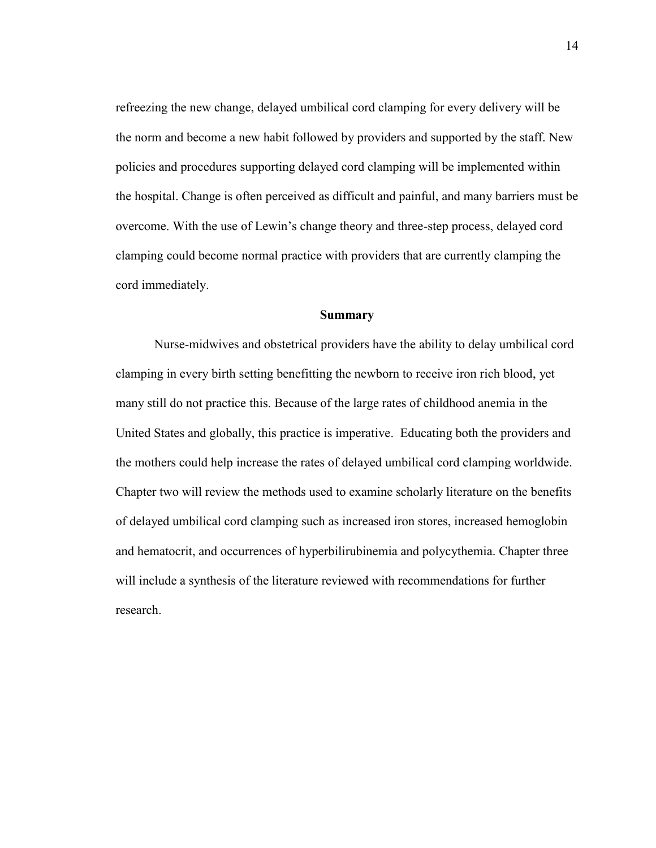refreezing the new change, delayed umbilical cord clamping for every delivery will be the norm and become a new habit followed by providers and supported by the staff. New policies and procedures supporting delayed cord clamping will be implemented within the hospital. Change is often perceived as difficult and painful, and many barriers must be overcome. With the use of Lewin's change theory and three-step process, delayed cord clamping could become normal practice with providers that are currently clamping the cord immediately.

#### **Summary**

Nurse-midwives and obstetrical providers have the ability to delay umbilical cord clamping in every birth setting benefitting the newborn to receive iron rich blood, yet many still do not practice this. Because of the large rates of childhood anemia in the United States and globally, this practice is imperative. Educating both the providers and the mothers could help increase the rates of delayed umbilical cord clamping worldwide. Chapter two will review the methods used to examine scholarly literature on the benefits of delayed umbilical cord clamping such as increased iron stores, increased hemoglobin and hematocrit, and occurrences of hyperbilirubinemia and polycythemia. Chapter three will include a synthesis of the literature reviewed with recommendations for further research.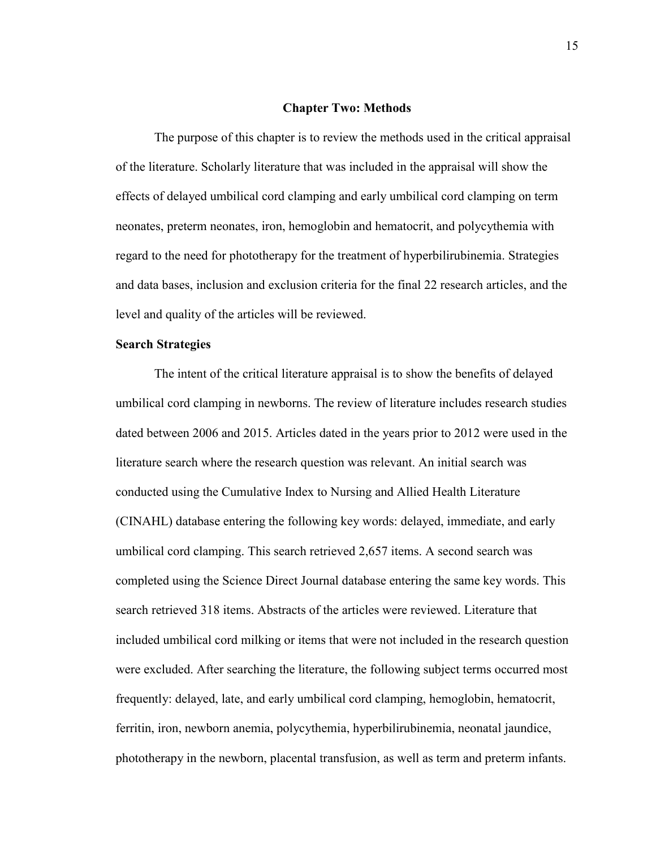#### **Chapter Two: Methods**

The purpose of this chapter is to review the methods used in the critical appraisal of the literature. Scholarly literature that was included in the appraisal will show the effects of delayed umbilical cord clamping and early umbilical cord clamping on term neonates, preterm neonates, iron, hemoglobin and hematocrit, and polycythemia with regard to the need for phototherapy for the treatment of hyperbilirubinemia. Strategies and data bases, inclusion and exclusion criteria for the final 22 research articles, and the level and quality of the articles will be reviewed.

## **Search Strategies**

The intent of the critical literature appraisal is to show the benefits of delayed umbilical cord clamping in newborns. The review of literature includes research studies dated between 2006 and 2015. Articles dated in the years prior to 2012 were used in the literature search where the research question was relevant. An initial search was conducted using the Cumulative Index to Nursing and Allied Health Literature (CINAHL) database entering the following key words: delayed, immediate, and early umbilical cord clamping. This search retrieved 2,657 items. A second search was completed using the Science Direct Journal database entering the same key words. This search retrieved 318 items. Abstracts of the articles were reviewed. Literature that included umbilical cord milking or items that were not included in the research question were excluded. After searching the literature, the following subject terms occurred most frequently: delayed, late, and early umbilical cord clamping, hemoglobin, hematocrit, ferritin, iron, newborn anemia, polycythemia, hyperbilirubinemia, neonatal jaundice, phototherapy in the newborn, placental transfusion, as well as term and preterm infants.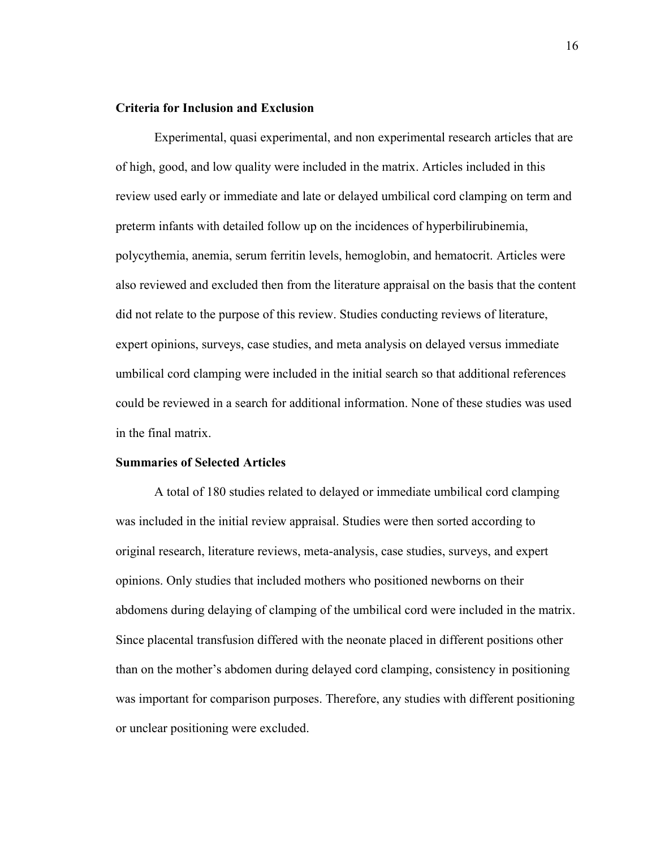## **Criteria for Inclusion and Exclusion**

Experimental, quasi experimental, and non experimental research articles that are of high, good, and low quality were included in the matrix. Articles included in this review used early or immediate and late or delayed umbilical cord clamping on term and preterm infants with detailed follow up on the incidences of hyperbilirubinemia, polycythemia, anemia, serum ferritin levels, hemoglobin, and hematocrit. Articles were also reviewed and excluded then from the literature appraisal on the basis that the content did not relate to the purpose of this review. Studies conducting reviews of literature, expert opinions, surveys, case studies, and meta analysis on delayed versus immediate umbilical cord clamping were included in the initial search so that additional references could be reviewed in a search for additional information. None of these studies was used in the final matrix.

#### **Summaries of Selected Articles**

A total of 180 studies related to delayed or immediate umbilical cord clamping was included in the initial review appraisal. Studies were then sorted according to original research, literature reviews, meta-analysis, case studies, surveys, and expert opinions. Only studies that included mothers who positioned newborns on their abdomens during delaying of clamping of the umbilical cord were included in the matrix. Since placental transfusion differed with the neonate placed in different positions other than on the mother's abdomen during delayed cord clamping, consistency in positioning was important for comparison purposes. Therefore, any studies with different positioning or unclear positioning were excluded.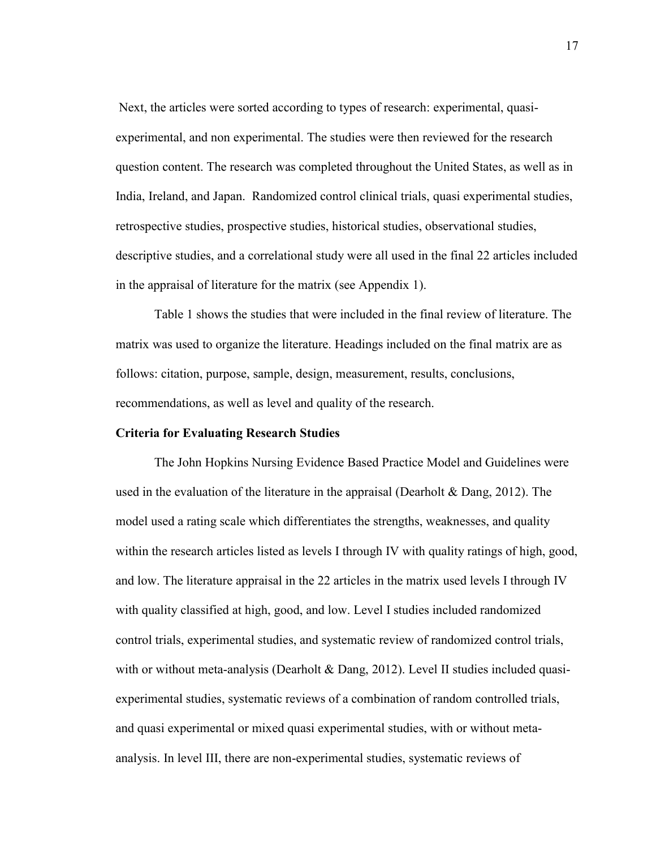Next, the articles were sorted according to types of research: experimental, quasiexperimental, and non experimental. The studies were then reviewed for the research question content. The research was completed throughout the United States, as well as in India, Ireland, and Japan. Randomized control clinical trials, quasi experimental studies, retrospective studies, prospective studies, historical studies, observational studies, descriptive studies, and a correlational study were all used in the final 22 articles included in the appraisal of literature for the matrix (see Appendix 1).

Table 1 shows the studies that were included in the final review of literature. The matrix was used to organize the literature. Headings included on the final matrix are as follows: citation, purpose, sample, design, measurement, results, conclusions, recommendations, as well as level and quality of the research.

#### **Criteria for Evaluating Research Studies**

The John Hopkins Nursing Evidence Based Practice Model and Guidelines were used in the evaluation of the literature in the appraisal (Dearholt  $\&$  Dang, 2012). The model used a rating scale which differentiates the strengths, weaknesses, and quality within the research articles listed as levels I through IV with quality ratings of high, good, and low. The literature appraisal in the 22 articles in the matrix used levels I through IV with quality classified at high, good, and low. Level I studies included randomized control trials, experimental studies, and systematic review of randomized control trials, with or without meta-analysis (Dearholt  $&$  Dang, 2012). Level II studies included quasiexperimental studies, systematic reviews of a combination of random controlled trials, and quasi experimental or mixed quasi experimental studies, with or without metaanalysis. In level III, there are non-experimental studies, systematic reviews of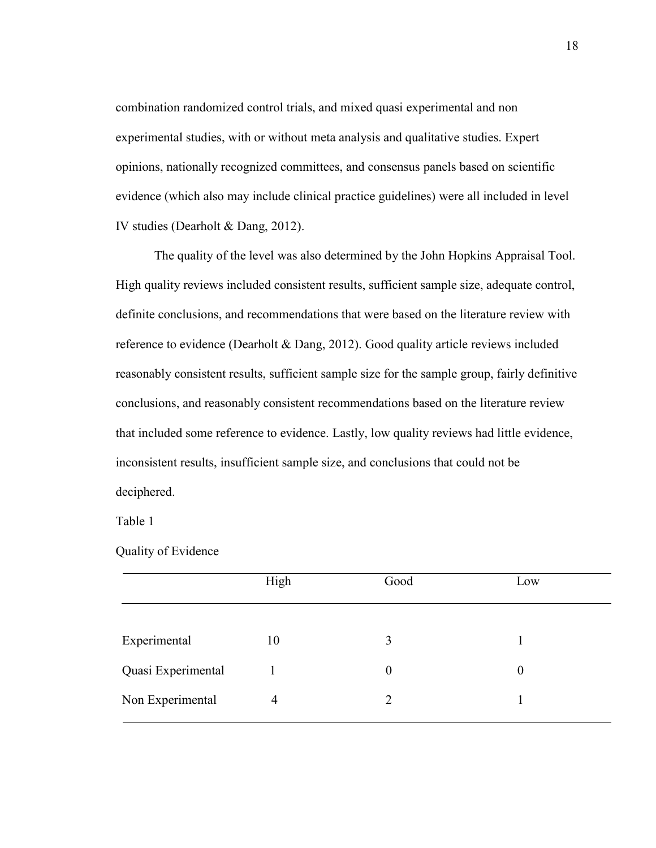combination randomized control trials, and mixed quasi experimental and non experimental studies, with or without meta analysis and qualitative studies. Expert opinions, nationally recognized committees, and consensus panels based on scientific evidence (which also may include clinical practice guidelines) were all included in level IV studies (Dearholt & Dang, 2012).

The quality of the level was also determined by the John Hopkins Appraisal Tool. High quality reviews included consistent results, sufficient sample size, adequate control, definite conclusions, and recommendations that were based on the literature review with reference to evidence (Dearholt & Dang, 2012). Good quality article reviews included reasonably consistent results, sufficient sample size for the sample group, fairly definitive conclusions, and reasonably consistent recommendations based on the literature review that included some reference to evidence. Lastly, low quality reviews had little evidence, inconsistent results, insufficient sample size, and conclusions that could not be deciphered.

Table 1

Quality of Evidence

|                    | High | Good           | Low              |
|--------------------|------|----------------|------------------|
| Experimental       | 10   | 3              |                  |
| Quasi Experimental |      | $\overline{0}$ | $\boldsymbol{0}$ |
| Non Experimental   | 4    | $\overline{2}$ |                  |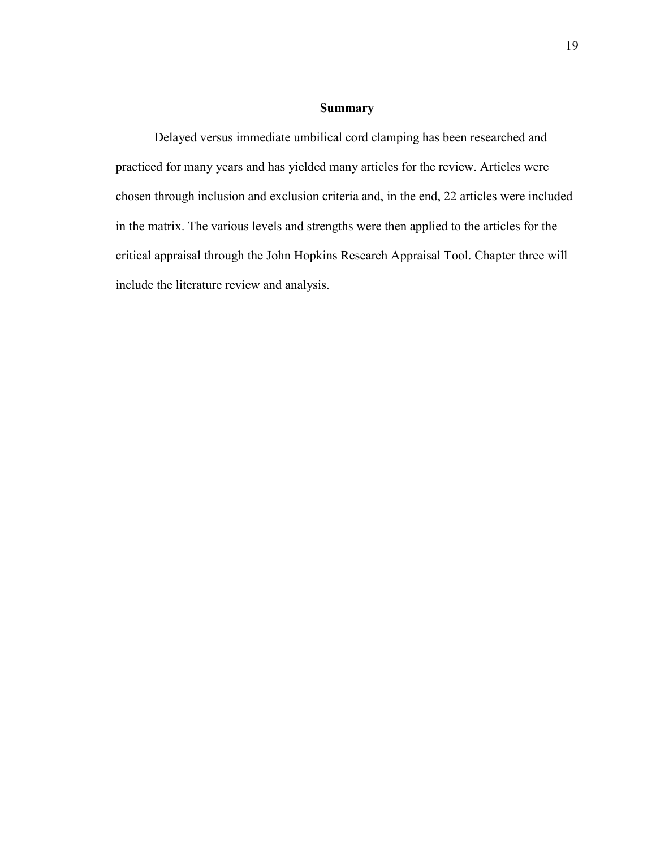# **Summary**

Delayed versus immediate umbilical cord clamping has been researched and practiced for many years and has yielded many articles for the review. Articles were chosen through inclusion and exclusion criteria and, in the end, 22 articles were included in the matrix. The various levels and strengths were then applied to the articles for the critical appraisal through the John Hopkins Research Appraisal Tool. Chapter three will include the literature review and analysis.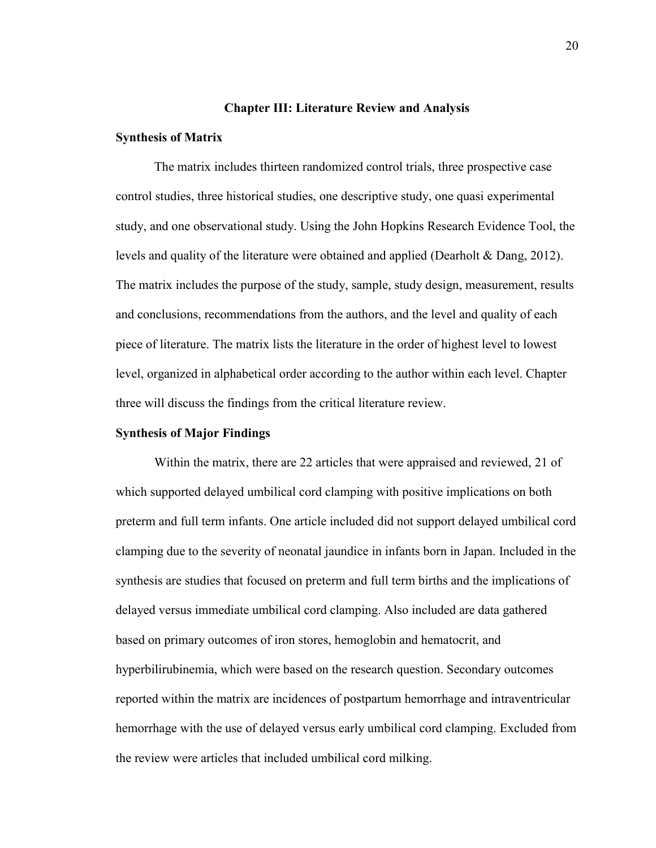#### **Chapter III: Literature Review and Analysis**

#### **Synthesis of Matrix**

The matrix includes thirteen randomized control trials, three prospective case control studies, three historical studies, one descriptive study, one quasi experimental study, and one observational study. Using the John Hopkins Research Evidence Tool, the levels and quality of the literature were obtained and applied (Dearholt & Dang, 2012). The matrix includes the purpose of the study, sample, study design, measurement, results and conclusions, recommendations from the authors, and the level and quality of each piece of literature. The matrix lists the literature in the order of highest level to lowest level, organized in alphabetical order according to the author within each level. Chapter three will discuss the findings from the critical literature review.

#### **Synthesis of Major Findings**

Within the matrix, there are 22 articles that were appraised and reviewed, 21 of which supported delayed umbilical cord clamping with positive implications on both preterm and full term infants. One article included did not support delayed umbilical cord clamping due to the severity of neonatal jaundice in infants born in Japan. Included in the synthesis are studies that focused on preterm and full term births and the implications of delayed versus immediate umbilical cord clamping. Also included are data gathered based on primary outcomes of iron stores, hemoglobin and hematocrit, and hyperbilirubinemia, which were based on the research question. Secondary outcomes reported within the matrix are incidences of postpartum hemorrhage and intraventricular hemorrhage with the use of delayed versus early umbilical cord clamping. Excluded from the review were articles that included umbilical cord milking.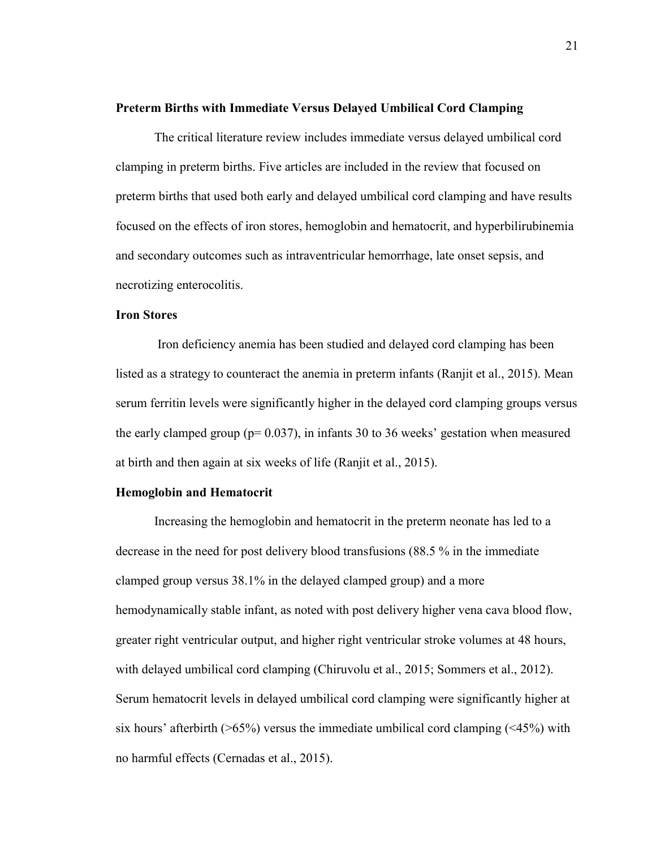#### **Preterm Births with Immediate Versus Delayed Umbilical Cord Clamping**

The critical literature review includes immediate versus delayed umbilical cord clamping in preterm births. Five articles are included in the review that focused on preterm births that used both early and delayed umbilical cord clamping and have results focused on the effects of iron stores, hemoglobin and hematocrit, and hyperbilirubinemia and secondary outcomes such as intraventricular hemorrhage, late onset sepsis, and necrotizing enterocolitis.

# **Iron Stores**

Iron deficiency anemia has been studied and delayed cord clamping has been listed as a strategy to counteract the anemia in preterm infants (Ranjit et al., 2015). Mean serum ferritin levels were significantly higher in the delayed cord clamping groups versus the early clamped group ( $p= 0.037$ ), in infants 30 to 36 weeks' gestation when measured at birth and then again at six weeks of life (Ranjit et al., 2015).

## **Hemoglobin and Hematocrit**

Increasing the hemoglobin and hematocrit in the preterm neonate has led to a decrease in the need for post delivery blood transfusions (88.5 % in the immediate clamped group versus 38.1% in the delayed clamped group) and a more hemodynamically stable infant, as noted with post delivery higher vena cava blood flow, greater right ventricular output, and higher right ventricular stroke volumes at 48 hours, with delayed umbilical cord clamping (Chiruvolu et al., 2015; Sommers et al., 2012). Serum hematocrit levels in delayed umbilical cord clamping were significantly higher at six hours' afterbirth ( $>65\%$ ) versus the immediate umbilical cord clamping ( $<45\%$ ) with no harmful effects (Cernadas et al., 2015).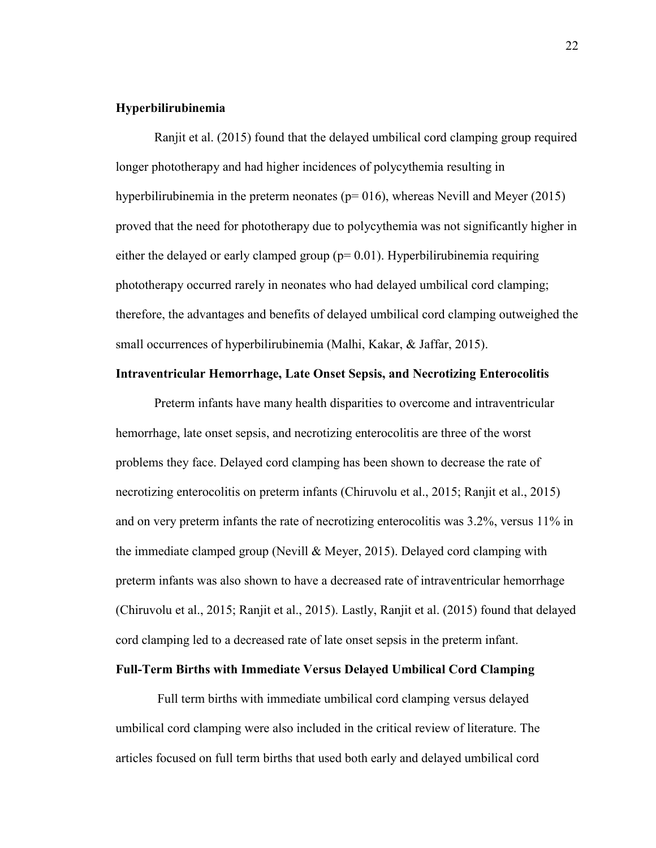## **Hyperbilirubinemia**

Ranjit et al. (2015) found that the delayed umbilical cord clamping group required longer phototherapy and had higher incidences of polycythemia resulting in hyperbilirubinemia in the preterm neonates ( $p=016$ ), whereas Nevill and Meyer (2015) proved that the need for phototherapy due to polycythemia was not significantly higher in either the delayed or early clamped group ( $p= 0.01$ ). Hyperbilirubinemia requiring phototherapy occurred rarely in neonates who had delayed umbilical cord clamping; therefore, the advantages and benefits of delayed umbilical cord clamping outweighed the small occurrences of hyperbilirubinemia (Malhi, Kakar, & Jaffar, 2015).

### **Intraventricular Hemorrhage, Late Onset Sepsis, and Necrotizing Enterocolitis**

Preterm infants have many health disparities to overcome and intraventricular hemorrhage, late onset sepsis, and necrotizing enterocolitis are three of the worst problems they face. Delayed cord clamping has been shown to decrease the rate of necrotizing enterocolitis on preterm infants (Chiruvolu et al., 2015; Ranjit et al., 2015) and on very preterm infants the rate of necrotizing enterocolitis was 3.2%, versus 11% in the immediate clamped group (Nevill & Meyer, 2015). Delayed cord clamping with preterm infants was also shown to have a decreased rate of intraventricular hemorrhage (Chiruvolu et al., 2015; Ranjit et al., 2015). Lastly, Ranjit et al. (2015) found that delayed cord clamping led to a decreased rate of late onset sepsis in the preterm infant.

# **Full-Term Births with Immediate Versus Delayed Umbilical Cord Clamping**

Full term births with immediate umbilical cord clamping versus delayed umbilical cord clamping were also included in the critical review of literature. The articles focused on full term births that used both early and delayed umbilical cord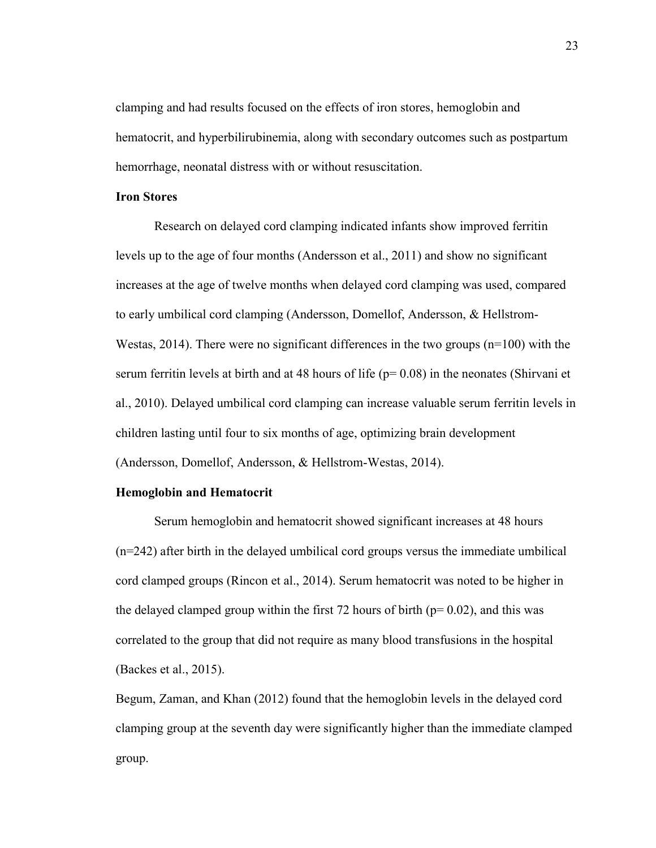clamping and had results focused on the effects of iron stores, hemoglobin and hematocrit, and hyperbilirubinemia, along with secondary outcomes such as postpartum hemorrhage, neonatal distress with or without resuscitation.

# **Iron Stores**

Research on delayed cord clamping indicated infants show improved ferritin levels up to the age of four months (Andersson et al., 2011) and show no significant increases at the age of twelve months when delayed cord clamping was used, compared to early umbilical cord clamping (Andersson, Domellof, Andersson, & Hellstrom-Westas, 2014). There were no significant differences in the two groups  $(n=100)$  with the serum ferritin levels at birth and at 48 hours of life ( $p=0.08$ ) in the neonates (Shirvani et al., 2010). Delayed umbilical cord clamping can increase valuable serum ferritin levels in children lasting until four to six months of age, optimizing brain development (Andersson, Domellof, Andersson, & Hellstrom-Westas, 2014).

## **Hemoglobin and Hematocrit**

Serum hemoglobin and hematocrit showed significant increases at 48 hours (n=242) after birth in the delayed umbilical cord groups versus the immediate umbilical cord clamped groups (Rincon et al., 2014). Serum hematocrit was noted to be higher in the delayed clamped group within the first 72 hours of birth ( $p= 0.02$ ), and this was correlated to the group that did not require as many blood transfusions in the hospital (Backes et al., 2015).

Begum, Zaman, and Khan (2012) found that the hemoglobin levels in the delayed cord clamping group at the seventh day were significantly higher than the immediate clamped group.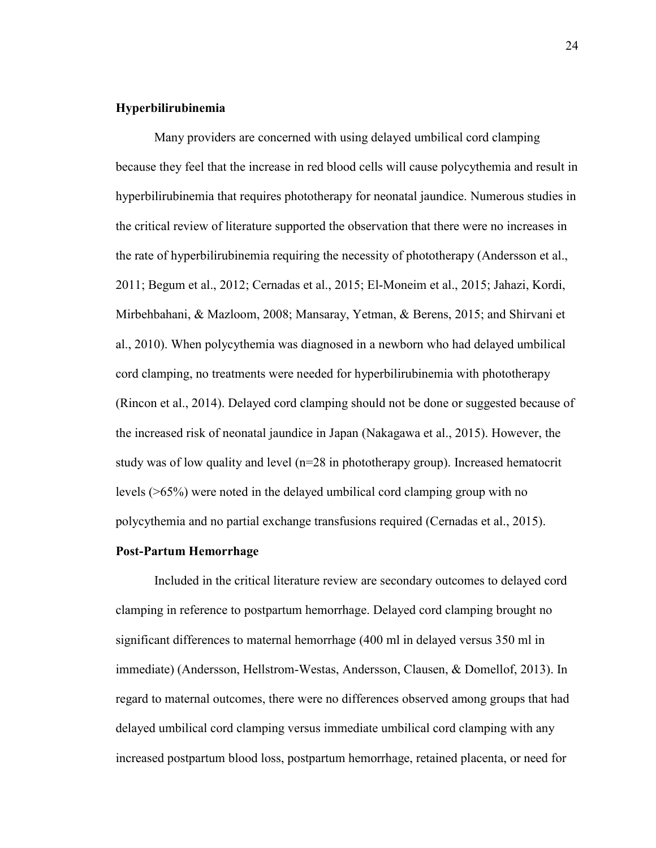## **Hyperbilirubinemia**

Many providers are concerned with using delayed umbilical cord clamping because they feel that the increase in red blood cells will cause polycythemia and result in hyperbilirubinemia that requires phototherapy for neonatal jaundice. Numerous studies in the critical review of literature supported the observation that there were no increases in the rate of hyperbilirubinemia requiring the necessity of phototherapy (Andersson et al., 2011; Begum et al., 2012; Cernadas et al., 2015; El-Moneim et al., 2015; Jahazi, Kordi, Mirbehbahani, & Mazloom, 2008; Mansaray, Yetman, & Berens, 2015; and Shirvani et al., 2010). When polycythemia was diagnosed in a newborn who had delayed umbilical cord clamping, no treatments were needed for hyperbilirubinemia with phototherapy (Rincon et al., 2014). Delayed cord clamping should not be done or suggested because of the increased risk of neonatal jaundice in Japan (Nakagawa et al., 2015). However, the study was of low quality and level (n=28 in phototherapy group). Increased hematocrit levels (>65%) were noted in the delayed umbilical cord clamping group with no polycythemia and no partial exchange transfusions required (Cernadas et al., 2015).

#### **Post-Partum Hemorrhage**

Included in the critical literature review are secondary outcomes to delayed cord clamping in reference to postpartum hemorrhage. Delayed cord clamping brought no significant differences to maternal hemorrhage (400 ml in delayed versus 350 ml in immediate) (Andersson, Hellstrom-Westas, Andersson, Clausen, & Domellof, 2013). In regard to maternal outcomes, there were no differences observed among groups that had delayed umbilical cord clamping versus immediate umbilical cord clamping with any increased postpartum blood loss, postpartum hemorrhage, retained placenta, or need for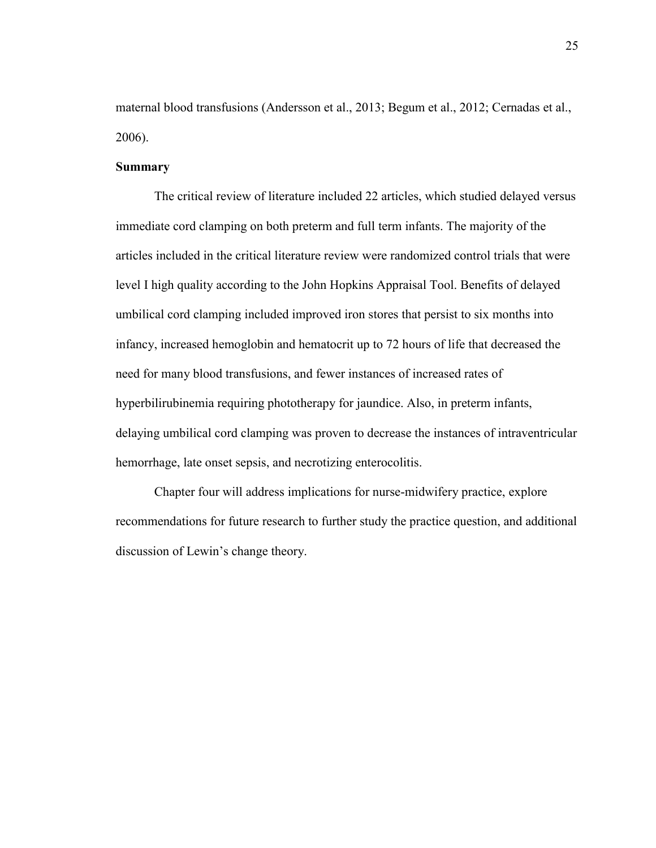maternal blood transfusions (Andersson et al., 2013; Begum et al., 2012; Cernadas et al., 2006).

## **Summary**

The critical review of literature included 22 articles, which studied delayed versus immediate cord clamping on both preterm and full term infants. The majority of the articles included in the critical literature review were randomized control trials that were level I high quality according to the John Hopkins Appraisal Tool. Benefits of delayed umbilical cord clamping included improved iron stores that persist to six months into infancy, increased hemoglobin and hematocrit up to 72 hours of life that decreased the need for many blood transfusions, and fewer instances of increased rates of hyperbilirubinemia requiring phototherapy for jaundice. Also, in preterm infants, delaying umbilical cord clamping was proven to decrease the instances of intraventricular hemorrhage, late onset sepsis, and necrotizing enterocolitis.

Chapter four will address implications for nurse-midwifery practice, explore recommendations for future research to further study the practice question, and additional discussion of Lewin's change theory.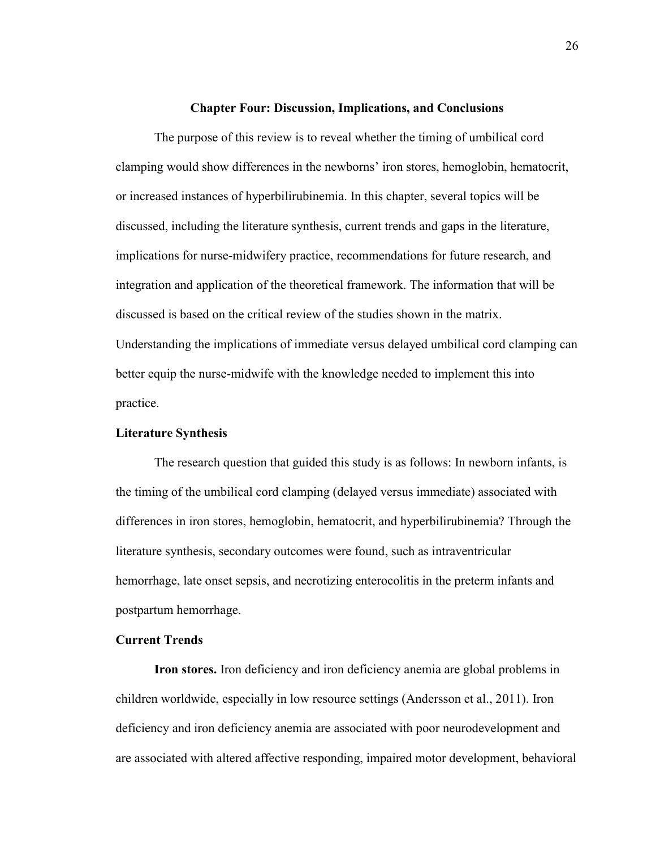#### **Chapter Four: Discussion, Implications, and Conclusions**

The purpose of this review is to reveal whether the timing of umbilical cord clamping would show differences in the newborns' iron stores, hemoglobin, hematocrit, or increased instances of hyperbilirubinemia. In this chapter, several topics will be discussed, including the literature synthesis, current trends and gaps in the literature, implications for nurse-midwifery practice, recommendations for future research, and integration and application of the theoretical framework. The information that will be discussed is based on the critical review of the studies shown in the matrix. Understanding the implications of immediate versus delayed umbilical cord clamping can better equip the nurse-midwife with the knowledge needed to implement this into practice.

#### **Literature Synthesis**

The research question that guided this study is as follows: In newborn infants, is the timing of the umbilical cord clamping (delayed versus immediate) associated with differences in iron stores, hemoglobin, hematocrit, and hyperbilirubinemia? Through the literature synthesis, secondary outcomes were found, such as intraventricular hemorrhage, late onset sepsis, and necrotizing enterocolitis in the preterm infants and postpartum hemorrhage.

#### **Current Trends**

**Iron stores.** Iron deficiency and iron deficiency anemia are global problems in children worldwide, especially in low resource settings (Andersson et al., 2011). Iron deficiency and iron deficiency anemia are associated with poor neurodevelopment and are associated with altered affective responding, impaired motor development, behavioral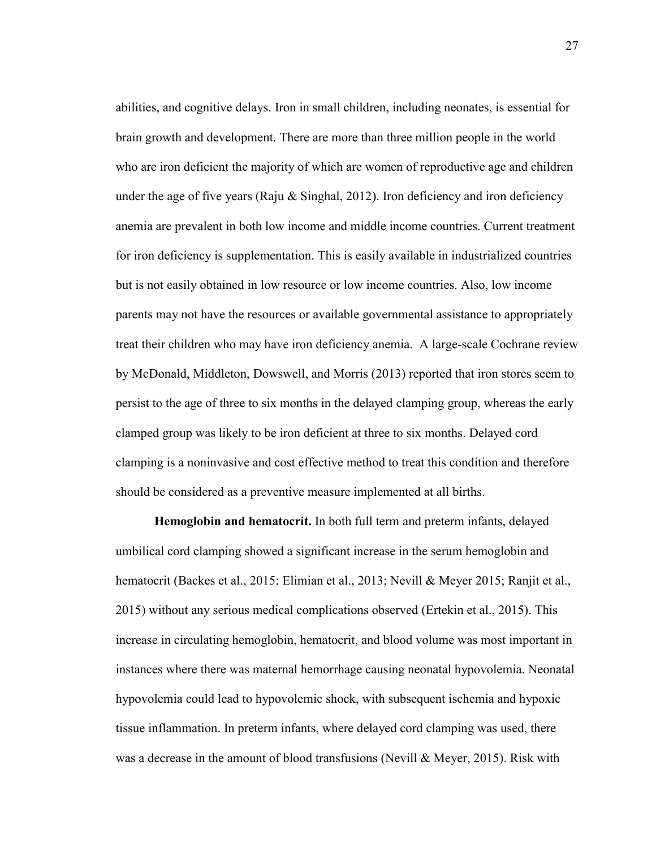abilities, and cognitive delays. Iron in small children, including neonates, is essential for brain growth and development. There are more than three million people in the world who are iron deficient the majority of which are women of reproductive age and children under the age of five years (Raju  $&$  Singhal, 2012). Iron deficiency and iron deficiency anemia are prevalent in both low income and middle income countries. Current treatment for iron deficiency is supplementation. This is easily available in industrialized countries but is not easily obtained in low resource or low income countries. Also, low income parents may not have the resources or available governmental assistance to appropriately treat their children who may have iron deficiency anemia. A large-scale Cochrane review by McDonald, Middleton, Dowswell, and Morris (2013) reported that iron stores seem to persist to the age of three to six months in the delayed clamping group, whereas the early clamped group was likely to be iron deficient at three to six months. Delayed cord clamping is a noninvasive and cost effective method to treat this condition and therefore should be considered as a preventive measure implemented at all births.

 **Hemoglobin and hematocrit.** In both full term and preterm infants, delayed umbilical cord clamping showed a significant increase in the serum hemoglobin and hematocrit (Backes et al., 2015; Elimian et al., 2013; Nevill & Meyer 2015; Ranjit et al., 2015) without any serious medical complications observed (Ertekin et al., 2015). This increase in circulating hemoglobin, hematocrit, and blood volume was most important in instances where there was maternal hemorrhage causing neonatal hypovolemia. Neonatal hypovolemia could lead to hypovolemic shock, with subsequent ischemia and hypoxic tissue inflammation. In preterm infants, where delayed cord clamping was used, there was a decrease in the amount of blood transfusions (Nevill  $\&$  Meyer, 2015). Risk with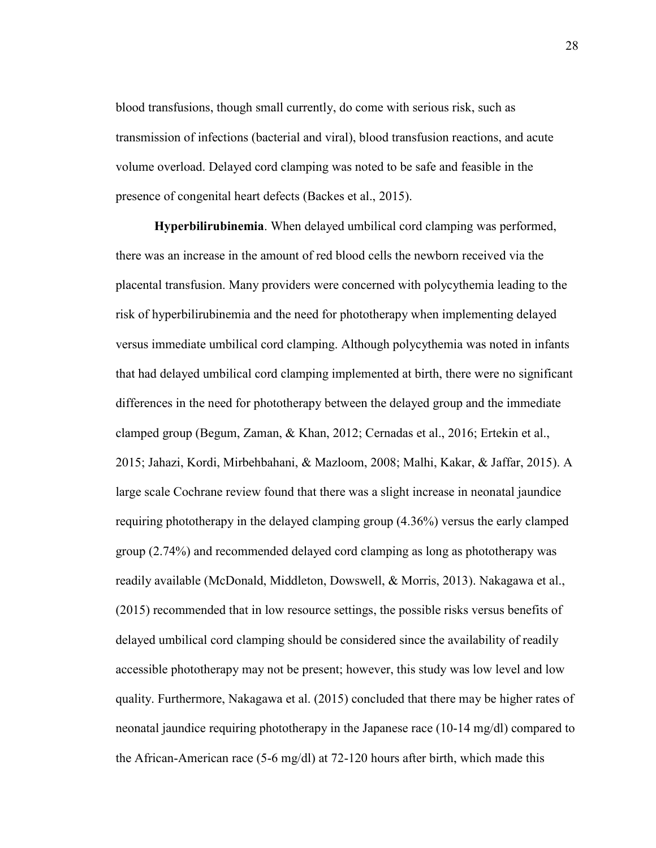blood transfusions, though small currently, do come with serious risk, such as transmission of infections (bacterial and viral), blood transfusion reactions, and acute volume overload. Delayed cord clamping was noted to be safe and feasible in the presence of congenital heart defects (Backes et al., 2015).

**Hyperbilirubinemia**. When delayed umbilical cord clamping was performed, there was an increase in the amount of red blood cells the newborn received via the placental transfusion. Many providers were concerned with polycythemia leading to the risk of hyperbilirubinemia and the need for phototherapy when implementing delayed versus immediate umbilical cord clamping. Although polycythemia was noted in infants that had delayed umbilical cord clamping implemented at birth, there were no significant differences in the need for phototherapy between the delayed group and the immediate clamped group (Begum, Zaman, & Khan, 2012; Cernadas et al., 2016; Ertekin et al., 2015; Jahazi, Kordi, Mirbehbahani, & Mazloom, 2008; Malhi, Kakar, & Jaffar, 2015). A large scale Cochrane review found that there was a slight increase in neonatal jaundice requiring phototherapy in the delayed clamping group (4.36%) versus the early clamped group (2.74%) and recommended delayed cord clamping as long as phototherapy was readily available (McDonald, Middleton, Dowswell, & Morris, 2013). Nakagawa et al., (2015) recommended that in low resource settings, the possible risks versus benefits of delayed umbilical cord clamping should be considered since the availability of readily accessible phototherapy may not be present; however, this study was low level and low quality. Furthermore, Nakagawa et al. (2015) concluded that there may be higher rates of neonatal jaundice requiring phototherapy in the Japanese race (10-14 mg/dl) compared to the African-American race (5-6 mg/dl) at 72-120 hours after birth, which made this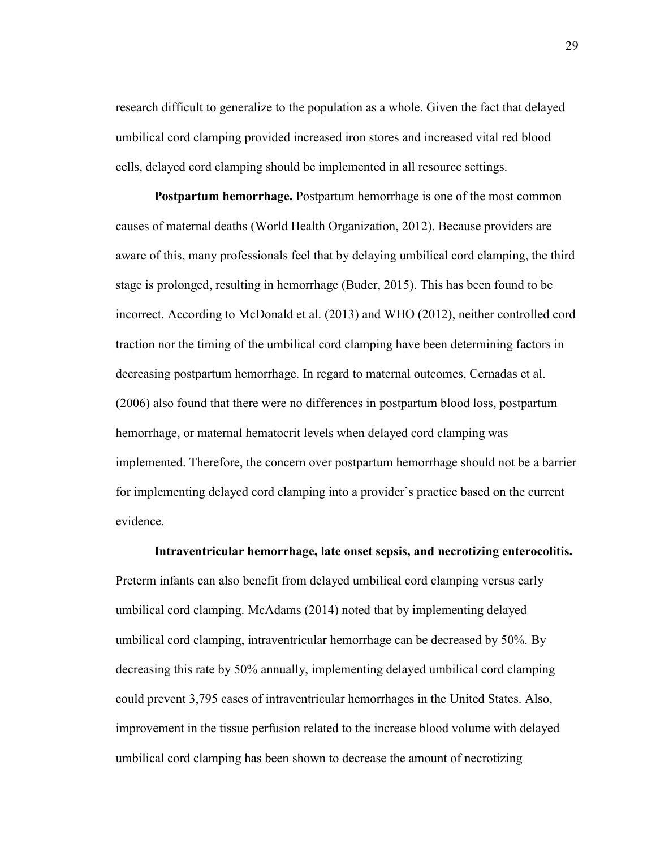research difficult to generalize to the population as a whole. Given the fact that delayed umbilical cord clamping provided increased iron stores and increased vital red blood cells, delayed cord clamping should be implemented in all resource settings.

**Postpartum hemorrhage.** Postpartum hemorrhage is one of the most common causes of maternal deaths (World Health Organization, 2012). Because providers are aware of this, many professionals feel that by delaying umbilical cord clamping, the third stage is prolonged, resulting in hemorrhage (Buder, 2015). This has been found to be incorrect. According to McDonald et al. (2013) and WHO (2012), neither controlled cord traction nor the timing of the umbilical cord clamping have been determining factors in decreasing postpartum hemorrhage. In regard to maternal outcomes, Cernadas et al. (2006) also found that there were no differences in postpartum blood loss, postpartum hemorrhage, or maternal hematocrit levels when delayed cord clamping was implemented. Therefore, the concern over postpartum hemorrhage should not be a barrier for implementing delayed cord clamping into a provider's practice based on the current evidence.

**Intraventricular hemorrhage, late onset sepsis, and necrotizing enterocolitis.**  Preterm infants can also benefit from delayed umbilical cord clamping versus early umbilical cord clamping. McAdams (2014) noted that by implementing delayed umbilical cord clamping, intraventricular hemorrhage can be decreased by 50%. By decreasing this rate by 50% annually, implementing delayed umbilical cord clamping could prevent 3,795 cases of intraventricular hemorrhages in the United States. Also, improvement in the tissue perfusion related to the increase blood volume with delayed umbilical cord clamping has been shown to decrease the amount of necrotizing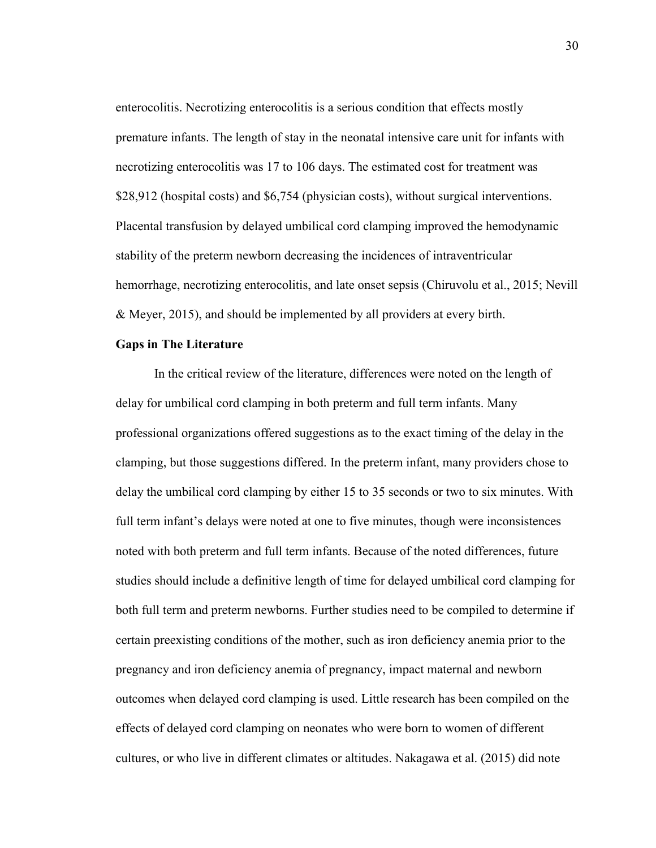enterocolitis. Necrotizing enterocolitis is a serious condition that effects mostly premature infants. The length of stay in the neonatal intensive care unit for infants with necrotizing enterocolitis was 17 to 106 days. The estimated cost for treatment was \$28,912 (hospital costs) and \$6,754 (physician costs), without surgical interventions. Placental transfusion by delayed umbilical cord clamping improved the hemodynamic stability of the preterm newborn decreasing the incidences of intraventricular hemorrhage, necrotizing enterocolitis, and late onset sepsis (Chiruvolu et al., 2015; Nevill & Meyer, 2015), and should be implemented by all providers at every birth.

#### **Gaps in The Literature**

In the critical review of the literature, differences were noted on the length of delay for umbilical cord clamping in both preterm and full term infants. Many professional organizations offered suggestions as to the exact timing of the delay in the clamping, but those suggestions differed. In the preterm infant, many providers chose to delay the umbilical cord clamping by either 15 to 35 seconds or two to six minutes. With full term infant's delays were noted at one to five minutes, though were inconsistences noted with both preterm and full term infants. Because of the noted differences, future studies should include a definitive length of time for delayed umbilical cord clamping for both full term and preterm newborns. Further studies need to be compiled to determine if certain preexisting conditions of the mother, such as iron deficiency anemia prior to the pregnancy and iron deficiency anemia of pregnancy, impact maternal and newborn outcomes when delayed cord clamping is used. Little research has been compiled on the effects of delayed cord clamping on neonates who were born to women of different cultures, or who live in different climates or altitudes. Nakagawa et al. (2015) did note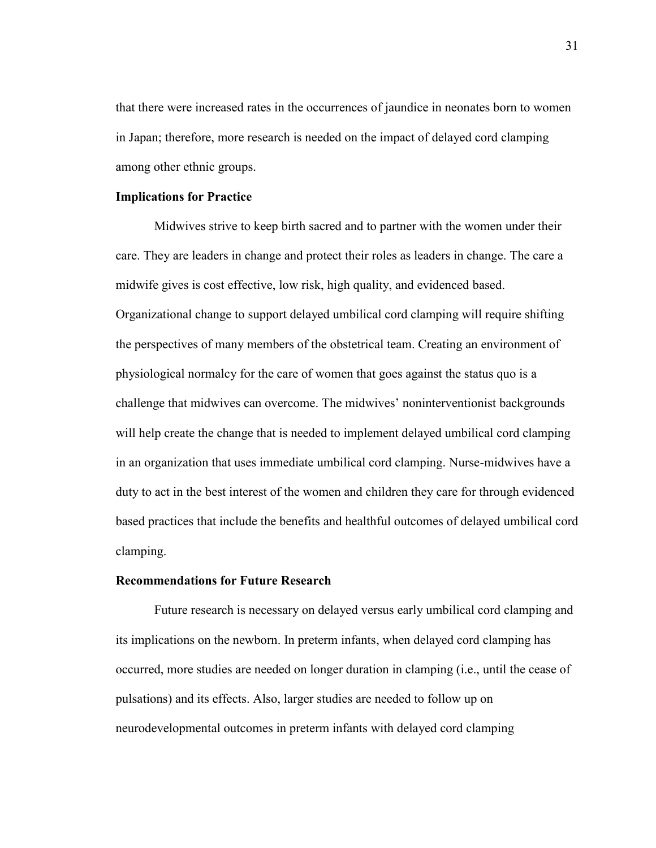that there were increased rates in the occurrences of jaundice in neonates born to women in Japan; therefore, more research is needed on the impact of delayed cord clamping among other ethnic groups.

#### **Implications for Practice**

Midwives strive to keep birth sacred and to partner with the women under their care. They are leaders in change and protect their roles as leaders in change. The care a midwife gives is cost effective, low risk, high quality, and evidenced based. Organizational change to support delayed umbilical cord clamping will require shifting the perspectives of many members of the obstetrical team. Creating an environment of physiological normalcy for the care of women that goes against the status quo is a challenge that midwives can overcome. The midwives' noninterventionist backgrounds will help create the change that is needed to implement delayed umbilical cord clamping in an organization that uses immediate umbilical cord clamping. Nurse-midwives have a duty to act in the best interest of the women and children they care for through evidenced based practices that include the benefits and healthful outcomes of delayed umbilical cord clamping.

## **Recommendations for Future Research**

Future research is necessary on delayed versus early umbilical cord clamping and its implications on the newborn. In preterm infants, when delayed cord clamping has occurred, more studies are needed on longer duration in clamping (i.e., until the cease of pulsations) and its effects. Also, larger studies are needed to follow up on neurodevelopmental outcomes in preterm infants with delayed cord clamping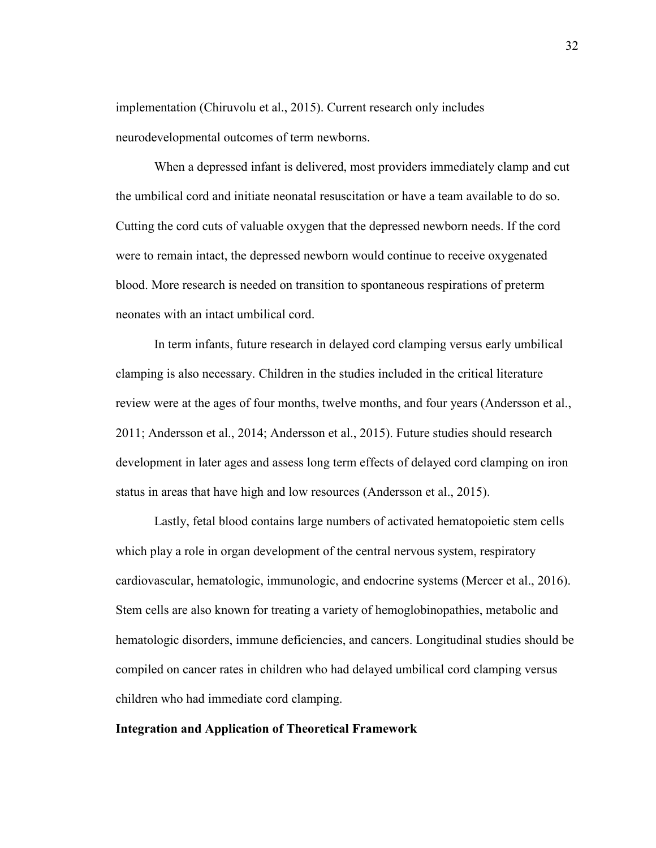implementation (Chiruvolu et al., 2015). Current research only includes neurodevelopmental outcomes of term newborns.

When a depressed infant is delivered, most providers immediately clamp and cut the umbilical cord and initiate neonatal resuscitation or have a team available to do so. Cutting the cord cuts of valuable oxygen that the depressed newborn needs. If the cord were to remain intact, the depressed newborn would continue to receive oxygenated blood. More research is needed on transition to spontaneous respirations of preterm neonates with an intact umbilical cord.

In term infants, future research in delayed cord clamping versus early umbilical clamping is also necessary. Children in the studies included in the critical literature review were at the ages of four months, twelve months, and four years (Andersson et al., 2011; Andersson et al., 2014; Andersson et al., 2015). Future studies should research development in later ages and assess long term effects of delayed cord clamping on iron status in areas that have high and low resources (Andersson et al., 2015).

Lastly, fetal blood contains large numbers of activated hematopoietic stem cells which play a role in organ development of the central nervous system, respiratory cardiovascular, hematologic, immunologic, and endocrine systems (Mercer et al., 2016). Stem cells are also known for treating a variety of hemoglobinopathies, metabolic and hematologic disorders, immune deficiencies, and cancers. Longitudinal studies should be compiled on cancer rates in children who had delayed umbilical cord clamping versus children who had immediate cord clamping.

#### **Integration and Application of Theoretical Framework**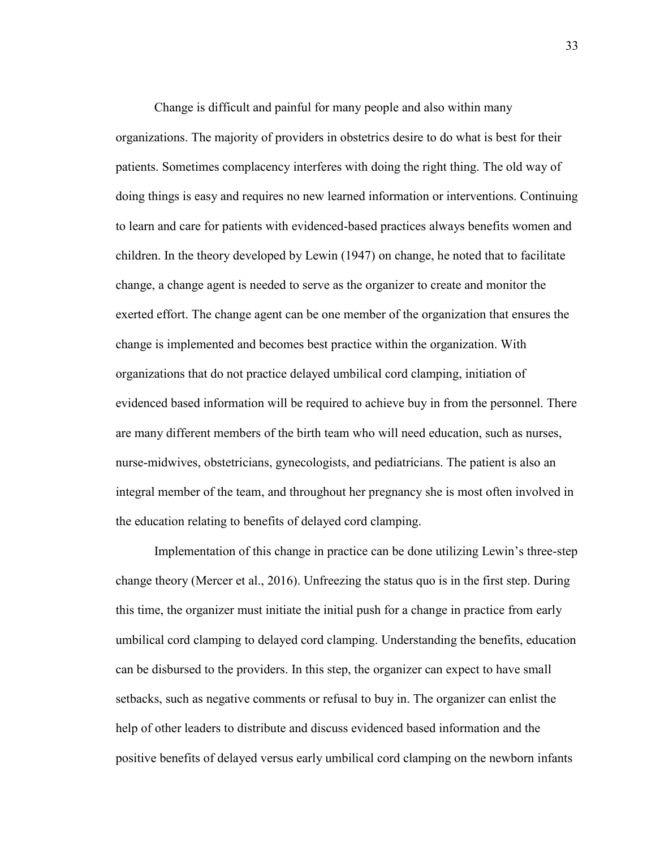Change is difficult and painful for many people and also within many organizations. The majority of providers in obstetrics desire to do what is best for their patients. Sometimes complacency interferes with doing the right thing. The old way of doing things is easy and requires no new learned information or interventions. Continuing to learn and care for patients with evidenced-based practices always benefits women and children. In the theory developed by Lewin (1947) on change, he noted that to facilitate change, a change agent is needed to serve as the organizer to create and monitor the exerted effort. The change agent can be one member of the organization that ensures the change is implemented and becomes best practice within the organization. With organizations that do not practice delayed umbilical cord clamping, initiation of evidenced based information will be required to achieve buy in from the personnel. There are many different members of the birth team who will need education, such as nurses, nurse-midwives, obstetricians, gynecologists, and pediatricians. The patient is also an integral member of the team, and throughout her pregnancy she is most often involved in the education relating to benefits of delayed cord clamping.

Implementation of this change in practice can be done utilizing Lewin's three-step change theory (Mercer et al., 2016). Unfreezing the status quo is in the first step. During this time, the organizer must initiate the initial push for a change in practice from early umbilical cord clamping to delayed cord clamping. Understanding the benefits, education can be disbursed to the providers. In this step, the organizer can expect to have small setbacks, such as negative comments or refusal to buy in. The organizer can enlist the help of other leaders to distribute and discuss evidenced based information and the positive benefits of delayed versus early umbilical cord clamping on the newborn infants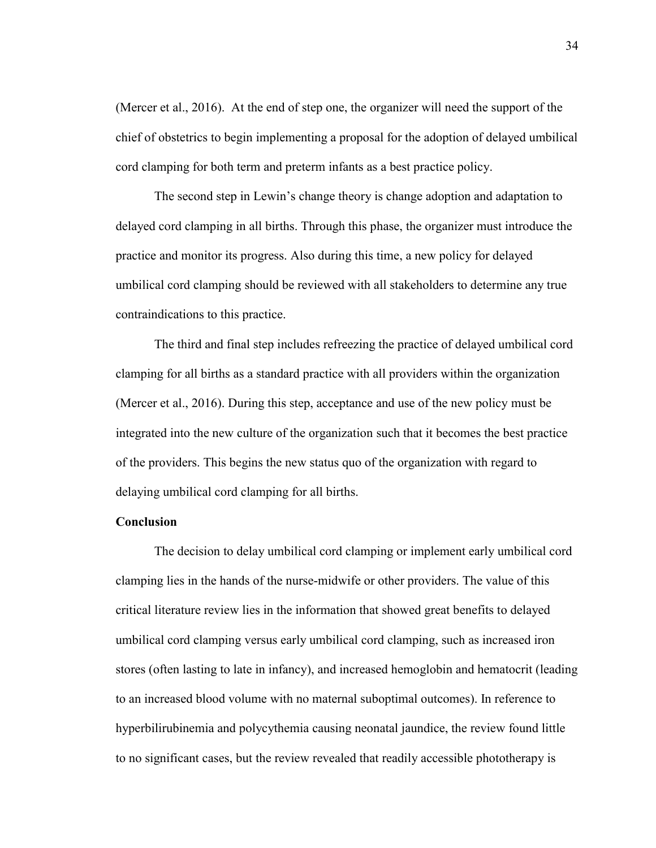(Mercer et al., 2016). At the end of step one, the organizer will need the support of the chief of obstetrics to begin implementing a proposal for the adoption of delayed umbilical cord clamping for both term and preterm infants as a best practice policy.

The second step in Lewin's change theory is change adoption and adaptation to delayed cord clamping in all births. Through this phase, the organizer must introduce the practice and monitor its progress. Also during this time, a new policy for delayed umbilical cord clamping should be reviewed with all stakeholders to determine any true contraindications to this practice.

The third and final step includes refreezing the practice of delayed umbilical cord clamping for all births as a standard practice with all providers within the organization (Mercer et al., 2016). During this step, acceptance and use of the new policy must be integrated into the new culture of the organization such that it becomes the best practice of the providers. This begins the new status quo of the organization with regard to delaying umbilical cord clamping for all births.

# **Conclusion**

The decision to delay umbilical cord clamping or implement early umbilical cord clamping lies in the hands of the nurse-midwife or other providers. The value of this critical literature review lies in the information that showed great benefits to delayed umbilical cord clamping versus early umbilical cord clamping, such as increased iron stores (often lasting to late in infancy), and increased hemoglobin and hematocrit (leading to an increased blood volume with no maternal suboptimal outcomes). In reference to hyperbilirubinemia and polycythemia causing neonatal jaundice, the review found little to no significant cases, but the review revealed that readily accessible phototherapy is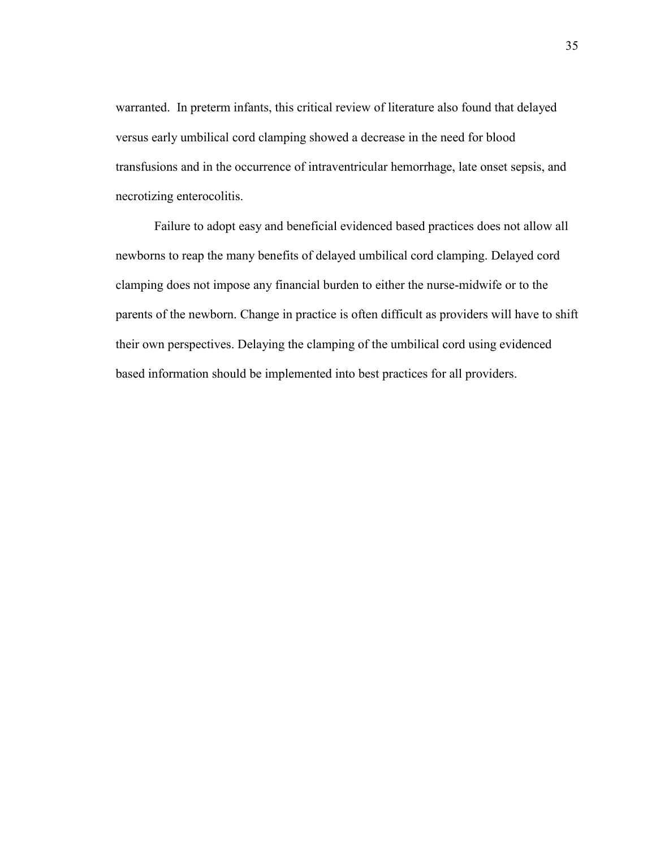warranted. In preterm infants, this critical review of literature also found that delayed versus early umbilical cord clamping showed a decrease in the need for blood transfusions and in the occurrence of intraventricular hemorrhage, late onset sepsis, and necrotizing enterocolitis.

Failure to adopt easy and beneficial evidenced based practices does not allow all newborns to reap the many benefits of delayed umbilical cord clamping. Delayed cord clamping does not impose any financial burden to either the nurse-midwife or to the parents of the newborn. Change in practice is often difficult as providers will have to shift their own perspectives. Delaying the clamping of the umbilical cord using evidenced based information should be implemented into best practices for all providers.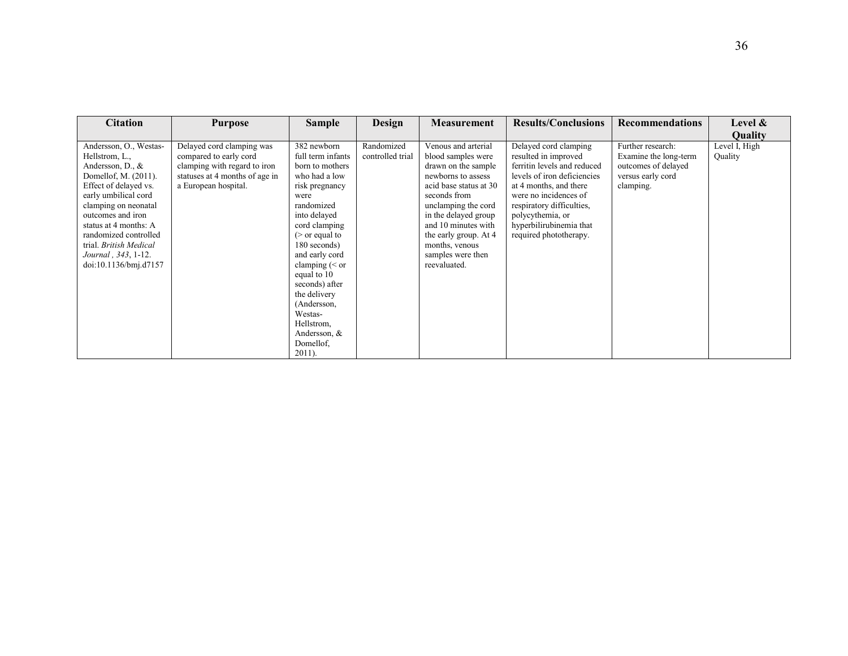| <b>Citation</b>                                                                                                                                                                                                                                                                                                | <b>Purpose</b>                                                                                                                                | <b>Sample</b>                                                                                                                                                                                                                                                                                                                                             | Design                         | <b>Measurement</b>                                                                                                                                                                                                                                                                     | <b>Results/Conclusions</b>                                                                                                                                                                                                                                           | <b>Recommendations</b>                                                                              | Level &                  |
|----------------------------------------------------------------------------------------------------------------------------------------------------------------------------------------------------------------------------------------------------------------------------------------------------------------|-----------------------------------------------------------------------------------------------------------------------------------------------|-----------------------------------------------------------------------------------------------------------------------------------------------------------------------------------------------------------------------------------------------------------------------------------------------------------------------------------------------------------|--------------------------------|----------------------------------------------------------------------------------------------------------------------------------------------------------------------------------------------------------------------------------------------------------------------------------------|----------------------------------------------------------------------------------------------------------------------------------------------------------------------------------------------------------------------------------------------------------------------|-----------------------------------------------------------------------------------------------------|--------------------------|
|                                                                                                                                                                                                                                                                                                                |                                                                                                                                               |                                                                                                                                                                                                                                                                                                                                                           |                                |                                                                                                                                                                                                                                                                                        |                                                                                                                                                                                                                                                                      |                                                                                                     | <b>Ouality</b>           |
| Andersson, O., Westas-<br>Hellstrom, L.,<br>Andersson, D., &<br>Domellof, M. (2011).<br>Effect of delayed vs.<br>early umbilical cord<br>clamping on neonatal<br>outcomes and iron<br>status at 4 months: A<br>randomized controlled<br>trial. British Medical<br>Journal, 343, 1-12.<br>doi:10.1136/bmj.d7157 | Delayed cord clamping was<br>compared to early cord<br>clamping with regard to iron<br>statuses at 4 months of age in<br>a European hospital. | 382 newborn<br>full term infants<br>born to mothers<br>who had a low<br>risk pregnancy<br>were<br>randomized<br>into delayed<br>cord clamping<br>$($ or equal to<br>180 seconds)<br>and early cord<br>clamping $(<$ or<br>equal to 10<br>seconds) after<br>the delivery<br>(Andersson,<br>Westas-<br>Hellstrom,<br>Andersson, &<br>Domellof.<br>$2011$ ). | Randomized<br>controlled trial | Venous and arterial<br>blood samples were<br>drawn on the sample<br>newborns to assess<br>acid base status at 30<br>seconds from<br>unclamping the cord<br>in the delayed group<br>and 10 minutes with<br>the early group. At 4<br>months, venous<br>samples were then<br>reevaluated. | Delayed cord clamping<br>resulted in improved<br>ferritin levels and reduced<br>levels of iron deficiencies<br>at 4 months, and there<br>were no incidences of<br>respiratory difficulties,<br>polycythemia, or<br>hyperbilirubinemia that<br>required phototherapy. | Further research:<br>Examine the long-term<br>outcomes of delayed<br>versus early cord<br>clamping. | Level I, High<br>Quality |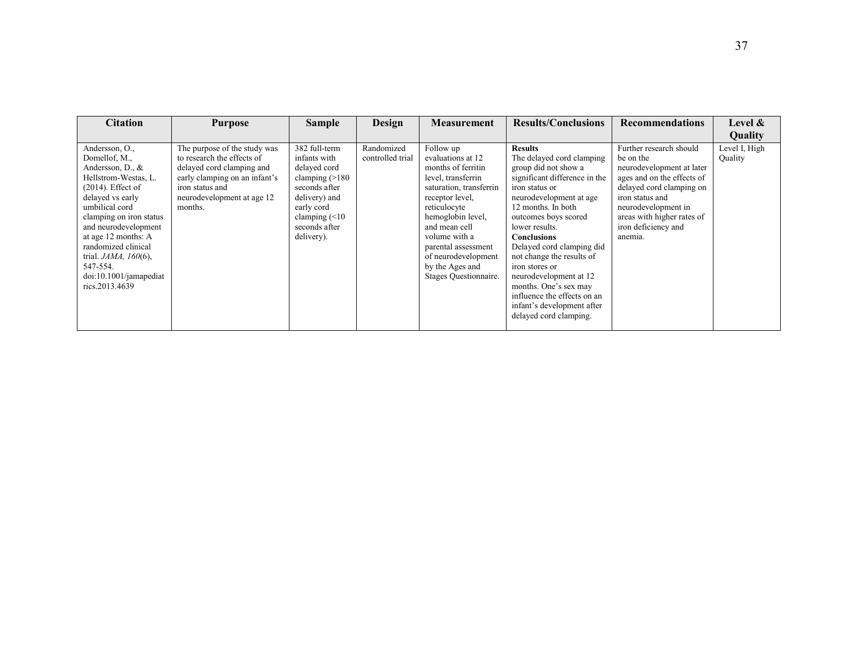| <b>Citation</b>                                                                                                                                                                                                                                                                                                                  | <b>Purpose</b>                                                                                                                                                                       | <b>Sample</b>                                                                                                                                                           | Design                         | <b>Measurement</b>                                                                                                                                                                                                                                                                        | <b>Results/Conclusions</b>                                                                                                                                                                                                                                                                                                                                                                                                                             | <b>Recommendations</b>                                                                                                                                                                                                                | Level &                  |
|----------------------------------------------------------------------------------------------------------------------------------------------------------------------------------------------------------------------------------------------------------------------------------------------------------------------------------|--------------------------------------------------------------------------------------------------------------------------------------------------------------------------------------|-------------------------------------------------------------------------------------------------------------------------------------------------------------------------|--------------------------------|-------------------------------------------------------------------------------------------------------------------------------------------------------------------------------------------------------------------------------------------------------------------------------------------|--------------------------------------------------------------------------------------------------------------------------------------------------------------------------------------------------------------------------------------------------------------------------------------------------------------------------------------------------------------------------------------------------------------------------------------------------------|---------------------------------------------------------------------------------------------------------------------------------------------------------------------------------------------------------------------------------------|--------------------------|
|                                                                                                                                                                                                                                                                                                                                  |                                                                                                                                                                                      |                                                                                                                                                                         |                                |                                                                                                                                                                                                                                                                                           |                                                                                                                                                                                                                                                                                                                                                                                                                                                        |                                                                                                                                                                                                                                       | Quality                  |
| Andersson, O.,<br>Domellof, M.,<br>Andersson, D., &<br>Hellstrom-Westas, L.<br>$(2014)$ . Effect of<br>delayed vs early<br>umbilical cord<br>clamping on iron status<br>and neurodevelopment<br>at age 12 months: A<br>randomized clinical<br>trial. $JAMA$ , $160(6)$ ,<br>547-554.<br>doi:10.1001/jamapediat<br>rics.2013.4639 | The purpose of the study was<br>to research the effects of<br>delayed cord clamping and<br>early clamping on an infant's<br>iron status and<br>neurodevelopment at age 12<br>months. | 382 full-term<br>infants with<br>delayed cord<br>clamping $(>180$<br>seconds after<br>delivery) and<br>early cord<br>clamping $(\leq 10$<br>seconds after<br>delivery). | Randomized<br>controlled trial | Follow up<br>evaluations at 12<br>months of ferritin<br>level, transferrin<br>saturation, transferrin<br>receptor level,<br>reticulocyte<br>hemoglobin level,<br>and mean cell<br>volume with a<br>parental assessment<br>of neurodevelopment<br>by the Ages and<br>Stages Questionnaire. | <b>Results</b><br>The delayed cord clamping<br>group did not show a<br>significant difference in the<br>iron status or<br>neurodevelopment at age<br>12 months. In both<br>outcomes boys scored<br>lower results.<br>Conclusions<br>Delayed cord clamping did<br>not change the results of<br>iron stores or<br>neurodevelopment at 12<br>months. One's sex may<br>influence the effects on an<br>infant's development after<br>delayed cord clamping. | Further research should<br>be on the<br>neurodevelopment at later<br>ages and on the effects of<br>delayed cord clamping on<br>iron status and<br>neurodevelopment in<br>areas with higher rates of<br>iron deficiency and<br>anemia. | Level I, High<br>Quality |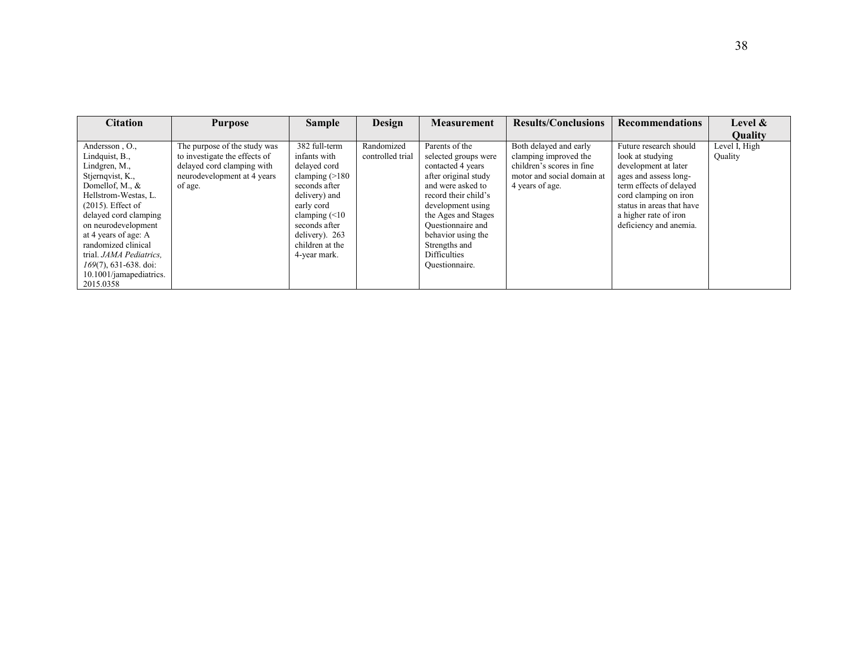| <b>Citation</b>                                                                                                                                                                                                                                                                                                                        | <b>Purpose</b>                                                                                                                        | <b>Sample</b>                                                                                                                                                                                                  | Design                         | <b>Measurement</b>                                                                                                                                                                                                                                                                | <b>Results/Conclusions</b>                                                                                                    | <b>Recommendations</b>                                                                                                                                                                                                          | Level $\&$               |
|----------------------------------------------------------------------------------------------------------------------------------------------------------------------------------------------------------------------------------------------------------------------------------------------------------------------------------------|---------------------------------------------------------------------------------------------------------------------------------------|----------------------------------------------------------------------------------------------------------------------------------------------------------------------------------------------------------------|--------------------------------|-----------------------------------------------------------------------------------------------------------------------------------------------------------------------------------------------------------------------------------------------------------------------------------|-------------------------------------------------------------------------------------------------------------------------------|---------------------------------------------------------------------------------------------------------------------------------------------------------------------------------------------------------------------------------|--------------------------|
|                                                                                                                                                                                                                                                                                                                                        |                                                                                                                                       |                                                                                                                                                                                                                |                                |                                                                                                                                                                                                                                                                                   |                                                                                                                               |                                                                                                                                                                                                                                 | <b>Ouality</b>           |
| Andersson, O.,<br>Lindquist, B.,<br>Lindgren, M.,<br>Stjernqvist, K.,<br>Domellof, M., &<br>Hellstrom-Westas, L.<br>$(2015)$ . Effect of<br>delayed cord clamping<br>on neurodevelopment<br>at 4 years of age: A<br>randomized clinical<br>trial. JAMA Pediatrics.<br>$169(7)$ , 631-638. doi:<br>10.1001/jamapediatrics.<br>2015.0358 | The purpose of the study was<br>to investigate the effects of<br>delayed cord clamping with<br>neurodevelopment at 4 years<br>of age. | 382 full-term<br>infants with<br>delayed cord<br>clamping $(>180$<br>seconds after<br>delivery) and<br>early cord<br>clamping $(\leq 10$<br>seconds after<br>delivery). 263<br>children at the<br>4-year mark. | Randomized<br>controlled trial | Parents of the<br>selected groups were<br>contacted 4 years<br>after original study<br>and were asked to<br>record their child's<br>development using<br>the Ages and Stages<br>Ouestionnaire and<br>behavior using the<br>Strengths and<br><b>Difficulties</b><br>Ouestionnaire. | Both delayed and early<br>clamping improved the<br>children's scores in fine<br>motor and social domain at<br>4 years of age. | Future research should<br>look at studying<br>development at later<br>ages and assess long-<br>term effects of delayed<br>cord clamping on iron<br>status in areas that have<br>a higher rate of iron<br>deficiency and anemia. | Level I, High<br>Quality |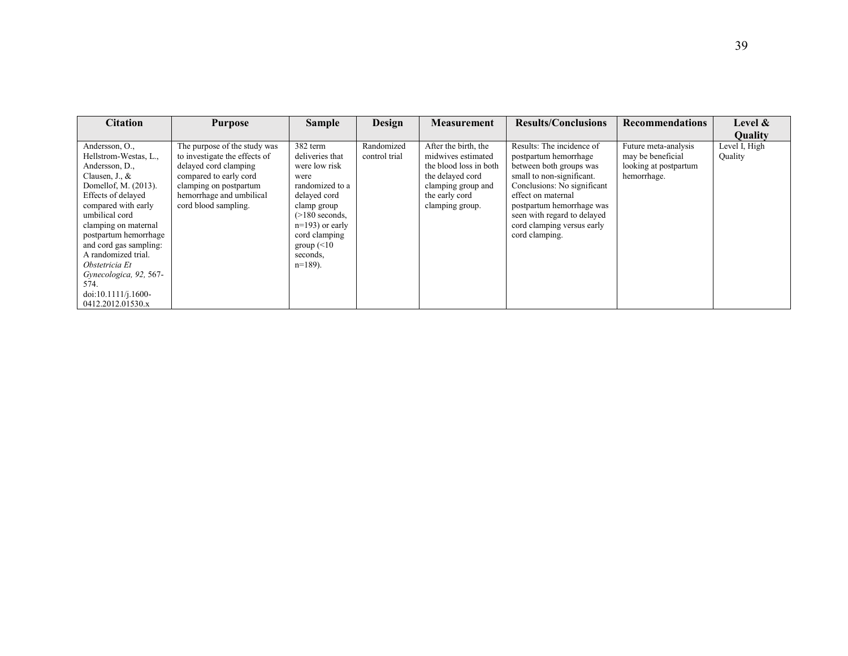| <b>Citation</b>                                                                                                                                                                                                                                                                                                                                                      | <b>Purpose</b>                                                                                                                                                                                 | <b>Sample</b>                                                                                                                                                                                               | Design                      | <b>Measurement</b>                                                                                                                                  | <b>Results/Conclusions</b>                                                                                                                                                                                                                                                  | <b>Recommendations</b>                                                            | Level $\&$               |
|----------------------------------------------------------------------------------------------------------------------------------------------------------------------------------------------------------------------------------------------------------------------------------------------------------------------------------------------------------------------|------------------------------------------------------------------------------------------------------------------------------------------------------------------------------------------------|-------------------------------------------------------------------------------------------------------------------------------------------------------------------------------------------------------------|-----------------------------|-----------------------------------------------------------------------------------------------------------------------------------------------------|-----------------------------------------------------------------------------------------------------------------------------------------------------------------------------------------------------------------------------------------------------------------------------|-----------------------------------------------------------------------------------|--------------------------|
|                                                                                                                                                                                                                                                                                                                                                                      |                                                                                                                                                                                                |                                                                                                                                                                                                             |                             |                                                                                                                                                     |                                                                                                                                                                                                                                                                             |                                                                                   | <b>Quality</b>           |
| Andersson, O.,<br>Hellstrom-Westas, L.,<br>Andersson, D.,<br>Clausen, J., &<br>Domellof, M. (2013).<br>Effects of delayed<br>compared with early<br>umbilical cord<br>clamping on maternal<br>postpartum hemorrhage<br>and cord gas sampling:<br>A randomized trial.<br>Obstetricia Et<br>Gynecologica, 92, 567-<br>574.<br>doi:10.1111/j.1600-<br>0412.2012.01530.x | The purpose of the study was<br>to investigate the effects of<br>delayed cord clamping<br>compared to early cord<br>clamping on postpartum<br>hemorrhage and umbilical<br>cord blood sampling. | 382 term<br>deliveries that<br>were low risk<br>were<br>randomized to a<br>delayed cord<br>clamp group<br>$(>180$ seconds,<br>$n=193$ ) or early<br>cord clamping<br>group $(<10$<br>seconds.<br>$n=189$ ). | Randomized<br>control trial | After the birth, the<br>midwives estimated<br>the blood loss in both<br>the delayed cord<br>clamping group and<br>the early cord<br>clamping group. | Results: The incidence of<br>postpartum hemorrhage<br>between both groups was<br>small to non-significant.<br>Conclusions: No significant<br>effect on maternal<br>postpartum hemorrhage was<br>seen with regard to delayed<br>cord clamping versus early<br>cord clamping. | Future meta-analysis<br>may be beneficial<br>looking at postpartum<br>hemorrhage. | Level I, High<br>Quality |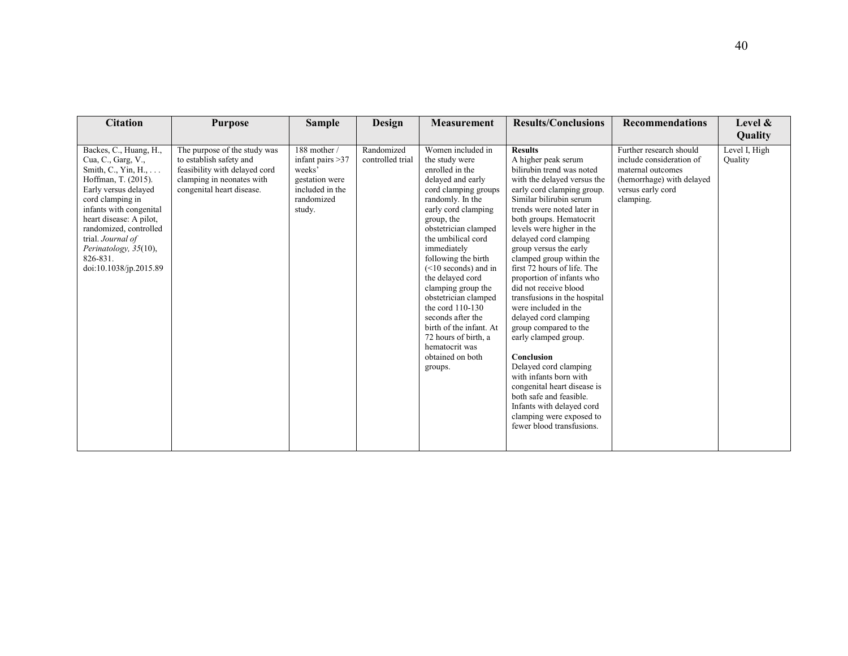| <b>Citation</b>                                                                                                                                                                                                                                                                                                    | <b>Purpose</b>                                                                                                                                     | <b>Sample</b>                                                                                            | <b>Design</b>                  | <b>Measurement</b>                                                                                                                                                                                                                                                                                                                                                                                                                                                                        | <b>Results/Conclusions</b>                                                                                                                                                                                                                                                                                                                                                                                                                                                                                                                                                                                                                                                                                                                                              | <b>Recommendations</b>                                                                                                                  | Level &<br>Quality       |
|--------------------------------------------------------------------------------------------------------------------------------------------------------------------------------------------------------------------------------------------------------------------------------------------------------------------|----------------------------------------------------------------------------------------------------------------------------------------------------|----------------------------------------------------------------------------------------------------------|--------------------------------|-------------------------------------------------------------------------------------------------------------------------------------------------------------------------------------------------------------------------------------------------------------------------------------------------------------------------------------------------------------------------------------------------------------------------------------------------------------------------------------------|-------------------------------------------------------------------------------------------------------------------------------------------------------------------------------------------------------------------------------------------------------------------------------------------------------------------------------------------------------------------------------------------------------------------------------------------------------------------------------------------------------------------------------------------------------------------------------------------------------------------------------------------------------------------------------------------------------------------------------------------------------------------------|-----------------------------------------------------------------------------------------------------------------------------------------|--------------------------|
| Backes, C., Huang, H.,<br>Cua, C., Garg, V.,<br>Smith, C., Yin, H., $\dots$<br>Hoffman, T. (2015).<br>Early versus delayed<br>cord clamping in<br>infants with congenital<br>heart disease: A pilot,<br>randomized, controlled<br>trial. Journal of<br>Perinatology, 35(10),<br>826-831.<br>doi:10.1038/jp.2015.89 | The purpose of the study was<br>to establish safety and<br>feasibility with delayed cord<br>clamping in neonates with<br>congenital heart disease. | 188 mother /<br>infant pairs > 37<br>weeks'<br>gestation were<br>included in the<br>randomized<br>study. | Randomized<br>controlled trial | Women included in<br>the study were<br>enrolled in the<br>delayed and early<br>cord clamping groups<br>randomly. In the<br>early cord clamping<br>group, the<br>obstetrician clamped<br>the umbilical cord<br>immediately<br>following the birth<br>$(<10$ seconds) and in<br>the delayed cord<br>clamping group the<br>obstetrician clamped<br>the cord 110-130<br>seconds after the<br>birth of the infant. At<br>72 hours of birth, a<br>hematocrit was<br>obtained on both<br>groups. | <b>Results</b><br>A higher peak serum<br>bilirubin trend was noted<br>with the delayed versus the<br>early cord clamping group.<br>Similar bilirubin serum<br>trends were noted later in<br>both groups. Hematocrit<br>levels were higher in the<br>delayed cord clamping<br>group versus the early<br>clamped group within the<br>first 72 hours of life. The<br>proportion of infants who<br>did not receive blood<br>transfusions in the hospital<br>were included in the<br>delayed cord clamping<br>group compared to the<br>early clamped group.<br>Conclusion<br>Delayed cord clamping<br>with infants born with<br>congenital heart disease is<br>both safe and feasible.<br>Infants with delayed cord<br>clamping were exposed to<br>fewer blood transfusions. | Further research should<br>include consideration of<br>maternal outcomes<br>(hemorrhage) with delayed<br>versus early cord<br>clamping. | Level I, High<br>Quality |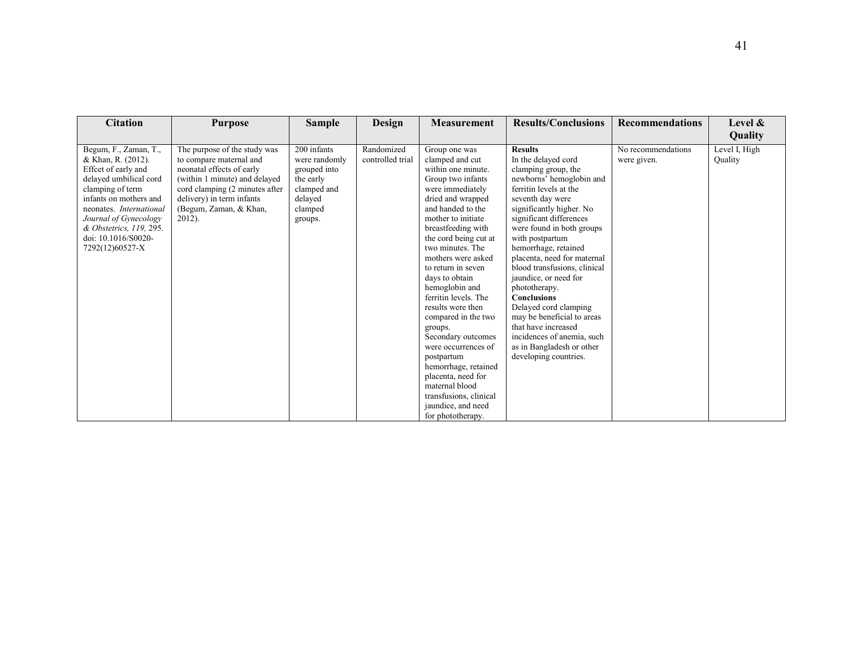| <b>Citation</b>                             | <b>Purpose</b>                                              | <b>Sample</b>                | Design                         | <b>Measurement</b>                           | <b>Results/Conclusions</b>                         | <b>Recommendations</b>            | Level $\&$               |
|---------------------------------------------|-------------------------------------------------------------|------------------------------|--------------------------------|----------------------------------------------|----------------------------------------------------|-----------------------------------|--------------------------|
|                                             |                                                             |                              |                                |                                              |                                                    |                                   | Quality                  |
| Begum, F., Zaman, T.,<br>& Khan, R. (2012). | The purpose of the study was<br>to compare maternal and     | 200 infants<br>were randomly | Randomized<br>controlled trial | Group one was<br>clamped and cut             | <b>Results</b><br>In the delayed cord              | No recommendations<br>were given. | Level I, High<br>Quality |
| Effect of early and                         | neonatal effects of early                                   | grouped into                 |                                | within one minute.                           | clamping group, the                                |                                   |                          |
| delayed umbilical cord                      | (within 1 minute) and delayed                               | the early                    |                                | Group two infants                            | newborns' hemoglobin and                           |                                   |                          |
| clamping of term<br>infants on mothers and  | cord clamping (2 minutes after<br>delivery) in term infants | clamped and<br>delayed       |                                | were immediately<br>dried and wrapped        | ferritin levels at the<br>seventh day were         |                                   |                          |
| neonates. International                     | (Begum, Zaman, & Khan,                                      | clamped                      |                                | and handed to the                            | significantly higher. No                           |                                   |                          |
| Journal of Gynecology                       | $2012$ ).                                                   | groups.                      |                                | mother to initiate                           | significant differences                            |                                   |                          |
| & Obstetrics, 119, 295.                     |                                                             |                              |                                | breastfeeding with                           | were found in both groups                          |                                   |                          |
| doi: 10.1016/S0020-<br>7292(12)60527-X      |                                                             |                              |                                | the cord being cut at<br>two minutes. The    | with postpartum<br>hemorrhage, retained            |                                   |                          |
|                                             |                                                             |                              |                                | mothers were asked                           | placenta, need for maternal                        |                                   |                          |
|                                             |                                                             |                              |                                | to return in seven                           | blood transfusions, clinical                       |                                   |                          |
|                                             |                                                             |                              |                                | days to obtain                               | jaundice, or need for                              |                                   |                          |
|                                             |                                                             |                              |                                | hemoglobin and<br>ferritin levels. The       | phototherapy.<br><b>Conclusions</b>                |                                   |                          |
|                                             |                                                             |                              |                                | results were then                            | Delayed cord clamping                              |                                   |                          |
|                                             |                                                             |                              |                                | compared in the two                          | may be beneficial to areas                         |                                   |                          |
|                                             |                                                             |                              |                                | groups.                                      | that have increased                                |                                   |                          |
|                                             |                                                             |                              |                                | Secondary outcomes                           | incidences of anemia, such                         |                                   |                          |
|                                             |                                                             |                              |                                | were occurrences of<br>postpartum            | as in Bangladesh or other<br>developing countries. |                                   |                          |
|                                             |                                                             |                              |                                | hemorrhage, retained                         |                                                    |                                   |                          |
|                                             |                                                             |                              |                                | placenta, need for                           |                                                    |                                   |                          |
|                                             |                                                             |                              |                                | maternal blood                               |                                                    |                                   |                          |
|                                             |                                                             |                              |                                | transfusions, clinical<br>jaundice, and need |                                                    |                                   |                          |
|                                             |                                                             |                              |                                | for phototherapy.                            |                                                    |                                   |                          |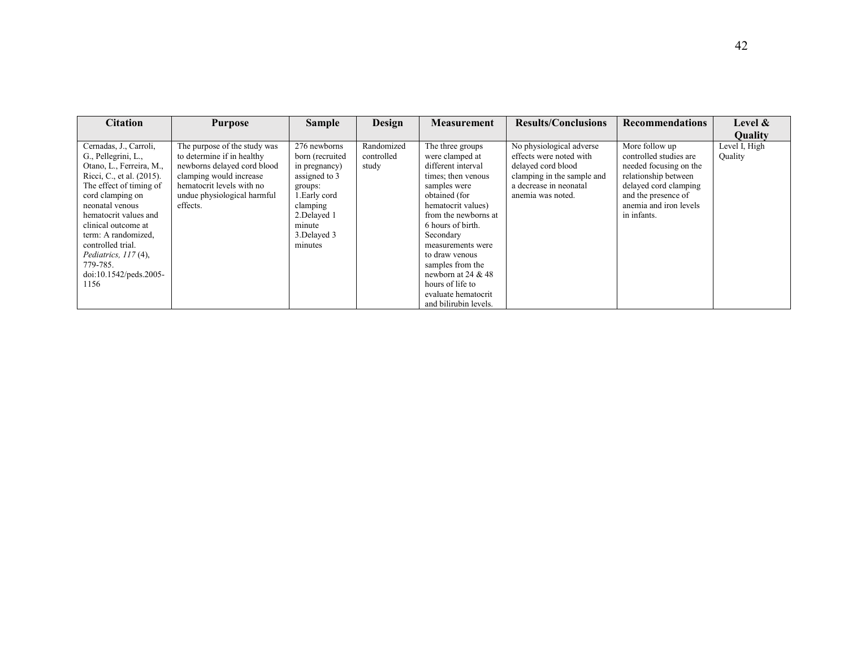| <b>Citation</b>                                                                                                                                                                                                                                                                                                                              | <b>Purpose</b>                                                                                                                                                                               | <b>Sample</b>                                                                                                                                                  | Design                            | <b>Measurement</b>                                                                                                                                                                                                                                                                                      | <b>Results/Conclusions</b>                                                                                                                             | <b>Recommendations</b>                                                                                                                                                              | Level $\&$               |
|----------------------------------------------------------------------------------------------------------------------------------------------------------------------------------------------------------------------------------------------------------------------------------------------------------------------------------------------|----------------------------------------------------------------------------------------------------------------------------------------------------------------------------------------------|----------------------------------------------------------------------------------------------------------------------------------------------------------------|-----------------------------------|---------------------------------------------------------------------------------------------------------------------------------------------------------------------------------------------------------------------------------------------------------------------------------------------------------|--------------------------------------------------------------------------------------------------------------------------------------------------------|-------------------------------------------------------------------------------------------------------------------------------------------------------------------------------------|--------------------------|
|                                                                                                                                                                                                                                                                                                                                              |                                                                                                                                                                                              |                                                                                                                                                                |                                   |                                                                                                                                                                                                                                                                                                         |                                                                                                                                                        |                                                                                                                                                                                     | <b>Quality</b>           |
| Cernadas, J., Carroli,<br>G., Pellegrini, L.,<br>Otano, L., Ferreira, M.,<br>Ricci, C., et al. (2015).<br>The effect of timing of<br>cord clamping on<br>neonatal venous<br>hematocrit values and<br>clinical outcome at<br>term: A randomized,<br>controlled trial.<br>Pediatrics, $117(4)$ ,<br>779-785.<br>doi:10.1542/peds.2005-<br>1156 | The purpose of the study was<br>to determine if in healthy<br>newborns delayed cord blood<br>clamping would increase<br>hematocrit levels with no<br>undue physiological harmful<br>effects. | 276 newborns<br>born (recruited<br>in pregnancy)<br>assigned to 3<br>groups:<br>1. Early cord<br>clamping<br>2. Delayed 1<br>minute<br>3. Delayed 3<br>minutes | Randomized<br>controlled<br>study | The three groups<br>were clamped at<br>different interval<br>times; then venous<br>samples were<br>obtained (for<br>hematocrit values)<br>from the newborns at<br>6 hours of birth.<br>Secondary<br>measurements were<br>to draw venous<br>samples from the<br>newborn at 24 $&$ 48<br>hours of life to | No physiological adverse<br>effects were noted with<br>delayed cord blood<br>clamping in the sample and<br>a decrease in neonatal<br>anemia was noted. | More follow up<br>controlled studies are<br>needed focusing on the<br>relationship between<br>delayed cord clamping<br>and the presence of<br>anemia and iron levels<br>in infants. | Level I, High<br>Quality |
|                                                                                                                                                                                                                                                                                                                                              |                                                                                                                                                                                              |                                                                                                                                                                |                                   | evaluate hematocrit<br>and bilirubin levels.                                                                                                                                                                                                                                                            |                                                                                                                                                        |                                                                                                                                                                                     |                          |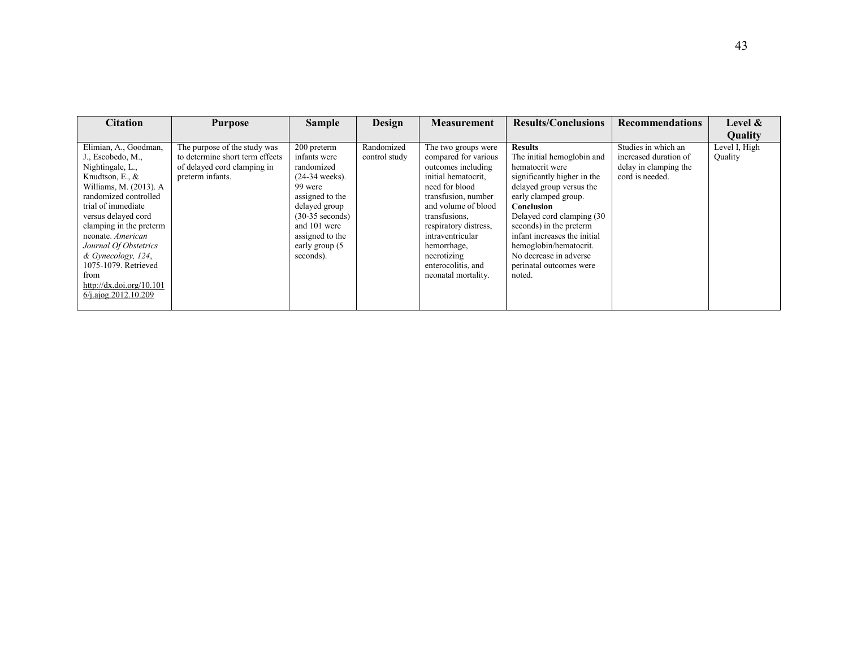| <b>Citation</b>                                                                                                                                                                                                                                                                                                                                                         | <b>Purpose</b>                                                                                                     | <b>Sample</b>                                                                                                                                                                                        | Design                      | <b>Measurement</b>                                                                                                                                                                                                                                                                                | <b>Results/Conclusions</b>                                                                                                                                                                                                                                                                                                                        | <b>Recommendations</b>                                                                   | Level &                  |
|-------------------------------------------------------------------------------------------------------------------------------------------------------------------------------------------------------------------------------------------------------------------------------------------------------------------------------------------------------------------------|--------------------------------------------------------------------------------------------------------------------|------------------------------------------------------------------------------------------------------------------------------------------------------------------------------------------------------|-----------------------------|---------------------------------------------------------------------------------------------------------------------------------------------------------------------------------------------------------------------------------------------------------------------------------------------------|---------------------------------------------------------------------------------------------------------------------------------------------------------------------------------------------------------------------------------------------------------------------------------------------------------------------------------------------------|------------------------------------------------------------------------------------------|--------------------------|
|                                                                                                                                                                                                                                                                                                                                                                         |                                                                                                                    |                                                                                                                                                                                                      |                             |                                                                                                                                                                                                                                                                                                   |                                                                                                                                                                                                                                                                                                                                                   |                                                                                          | Quality                  |
| Elimian, A., Goodman,<br>J., Escobedo, M.,<br>Nightingale, L.,<br>Knudtson, E., &<br>Williams, M. (2013). A<br>randomized controlled<br>trial of immediate<br>versus delayed cord<br>clamping in the preterm<br>neonate. American<br>Journal Of Obstetrics<br>& Gynecology, 124,<br>1075-1079. Retrieved<br>from<br>http://dx.doi.org/10.101<br>$6/$ i.ajog.2012.10.209 | The purpose of the study was<br>to determine short term effects<br>of delayed cord clamping in<br>preterm infants. | 200 preterm<br>infants were<br>randomized<br>$(24-34$ weeks).<br>99 were<br>assigned to the<br>delayed group<br>$(30-35$ seconds)<br>and 101 were<br>assigned to the<br>early group (5)<br>seconds). | Randomized<br>control study | The two groups were<br>compared for various<br>outcomes including<br>initial hematocrit.<br>need for blood<br>transfusion, number<br>and volume of blood<br>transfusions,<br>respiratory distress,<br>intraventricular<br>hemorrhage,<br>necrotizing<br>enterocolitis, and<br>neonatal mortality. | <b>Results</b><br>The initial hemoglobin and<br>hematocrit were<br>significantly higher in the<br>delayed group versus the<br>early clamped group.<br>Conclusion<br>Delayed cord clamping (30<br>seconds) in the preterm<br>infant increases the initial<br>hemoglobin/hematocrit.<br>No decrease in adverse<br>perinatal outcomes were<br>noted. | Studies in which an<br>increased duration of<br>delay in clamping the<br>cord is needed. | Level I, High<br>Quality |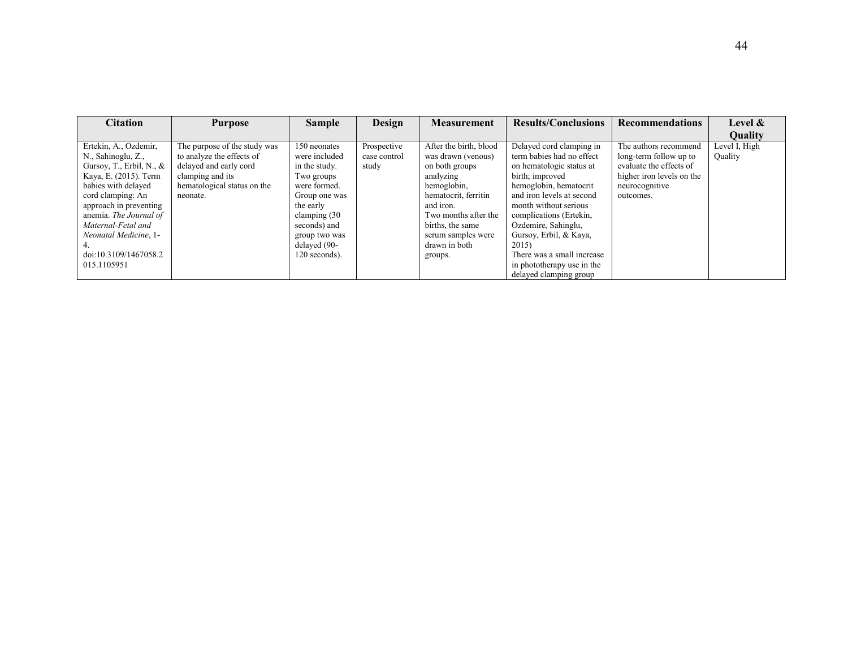| <b>Citation</b>                                                                                                                                                                                                                                                                            | <b>Purpose</b>                                                                                                                                     | <b>Sample</b>                                                                                                                                                                                 | Design                               | <b>Measurement</b>                                                                                                                                                                                                            | <b>Results/Conclusions</b>                                                                                                                                                                                                                                                                                                                                      | <b>Recommendations</b>                                                                                                                 | Level $\&$               |
|--------------------------------------------------------------------------------------------------------------------------------------------------------------------------------------------------------------------------------------------------------------------------------------------|----------------------------------------------------------------------------------------------------------------------------------------------------|-----------------------------------------------------------------------------------------------------------------------------------------------------------------------------------------------|--------------------------------------|-------------------------------------------------------------------------------------------------------------------------------------------------------------------------------------------------------------------------------|-----------------------------------------------------------------------------------------------------------------------------------------------------------------------------------------------------------------------------------------------------------------------------------------------------------------------------------------------------------------|----------------------------------------------------------------------------------------------------------------------------------------|--------------------------|
|                                                                                                                                                                                                                                                                                            |                                                                                                                                                    |                                                                                                                                                                                               |                                      |                                                                                                                                                                                                                               |                                                                                                                                                                                                                                                                                                                                                                 |                                                                                                                                        | <b>Ouality</b>           |
| Ertekin, A., Ozdemir,<br>N., Sahinoglu, Z.,<br>Gursoy, T., Erbil, N., $\&$<br>Kaya, E. (2015). Term<br>babies with delayed<br>cord clamping: An<br>approach in preventing<br>anemia. The Journal of<br>Maternal-Fetal and<br>Neonatal Medicine, 1-<br>doi:10.3109/1467058.2<br>015.1105951 | The purpose of the study was<br>to analyze the effects of<br>delayed and early cord<br>clamping and its<br>hematological status on the<br>neonate. | 150 neonates<br>were included<br>in the study.<br>Two groups<br>were formed.<br>Group one was<br>the early<br>clamping (30)<br>seconds) and<br>group two was<br>delayed (90-<br>120 seconds). | Prospective<br>case control<br>study | After the birth, blood<br>was drawn (venous)<br>on both groups<br>analyzing<br>hemoglobin,<br>hematocrit, ferritin<br>and iron.<br>Two months after the<br>births, the same<br>serum samples were<br>drawn in both<br>groups. | Delayed cord clamping in<br>term babies had no effect<br>on hematologic status at<br>birth; improved<br>hemoglobin, hematocrit<br>and iron levels at second<br>month without serious<br>complications (Ertekin,<br>Ozdemire, Sahinglu,<br>Gursoy, Erbil, & Kaya,<br>2015)<br>There was a small increase<br>in phototherapy use in the<br>delayed clamping group | The authors recommend<br>long-term follow up to<br>evaluate the effects of<br>higher iron levels on the<br>neurocognitive<br>outcomes. | Level I, High<br>Quality |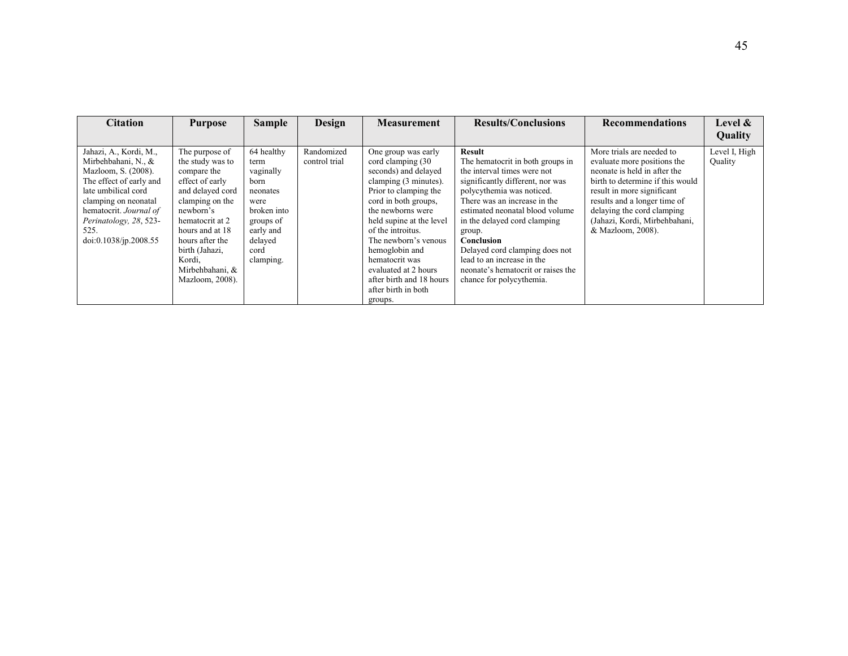| <b>Citation</b>                                                                                                                                                                                                                     | <b>Purpose</b>                                                                                                                                                                                                                                      | <b>Sample</b>                                                                                                                        | Design                      | <b>Measurement</b>                                                                                                                                                                                                                                                                                                                                                  | <b>Results/Conclusions</b>                                                                                                                                                                                                                                                                                                                                                                                     | <b>Recommendations</b>                                                                                                                                                                                                                                                         | Level &                  |
|-------------------------------------------------------------------------------------------------------------------------------------------------------------------------------------------------------------------------------------|-----------------------------------------------------------------------------------------------------------------------------------------------------------------------------------------------------------------------------------------------------|--------------------------------------------------------------------------------------------------------------------------------------|-----------------------------|---------------------------------------------------------------------------------------------------------------------------------------------------------------------------------------------------------------------------------------------------------------------------------------------------------------------------------------------------------------------|----------------------------------------------------------------------------------------------------------------------------------------------------------------------------------------------------------------------------------------------------------------------------------------------------------------------------------------------------------------------------------------------------------------|--------------------------------------------------------------------------------------------------------------------------------------------------------------------------------------------------------------------------------------------------------------------------------|--------------------------|
|                                                                                                                                                                                                                                     |                                                                                                                                                                                                                                                     |                                                                                                                                      |                             |                                                                                                                                                                                                                                                                                                                                                                     |                                                                                                                                                                                                                                                                                                                                                                                                                |                                                                                                                                                                                                                                                                                | Quality                  |
| Jahazi, A., Kordi, M.,<br>Mirbehbahani, N., &<br>Mazloom, S. (2008).<br>The effect of early and<br>late umbilical cord<br>clamping on neonatal<br>hematocrit. Journal of<br>Perinatology, 28, 523-<br>525.<br>doi:0.1038/jp.2008.55 | The purpose of<br>the study was to<br>compare the<br>effect of early<br>and delayed cord<br>clamping on the<br>newborn's<br>hematocrit at 2<br>hours and at 18<br>hours after the<br>birth (Jahazi,<br>Kordi,<br>Mirbehbahani, &<br>Mazloom, 2008). | 64 healthy<br>term<br>vaginally<br>born<br>neonates<br>were<br>broken into<br>groups of<br>early and<br>delayed<br>cord<br>clamping. | Randomized<br>control trial | One group was early<br>cord clamping (30)<br>seconds) and delayed<br>clamping (3 minutes).<br>Prior to clamping the<br>cord in both groups,<br>the newborns were<br>held supine at the level<br>of the introitus.<br>The newborn's venous<br>hemoglobin and<br>hematocrit was<br>evaluated at 2 hours<br>after birth and 18 hours<br>after birth in both<br>groups. | <b>Result</b><br>The hematocrit in both groups in<br>the interval times were not<br>significantly different, nor was<br>polycythemia was noticed.<br>There was an increase in the<br>estimated neonatal blood volume<br>in the delayed cord clamping<br>group.<br>Conclusion<br>Delayed cord clamping does not<br>lead to an increase in the<br>neonate's hematocrit or raises the<br>chance for polycythemia. | More trials are needed to<br>evaluate more positions the<br>neonate is held in after the<br>birth to determine if this would<br>result in more significant<br>results and a longer time of<br>delaying the cord clamping<br>(Jahazi, Kordi, Mirbehbahani,<br>& Mazloom, 2008). | Level I, High<br>Quality |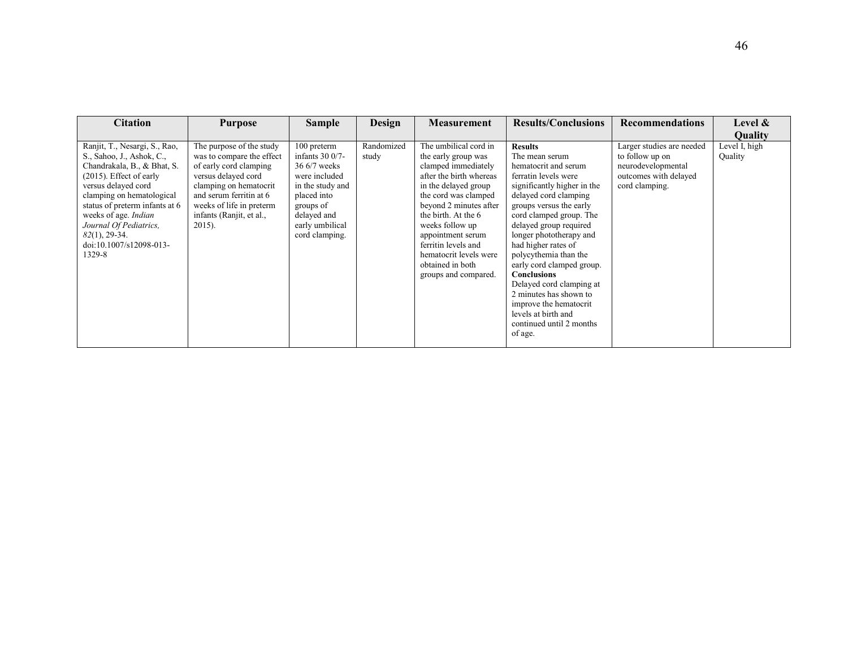| <b>Citation</b>                                                                                                                                                                                                                                                                                                          | <b>Purpose</b>                                                                                                                                                                                                                   | <b>Sample</b>                                                                                                                                                          | Design              | <b>Measurement</b>                                                                                                                                                                                                                                                                                                                   | <b>Results/Conclusions</b>                                                                                                                                                                                                                                                                                                                                                                                                                                                                           | <b>Recommendations</b>                                                                                        | Level $\&$               |
|--------------------------------------------------------------------------------------------------------------------------------------------------------------------------------------------------------------------------------------------------------------------------------------------------------------------------|----------------------------------------------------------------------------------------------------------------------------------------------------------------------------------------------------------------------------------|------------------------------------------------------------------------------------------------------------------------------------------------------------------------|---------------------|--------------------------------------------------------------------------------------------------------------------------------------------------------------------------------------------------------------------------------------------------------------------------------------------------------------------------------------|------------------------------------------------------------------------------------------------------------------------------------------------------------------------------------------------------------------------------------------------------------------------------------------------------------------------------------------------------------------------------------------------------------------------------------------------------------------------------------------------------|---------------------------------------------------------------------------------------------------------------|--------------------------|
|                                                                                                                                                                                                                                                                                                                          |                                                                                                                                                                                                                                  |                                                                                                                                                                        |                     |                                                                                                                                                                                                                                                                                                                                      |                                                                                                                                                                                                                                                                                                                                                                                                                                                                                                      |                                                                                                               | <b>Ouality</b>           |
| Ranjit, T., Nesargi, S., Rao,<br>S., Sahoo, J., Ashok, C.,<br>Chandrakala, B., & Bhat, S.<br>$(2015)$ . Effect of early<br>versus delayed cord<br>clamping on hematological<br>status of preterm infants at 6<br>weeks of age. Indian<br>Journal Of Pediatrics,<br>$82(1)$ , 29-34.<br>doi:10.1007/s12098-013-<br>1329-8 | The purpose of the study<br>was to compare the effect<br>of early cord clamping<br>versus delayed cord<br>clamping on hematocrit<br>and serum ferritin at 6<br>weeks of life in preterm<br>infants (Ranjit, et al.,<br>$2015$ ). | 100 preterm<br>infants $300/7$ -<br>$366/7$ weeks<br>were included<br>in the study and<br>placed into<br>groups of<br>delayed and<br>early umbilical<br>cord clamping. | Randomized<br>study | The umbilical cord in<br>the early group was<br>clamped immediately<br>after the birth whereas<br>in the delayed group<br>the cord was clamped<br>beyond 2 minutes after<br>the birth. At the 6<br>weeks follow up<br>appointment serum<br>ferritin levels and<br>hematocrit levels were<br>obtained in both<br>groups and compared. | <b>Results</b><br>The mean serum<br>hematocrit and serum<br>ferratin levels were<br>significantly higher in the<br>delayed cord clamping<br>groups versus the early<br>cord clamped group. The<br>delayed group required<br>longer phototherapy and<br>had higher rates of<br>polycythemia than the<br>early cord clamped group.<br><b>Conclusions</b><br>Delayed cord clamping at<br>2 minutes has shown to<br>improve the hematocrit<br>levels at birth and<br>continued until 2 months<br>of age. | Larger studies are needed<br>to follow up on<br>neurodevelopmental<br>outcomes with delayed<br>cord clamping. | Level I, high<br>Quality |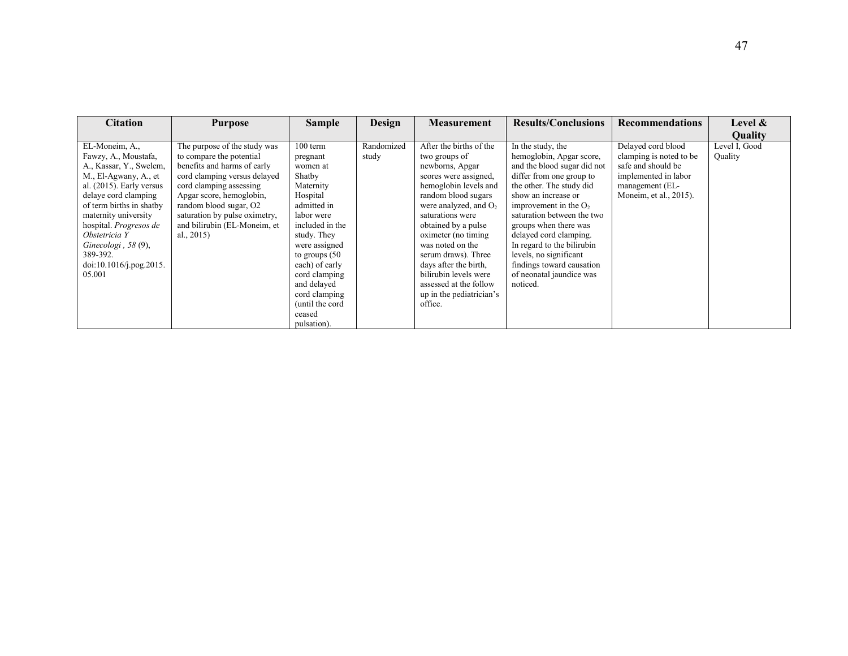| <b>Citation</b>                                                                                                                                                                                                                                                                                                            | <b>Purpose</b>                                                                                                                                                                                                                                                                             | <b>Sample</b>                                                                                                                                                                                                                                                                            | Design              | <b>Measurement</b>                                                                                                                                                                                                                                                                                                                                                                                | <b>Results/Conclusions</b>                                                                                                                                                                                                                                                                                                                                                                           | <b>Recommendations</b>                                                                                                                   | Level $\&$               |
|----------------------------------------------------------------------------------------------------------------------------------------------------------------------------------------------------------------------------------------------------------------------------------------------------------------------------|--------------------------------------------------------------------------------------------------------------------------------------------------------------------------------------------------------------------------------------------------------------------------------------------|------------------------------------------------------------------------------------------------------------------------------------------------------------------------------------------------------------------------------------------------------------------------------------------|---------------------|---------------------------------------------------------------------------------------------------------------------------------------------------------------------------------------------------------------------------------------------------------------------------------------------------------------------------------------------------------------------------------------------------|------------------------------------------------------------------------------------------------------------------------------------------------------------------------------------------------------------------------------------------------------------------------------------------------------------------------------------------------------------------------------------------------------|------------------------------------------------------------------------------------------------------------------------------------------|--------------------------|
|                                                                                                                                                                                                                                                                                                                            |                                                                                                                                                                                                                                                                                            |                                                                                                                                                                                                                                                                                          |                     |                                                                                                                                                                                                                                                                                                                                                                                                   |                                                                                                                                                                                                                                                                                                                                                                                                      |                                                                                                                                          | Quality                  |
| EL-Moneim, A.,<br>Fawzy, A., Moustafa,<br>A., Kassar, Y., Swelem,<br>M., El-Agwany, A., et<br>al. $(2015)$ . Early versus<br>delaye cord clamping<br>of term births in shatby<br>maternity university<br>hospital. Progresos de<br>Obstetricia Y<br>Ginecologi, $58(9)$ ,<br>389-392.<br>doi:10.1016/j.pog.2015.<br>05.001 | The purpose of the study was<br>to compare the potential<br>benefits and harms of early<br>cord clamping versus delayed<br>cord clamping assessing<br>Apgar score, hemoglobin,<br>random blood sugar, O2<br>saturation by pulse oximetry,<br>and bilirubin (EL-Moneim, et<br>al., $2015$ ) | $100$ term<br>pregnant<br>women at<br>Shatby<br>Maternity<br>Hospital<br>admitted in<br>labor were<br>included in the<br>study. They<br>were assigned<br>to groups $(50$<br>each) of early<br>cord clamping<br>and delayed<br>cord clamping<br>(until the cord)<br>ceased<br>pulsation). | Randomized<br>study | After the births of the<br>two groups of<br>newborns, Apgar<br>scores were assigned,<br>hemoglobin levels and<br>random blood sugars<br>were analyzed, and $O_2$<br>saturations were<br>obtained by a pulse<br>oximeter (no timing)<br>was noted on the<br>serum draws). Three<br>days after the birth.<br>bilirubin levels were<br>assessed at the follow<br>up in the pediatrician's<br>office. | In the study, the<br>hemoglobin, Apgar score,<br>and the blood sugar did not<br>differ from one group to<br>the other. The study did<br>show an increase or<br>improvement in the $O2$<br>saturation between the two<br>groups when there was<br>delayed cord clamping.<br>In regard to the bilirubin<br>levels, no significant<br>findings toward causation<br>of neonatal jaundice was<br>noticed. | Delayed cord blood<br>clamping is noted to be<br>safe and should be<br>implemented in labor<br>management (EL-<br>Moneim, et al., 2015). | Level I, Good<br>Quality |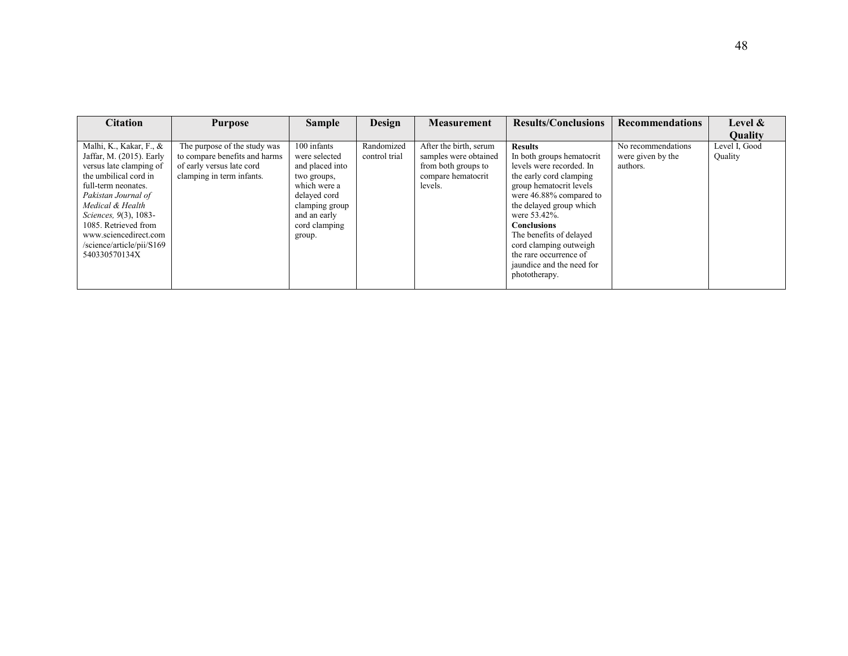| <b>Citation</b>                                                                                                                                                                                                                                                                                   | <b>Purpose</b>                                                                                                          | <b>Sample</b>                                                                                                                                               | Design                      | <b>Measurement</b>                                                                                      | <b>Results/Conclusions</b>                                                                                                                                                                                                                                                                                                                             | <b>Recommendations</b>                              | Level $\&$               |
|---------------------------------------------------------------------------------------------------------------------------------------------------------------------------------------------------------------------------------------------------------------------------------------------------|-------------------------------------------------------------------------------------------------------------------------|-------------------------------------------------------------------------------------------------------------------------------------------------------------|-----------------------------|---------------------------------------------------------------------------------------------------------|--------------------------------------------------------------------------------------------------------------------------------------------------------------------------------------------------------------------------------------------------------------------------------------------------------------------------------------------------------|-----------------------------------------------------|--------------------------|
|                                                                                                                                                                                                                                                                                                   |                                                                                                                         |                                                                                                                                                             |                             |                                                                                                         |                                                                                                                                                                                                                                                                                                                                                        |                                                     | <b>Quality</b>           |
| Malhi, K., Kakar, F., &<br>Jaffar, M. (2015). Early<br>versus late clamping of<br>the umbilical cord in<br>full-term neonates.<br>Pakistan Journal of<br>Medical & Health<br>Sciences, 9(3), 1083-<br>1085. Retrieved from<br>www.sciencedirect.com<br>/science/article/pii/S169<br>540330570134X | The purpose of the study was<br>to compare benefits and harms<br>of early versus late cord<br>clamping in term infants. | 100 infants<br>were selected<br>and placed into<br>two groups,<br>which were a<br>delayed cord<br>clamping group<br>and an early<br>cord clamping<br>group. | Randomized<br>control trial | After the birth, serum<br>samples were obtained<br>from both groups to<br>compare hematocrit<br>levels. | <b>Results</b><br>In both groups hematocrit<br>levels were recorded. In<br>the early cord clamping<br>group hematocrit levels<br>were 46.88% compared to<br>the delayed group which<br>were 53.42%.<br><b>Conclusions</b><br>The benefits of delayed<br>cord clamping outweigh<br>the rare occurrence of<br>jaundice and the need for<br>phototherapy. | No recommendations<br>were given by the<br>authors. | Level I, Good<br>Quality |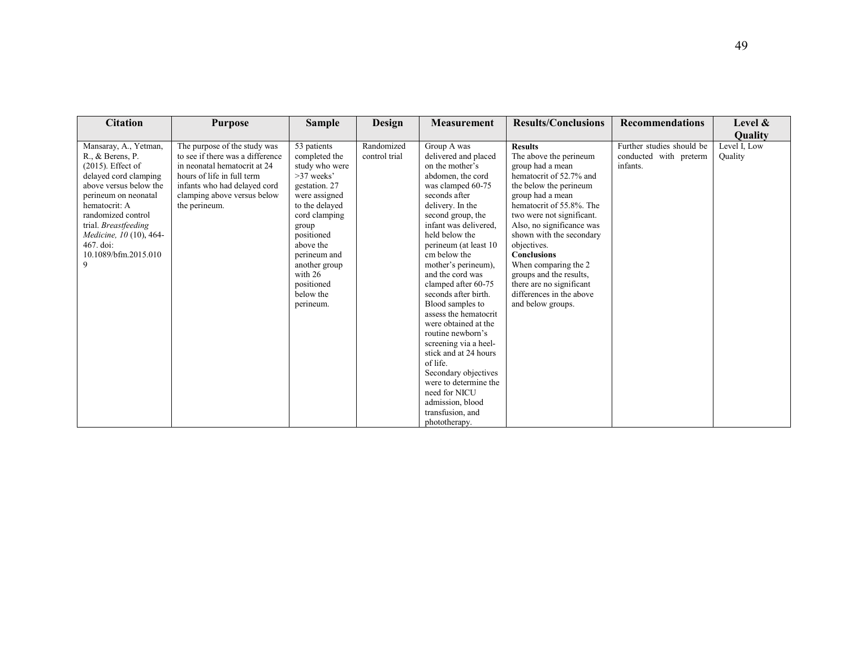| <b>Citation</b>                                                                                                                                                                                                                                                                  | <b>Purpose</b>                                                                                                                                                                                                 | <b>Sample</b>                                                                                                                                                                                                                                                 | <b>Design</b>               | <b>Measurement</b>                                                                                                                                                                                                                                                                                                                                                                                                                                                                                                                                                                                                           | <b>Results/Conclusions</b>                                                                                                                                                                                                                                                                                                                                                                                                   | <b>Recommendations</b>                                          | Level &                 |
|----------------------------------------------------------------------------------------------------------------------------------------------------------------------------------------------------------------------------------------------------------------------------------|----------------------------------------------------------------------------------------------------------------------------------------------------------------------------------------------------------------|---------------------------------------------------------------------------------------------------------------------------------------------------------------------------------------------------------------------------------------------------------------|-----------------------------|------------------------------------------------------------------------------------------------------------------------------------------------------------------------------------------------------------------------------------------------------------------------------------------------------------------------------------------------------------------------------------------------------------------------------------------------------------------------------------------------------------------------------------------------------------------------------------------------------------------------------|------------------------------------------------------------------------------------------------------------------------------------------------------------------------------------------------------------------------------------------------------------------------------------------------------------------------------------------------------------------------------------------------------------------------------|-----------------------------------------------------------------|-------------------------|
|                                                                                                                                                                                                                                                                                  |                                                                                                                                                                                                                |                                                                                                                                                                                                                                                               |                             |                                                                                                                                                                                                                                                                                                                                                                                                                                                                                                                                                                                                                              |                                                                                                                                                                                                                                                                                                                                                                                                                              |                                                                 | Quality                 |
| Mansaray, A., Yetman,<br>R., & Berens, P.<br>$(2015)$ . Effect of<br>delayed cord clamping<br>above versus below the<br>perineum on neonatal<br>hematocrit: A<br>randomized control<br>trial. Breastfeeding<br>Medicine, 10 (10), 464-<br>467. doi:<br>10.1089/bfm.2015.010<br>9 | The purpose of the study was<br>to see if there was a difference<br>in neonatal hematocrit at 24<br>hours of life in full term<br>infants who had delayed cord<br>clamping above versus below<br>the perineum. | 53 patients<br>completed the<br>study who were<br>$>37$ weeks'<br>gestation. 27<br>were assigned<br>to the delayed<br>cord clamping<br>group<br>positioned<br>above the<br>perineum and<br>another group<br>with $26$<br>positioned<br>below the<br>perineum. | Randomized<br>control trial | Group A was<br>delivered and placed<br>on the mother's<br>abdomen, the cord<br>was clamped 60-75<br>seconds after<br>delivery. In the<br>second group, the<br>infant was delivered.<br>held below the<br>perineum (at least 10)<br>cm below the<br>mother's perineum).<br>and the cord was<br>clamped after 60-75<br>seconds after birth.<br>Blood samples to<br>assess the hematocrit<br>were obtained at the<br>routine newborn's<br>screening via a heel-<br>stick and at 24 hours<br>of life.<br>Secondary objectives<br>were to determine the<br>need for NICU<br>admission, blood<br>transfusion, and<br>phototherapy. | <b>Results</b><br>The above the perineum<br>group had a mean<br>hematocrit of 52.7% and<br>the below the perineum<br>group had a mean<br>hematocrit of 55.8%. The<br>two were not significant.<br>Also, no significance was<br>shown with the secondary<br>objectives.<br><b>Conclusions</b><br>When comparing the 2<br>groups and the results,<br>there are no significant<br>differences in the above<br>and below groups. | Further studies should be<br>conducted with preterm<br>infants. | Level I, Low<br>Quality |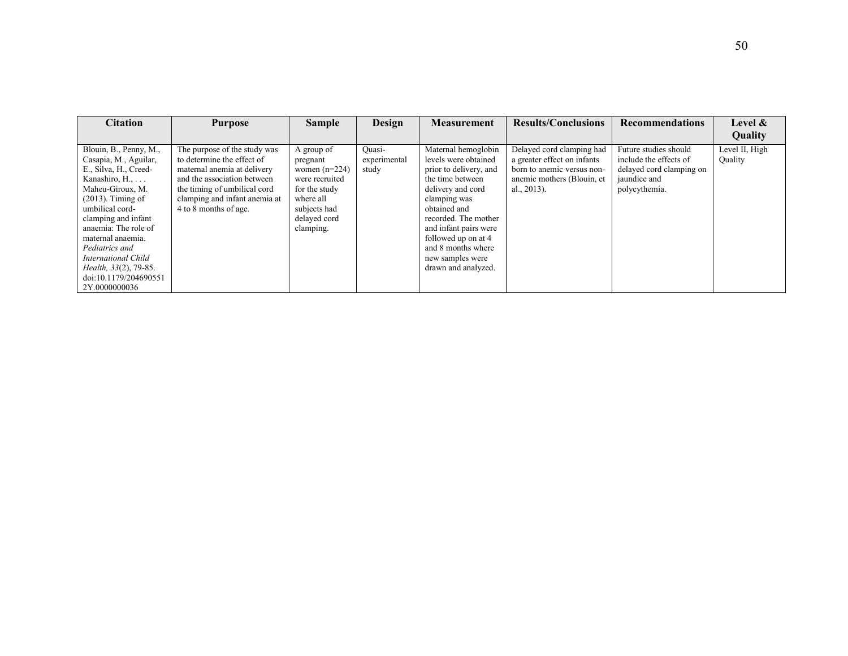| <b>Citation</b>                                                                                                                                                                                                                                                                                                                                       | <b>Purpose</b>                                                                                                                                                                                                     | <b>Sample</b>                                                                                                                          | Design                          | <b>Measurement</b>                                                                                                                                                                                                                                                                      | <b>Results/Conclusions</b>                                                                                                             | <b>Recommendations</b>                                                                                       | <b>Level &amp;</b>        |
|-------------------------------------------------------------------------------------------------------------------------------------------------------------------------------------------------------------------------------------------------------------------------------------------------------------------------------------------------------|--------------------------------------------------------------------------------------------------------------------------------------------------------------------------------------------------------------------|----------------------------------------------------------------------------------------------------------------------------------------|---------------------------------|-----------------------------------------------------------------------------------------------------------------------------------------------------------------------------------------------------------------------------------------------------------------------------------------|----------------------------------------------------------------------------------------------------------------------------------------|--------------------------------------------------------------------------------------------------------------|---------------------------|
|                                                                                                                                                                                                                                                                                                                                                       |                                                                                                                                                                                                                    |                                                                                                                                        |                                 |                                                                                                                                                                                                                                                                                         |                                                                                                                                        |                                                                                                              | Quality                   |
| Blouin, B., Penny, M.,<br>Casapia, M., Aguilar,<br>E., Silva, H., Creed-<br>Kanashiro, $H_{1}, \ldots$<br>Maheu-Giroux, M.<br>$(2013)$ . Timing of<br>umbilical cord-<br>clamping and infant<br>anaemia: The role of<br>maternal anaemia.<br>Pediatrics and<br>International Child<br>Health, 33(2), 79-85.<br>doi:10.1179/204690551<br>2Y.0000000036 | The purpose of the study was<br>to determine the effect of<br>maternal anemia at delivery<br>and the association between<br>the timing of umbilical cord<br>clamping and infant anemia at<br>4 to 8 months of age. | A group of<br>pregnant<br>women $(n=224)$<br>were recruited<br>for the study<br>where all<br>subjects had<br>delayed cord<br>clamping. | Ouasi-<br>experimental<br>study | Maternal hemoglobin<br>levels were obtained<br>prior to delivery, and<br>the time between<br>delivery and cord<br>clamping was<br>obtained and<br>recorded. The mother<br>and infant pairs were<br>followed up on at 4<br>and 8 months where<br>new samples were<br>drawn and analyzed. | Delayed cord clamping had<br>a greater effect on infants<br>born to anemic versus non-<br>anemic mothers (Blouin, et<br>al., $2013$ ). | Future studies should<br>include the effects of<br>delayed cord clamping on<br>jaundice and<br>polycythemia. | Level II, High<br>Quality |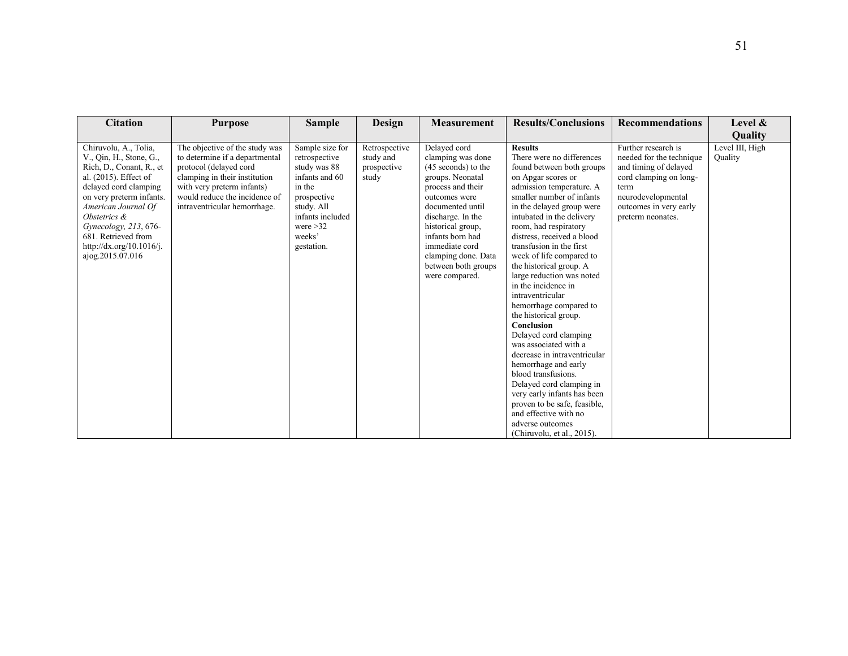| <b>Citation</b>                                                                                                                                                                                                                                                                                   | <b>Purpose</b>                                                                                                                                                                                                             | <b>Sample</b>                                                                                                                                                       | Design                                             | <b>Measurement</b>                                                                                                                                                                                                                                                                     | <b>Results/Conclusions</b>                                                                                                                                                                                                                                                                                                                                                                                                                                                                                                                                                                                                                                                                                                                                                                                  | <b>Recommendations</b>                                                                                                                                                          | Level &                    |
|---------------------------------------------------------------------------------------------------------------------------------------------------------------------------------------------------------------------------------------------------------------------------------------------------|----------------------------------------------------------------------------------------------------------------------------------------------------------------------------------------------------------------------------|---------------------------------------------------------------------------------------------------------------------------------------------------------------------|----------------------------------------------------|----------------------------------------------------------------------------------------------------------------------------------------------------------------------------------------------------------------------------------------------------------------------------------------|-------------------------------------------------------------------------------------------------------------------------------------------------------------------------------------------------------------------------------------------------------------------------------------------------------------------------------------------------------------------------------------------------------------------------------------------------------------------------------------------------------------------------------------------------------------------------------------------------------------------------------------------------------------------------------------------------------------------------------------------------------------------------------------------------------------|---------------------------------------------------------------------------------------------------------------------------------------------------------------------------------|----------------------------|
|                                                                                                                                                                                                                                                                                                   |                                                                                                                                                                                                                            |                                                                                                                                                                     |                                                    |                                                                                                                                                                                                                                                                                        |                                                                                                                                                                                                                                                                                                                                                                                                                                                                                                                                                                                                                                                                                                                                                                                                             |                                                                                                                                                                                 | Quality                    |
| Chiruvolu, A., Tolia,<br>V., Qin, H., Stone, G.,<br>Rich, D., Conant, R., et<br>al. (2015). Effect of<br>delayed cord clamping<br>on very preterm infants.<br>American Journal Of<br>Obstetrics &<br>Gynecology, 213, 676-<br>681. Retrieved from<br>http://dx.org/10.1016/j.<br>ajog.2015.07.016 | The objective of the study was<br>to determine if a departmental<br>protocol (delayed cord<br>clamping in their institution<br>with very preterm infants)<br>would reduce the incidence of<br>intraventricular hemorrhage. | Sample size for<br>retrospective<br>study was 88<br>infants and 60<br>in the<br>prospective<br>study. All<br>infants included<br>were $>32$<br>weeks'<br>gestation. | Retrospective<br>study and<br>prospective<br>study | Delayed cord<br>clamping was done<br>(45 seconds) to the<br>groups. Neonatal<br>process and their<br>outcomes were<br>documented until<br>discharge. In the<br>historical group,<br>infants born had<br>immediate cord<br>clamping done. Data<br>between both groups<br>were compared. | <b>Results</b><br>There were no differences<br>found between both groups<br>on Apgar scores or<br>admission temperature. A<br>smaller number of infants<br>in the delayed group were<br>intubated in the delivery<br>room, had respiratory<br>distress, received a blood<br>transfusion in the first<br>week of life compared to<br>the historical group. A<br>large reduction was noted<br>in the incidence in<br>intraventricular<br>hemorrhage compared to<br>the historical group.<br>Conclusion<br>Delayed cord clamping<br>was associated with a<br>decrease in intraventricular<br>hemorrhage and early<br>blood transfusions.<br>Delayed cord clamping in<br>very early infants has been<br>proven to be safe, feasible,<br>and effective with no<br>adverse outcomes<br>(Chiruvolu, et al., 2015). | Further research is<br>needed for the technique<br>and timing of delayed<br>cord clamping on long-<br>term<br>neurodevelopmental<br>outcomes in very early<br>preterm neonates. | Level III, High<br>Ouality |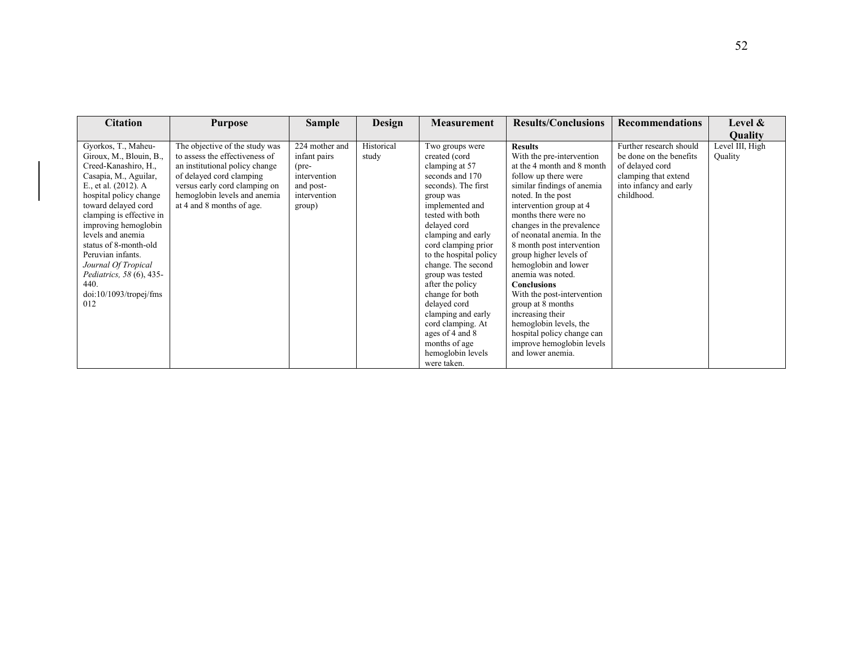| <b>Citation</b>                                                                                                                                                                                                                                                                                                                                                                             | <b>Purpose</b>                                                                                                                                                                                                               | <b>Sample</b>                                                                                          | Design              | <b>Measurement</b>                                                                                                                                                                                                                                                                                                                                                                                                                                          | <b>Results/Conclusions</b>                                                                                                                                                                                                                                                                                                                                                                                                                                                                                                                                                     | <b>Recommendations</b>                                                                                                                | Level $\&$<br><b>Ouality</b> |
|---------------------------------------------------------------------------------------------------------------------------------------------------------------------------------------------------------------------------------------------------------------------------------------------------------------------------------------------------------------------------------------------|------------------------------------------------------------------------------------------------------------------------------------------------------------------------------------------------------------------------------|--------------------------------------------------------------------------------------------------------|---------------------|-------------------------------------------------------------------------------------------------------------------------------------------------------------------------------------------------------------------------------------------------------------------------------------------------------------------------------------------------------------------------------------------------------------------------------------------------------------|--------------------------------------------------------------------------------------------------------------------------------------------------------------------------------------------------------------------------------------------------------------------------------------------------------------------------------------------------------------------------------------------------------------------------------------------------------------------------------------------------------------------------------------------------------------------------------|---------------------------------------------------------------------------------------------------------------------------------------|------------------------------|
| Gyorkos, T., Maheu-<br>Giroux, M., Blouin, B.,<br>Creed-Kanashiro, H.,<br>Casapia, M., Aguilar,<br>E., et al. (2012). A<br>hospital policy change<br>toward delayed cord<br>clamping is effective in<br>improving hemoglobin<br>levels and anemia<br>status of 8-month-old<br>Peruvian infants.<br>Journal Of Tropical<br>Pediatrics, 58 (6), 435-<br>440.<br>doi:10/1093/tropej/fms<br>012 | The objective of the study was<br>to assess the effectiveness of<br>an institutional policy change<br>of delayed cord clamping<br>versus early cord clamping on<br>hemoglobin levels and anemia<br>at 4 and 8 months of age. | 224 mother and<br>infant pairs<br>$(\text{pre}$<br>intervention<br>and post-<br>intervention<br>group) | Historical<br>study | Two groups were<br>created (cord<br>clamping at 57<br>seconds and 170<br>seconds). The first<br>group was<br>implemented and<br>tested with both<br>delayed cord<br>clamping and early<br>cord clamping prior<br>to the hospital policy<br>change. The second<br>group was tested<br>after the policy<br>change for both<br>delayed cord<br>clamping and early<br>cord clamping. At<br>ages of 4 and 8<br>months of age<br>hemoglobin levels<br>were taken. | <b>Results</b><br>With the pre-intervention<br>at the 4 month and 8 month<br>follow up there were<br>similar findings of anemia<br>noted. In the post<br>intervention group at 4<br>months there were no<br>changes in the prevalence<br>of neonatal anemia. In the<br>8 month post intervention<br>group higher levels of<br>hemoglobin and lower<br>anemia was noted.<br><b>Conclusions</b><br>With the post-intervention<br>group at 8 months<br>increasing their<br>hemoglobin levels, the<br>hospital policy change can<br>improve hemoglobin levels<br>and lower anemia. | Further research should<br>be done on the benefits<br>of delayed cord<br>clamping that extend<br>into infancy and early<br>childhood. | Level III, High<br>Quality   |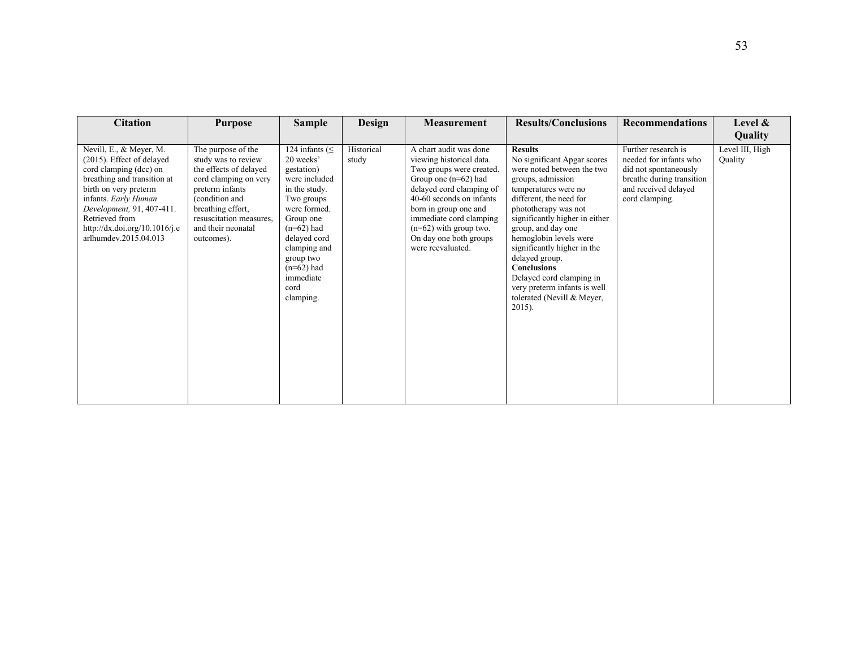| <b>Citation</b>                                                                                                                                                                                                                                                         | <b>Purpose</b>                                                                                                                                                                                                        | <b>Sample</b>                                                                                                                                                                                                                               | Design              | Measurement                                                                                                                                                                                                                                                                                     | <b>Results/Conclusions</b>                                                                                                                                                                                                                                                                                                                                                                                                                  | <b>Recommendations</b>                                                                                                                        | Level $\&$<br>Quality      |
|-------------------------------------------------------------------------------------------------------------------------------------------------------------------------------------------------------------------------------------------------------------------------|-----------------------------------------------------------------------------------------------------------------------------------------------------------------------------------------------------------------------|---------------------------------------------------------------------------------------------------------------------------------------------------------------------------------------------------------------------------------------------|---------------------|-------------------------------------------------------------------------------------------------------------------------------------------------------------------------------------------------------------------------------------------------------------------------------------------------|---------------------------------------------------------------------------------------------------------------------------------------------------------------------------------------------------------------------------------------------------------------------------------------------------------------------------------------------------------------------------------------------------------------------------------------------|-----------------------------------------------------------------------------------------------------------------------------------------------|----------------------------|
| Nevill, E., & Meyer, M.<br>(2015). Effect of delayed<br>cord clamping (dcc) on<br>breathing and transition at<br>birth on very preterm<br>infants. Early Human<br>Development, 91, 407-411.<br>Retrieved from<br>http://dx.doi.org/10.1016/j.e<br>arlhumdey.2015.04.013 | The purpose of the<br>study was to review<br>the effects of delayed<br>cord clamping on very<br>preterm infants<br>(condition and<br>breathing effort,<br>resuscitation measures.<br>and their neonatal<br>outcomes). | 124 infants ( $\leq$<br>20 weeks'<br>gestation)<br>were included<br>in the study.<br>Two groups<br>were formed.<br>Group one<br>$(n=62)$ had<br>delayed cord<br>clamping and<br>group two<br>$(n=62)$ had<br>immediate<br>cord<br>clamping. | Historical<br>study | A chart audit was done<br>viewing historical data.<br>Two groups were created.<br>Group one $(n=62)$ had<br>delayed cord clamping of<br>40-60 seconds on infants<br>born in group one and<br>immediate cord clamping<br>$(n=62)$ with group two.<br>On day one both groups<br>were reevaluated. | <b>Results</b><br>No significant Apgar scores<br>were noted between the two<br>groups, admission<br>temperatures were no<br>different, the need for<br>phototherapy was not<br>significantly higher in either<br>group, and day one<br>hemoglobin levels were<br>significantly higher in the<br>delayed group.<br><b>Conclusions</b><br>Delayed cord clamping in<br>very preterm infants is well<br>tolerated (Nevill & Meyer,<br>$2015$ ). | Further research is<br>needed for infants who<br>did not spontaneously<br>breathe during transition<br>and received delayed<br>cord clamping. | Level III, High<br>Quality |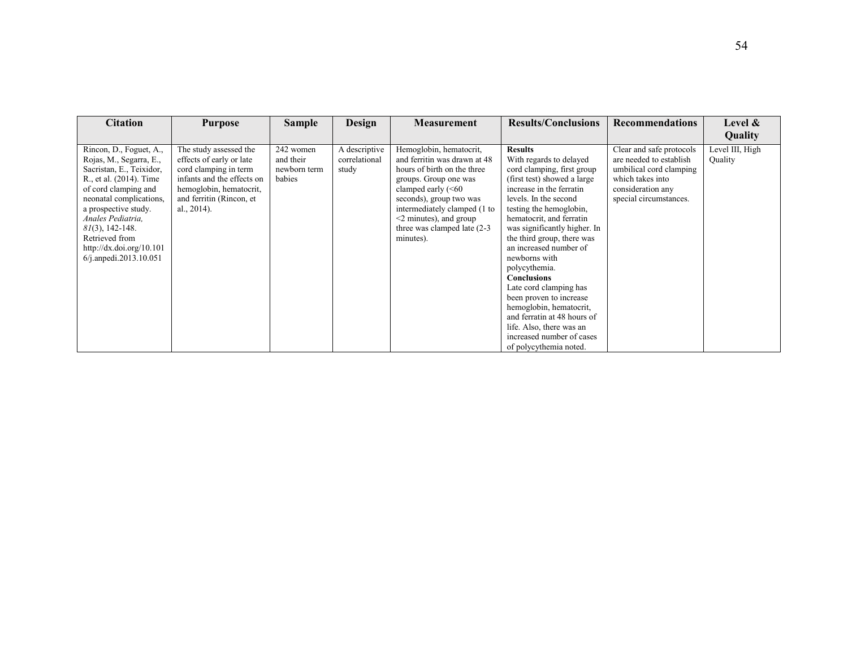| <b>Citation</b>                                                                                                                                                                                                                                                                                         | <b>Purpose</b>                                                                                                                                                                     | <b>Sample</b>                                    | Design                                  | <b>Measurement</b>                                                                                                                                                                                                                                                         | <b>Results/Conclusions</b>                                                                                                                                                                                                                                                                                                                                                                                                                                                                                                                                           | <b>Recommendations</b>                                                                                                                            | Level &<br>Quality         |
|---------------------------------------------------------------------------------------------------------------------------------------------------------------------------------------------------------------------------------------------------------------------------------------------------------|------------------------------------------------------------------------------------------------------------------------------------------------------------------------------------|--------------------------------------------------|-----------------------------------------|----------------------------------------------------------------------------------------------------------------------------------------------------------------------------------------------------------------------------------------------------------------------------|----------------------------------------------------------------------------------------------------------------------------------------------------------------------------------------------------------------------------------------------------------------------------------------------------------------------------------------------------------------------------------------------------------------------------------------------------------------------------------------------------------------------------------------------------------------------|---------------------------------------------------------------------------------------------------------------------------------------------------|----------------------------|
| Rincon, D., Foguet, A.,<br>Rojas, M., Segarra, E.,<br>Sacristan, E., Teixidor,<br>R., et al. (2014). Time<br>of cord clamping and<br>neonatal complications,<br>a prospective study.<br>Anales Pediatria,<br>$81(3)$ , 142-148.<br>Retrieved from<br>http://dx.doi.org/10.101<br>6/j.anpedi.2013.10.051 | The study assessed the<br>effects of early or late<br>cord clamping in term<br>infants and the effects on<br>hemoglobin, hematocrit,<br>and ferritin (Rincon, et<br>al., $2014$ ). | 242 women<br>and their<br>newborn term<br>babies | A descriptive<br>correlational<br>study | Hemoglobin, hematocrit,<br>and ferritin was drawn at 48<br>hours of birth on the three<br>groups. Group one was<br>clamped early (<60<br>seconds), group two was<br>intermediately clamped (1 to<br>$<$ 2 minutes), and group<br>three was clamped late (2-3)<br>minutes). | <b>Results</b><br>With regards to delayed<br>cord clamping, first group<br>(first test) showed a large<br>increase in the ferratin<br>levels. In the second<br>testing the hemoglobin,<br>hematocrit, and ferratin<br>was significantly higher. In<br>the third group, there was<br>an increased number of<br>newborns with<br>polycythemia.<br><b>Conclusions</b><br>Late cord clamping has<br>been proven to increase<br>hemoglobin, hematocrit,<br>and ferratin at 48 hours of<br>life. Also, there was an<br>increased number of cases<br>of polycythemia noted. | Clear and safe protocols<br>are needed to establish<br>umbilical cord clamping<br>which takes into<br>consideration any<br>special circumstances. | Level III, High<br>Quality |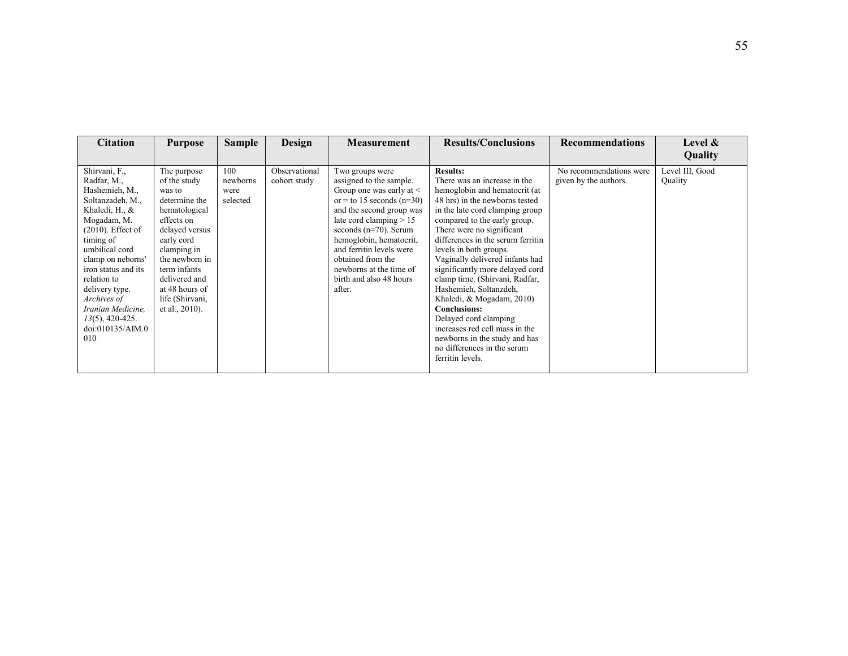| <b>Citation</b>                                                                                                                                                                                                                                                             | <b>Purpose</b>                                                                                                                                                                                                                                 | <b>Sample</b>                       | Design                        | <b>Measurement</b>                                                                                                                                                                                                                                                                                                                            | <b>Results/Conclusions</b>                                                                                                                                                                                                                                                                                                                                                                                                                                              | <b>Recommendations</b>                           | Level $\&$                 |
|-----------------------------------------------------------------------------------------------------------------------------------------------------------------------------------------------------------------------------------------------------------------------------|------------------------------------------------------------------------------------------------------------------------------------------------------------------------------------------------------------------------------------------------|-------------------------------------|-------------------------------|-----------------------------------------------------------------------------------------------------------------------------------------------------------------------------------------------------------------------------------------------------------------------------------------------------------------------------------------------|-------------------------------------------------------------------------------------------------------------------------------------------------------------------------------------------------------------------------------------------------------------------------------------------------------------------------------------------------------------------------------------------------------------------------------------------------------------------------|--------------------------------------------------|----------------------------|
|                                                                                                                                                                                                                                                                             |                                                                                                                                                                                                                                                |                                     |                               |                                                                                                                                                                                                                                                                                                                                               |                                                                                                                                                                                                                                                                                                                                                                                                                                                                         |                                                  | Quality                    |
| Shirvani, F.,<br>Radfar, M.,<br>Hashemieh, M.,<br>Soltanzadeh, M.,<br>Khaledi, H., &<br>Mogadam, M.<br>$(2010)$ . Effect of<br>timing of<br>umbilical cord<br>clamp on neborns'<br>iron status and its<br>relation to<br>delivery type.<br>Archives of<br>Iranian Medicine, | The purpose<br>of the study<br>was to<br>determine the<br>hematological<br>effects on<br>delayed versus<br>early cord<br>clamping in<br>the newborn in<br>term infants<br>delivered and<br>at 48 hours of<br>life (Shirvani,<br>et al., 2010). | 100<br>newborns<br>were<br>selected | Observational<br>cohort study | Two groups were<br>assigned to the sample.<br>Group one was early at $\leq$<br>or = to 15 seconds ( $n=30$ )<br>and the second group was<br>late cord clamping $> 15$<br>seconds $(n=70)$ . Serum<br>hemoglobin, hematocrit,<br>and ferritin levels were<br>obtained from the<br>newborns at the time of<br>birth and also 48 hours<br>after. | <b>Results:</b><br>There was an increase in the<br>hemoglobin and hematocrit (at<br>48 hrs) in the newborns tested<br>in the late cord clamping group<br>compared to the early group.<br>There were no significant<br>differences in the serum ferritin<br>levels in both groups.<br>Vaginally delivered infants had<br>significantly more delayed cord<br>clamp time. (Shirvani, Radfar,<br>Hashemieh, Soltanzdeh,<br>Khaledi, & Mogadam, 2010)<br><b>Conclusions:</b> | No recommendations were<br>given by the authors. | Level III, Good<br>Quality |
| $13(5)$ , 420-425.<br>doi:010135/AIM.0<br>010                                                                                                                                                                                                                               |                                                                                                                                                                                                                                                |                                     |                               |                                                                                                                                                                                                                                                                                                                                               | Delayed cord clamping<br>increases red cell mass in the<br>newborns in the study and has<br>no differences in the serum<br>ferritin levels.                                                                                                                                                                                                                                                                                                                             |                                                  |                            |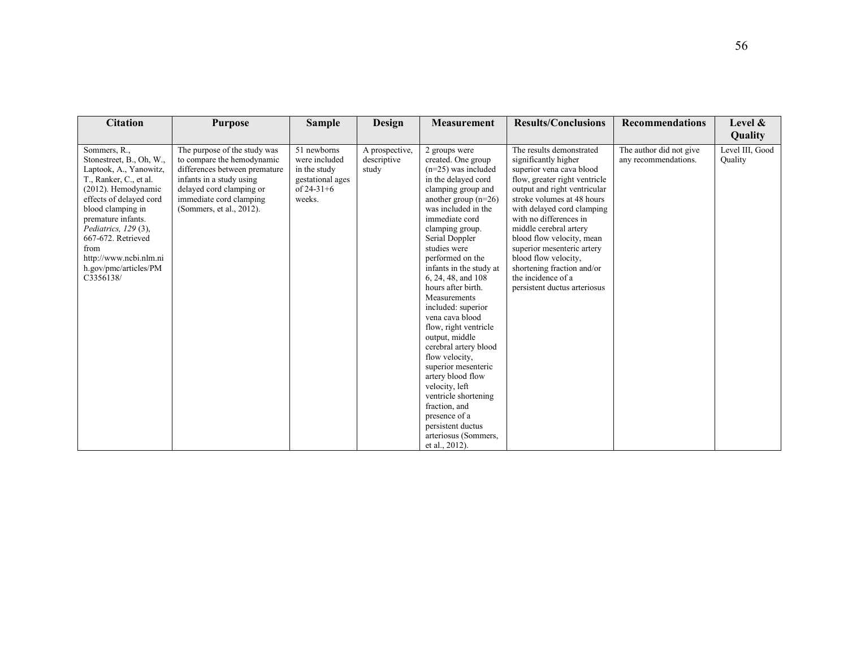| <b>Citation</b>                                                                                                                                                                                                                                                                                                 | <b>Purpose</b>                                                                                                                                                                                             | <b>Sample</b>                                                                              | Design                                 | Measurement                                                                                                                                                                                                                                                                                                                                                                                                                                                                                                                                                                                                                                                        | <b>Results/Conclusions</b>                                                                                                                                                                                                                                                                                                                                                                                                           | <b>Recommendations</b>                          | Level &                    |
|-----------------------------------------------------------------------------------------------------------------------------------------------------------------------------------------------------------------------------------------------------------------------------------------------------------------|------------------------------------------------------------------------------------------------------------------------------------------------------------------------------------------------------------|--------------------------------------------------------------------------------------------|----------------------------------------|--------------------------------------------------------------------------------------------------------------------------------------------------------------------------------------------------------------------------------------------------------------------------------------------------------------------------------------------------------------------------------------------------------------------------------------------------------------------------------------------------------------------------------------------------------------------------------------------------------------------------------------------------------------------|--------------------------------------------------------------------------------------------------------------------------------------------------------------------------------------------------------------------------------------------------------------------------------------------------------------------------------------------------------------------------------------------------------------------------------------|-------------------------------------------------|----------------------------|
|                                                                                                                                                                                                                                                                                                                 |                                                                                                                                                                                                            |                                                                                            |                                        |                                                                                                                                                                                                                                                                                                                                                                                                                                                                                                                                                                                                                                                                    |                                                                                                                                                                                                                                                                                                                                                                                                                                      |                                                 | Quality                    |
| Sommers, R.,<br>Stonestreet, B., Oh, W.,<br>Laptook, A., Yanowitz,<br>T., Ranker, C., et al.<br>(2012). Hemodynamic<br>effects of delayed cord<br>blood clamping in<br>premature infants.<br>Pediatrics, 129 (3),<br>667-672. Retrieved<br>from<br>http://www.ncbi.nlm.ni<br>h.gov/pmc/articles/PM<br>C3356138/ | The purpose of the study was<br>to compare the hemodynamic<br>differences between premature<br>infants in a study using<br>delayed cord clamping or<br>immediate cord clamping<br>(Sommers, et al., 2012). | 51 newborns<br>were included<br>in the study<br>gestational ages<br>of $24-31+6$<br>weeks. | A prospective,<br>descriptive<br>study | 2 groups were<br>created. One group<br>$(n=25)$ was included<br>in the delayed cord<br>clamping group and<br>another group $(n=26)$<br>was included in the<br>immediate cord<br>clamping group.<br>Serial Doppler<br>studies were<br>performed on the<br>infants in the study at<br>6, 24, 48, and 108<br>hours after birth.<br>Measurements<br>included: superior<br>vena cava blood<br>flow, right ventricle<br>output, middle<br>cerebral artery blood<br>flow velocity,<br>superior mesenteric<br>artery blood flow<br>velocity, left<br>ventricle shortening<br>fraction, and<br>presence of a<br>persistent ductus<br>arteriosus (Sommers,<br>et al., 2012). | The results demonstrated<br>significantly higher<br>superior vena cava blood<br>flow, greater right ventricle<br>output and right ventricular<br>stroke volumes at 48 hours<br>with delayed cord clamping<br>with no differences in<br>middle cerebral artery<br>blood flow velocity, mean<br>superior mesenteric artery<br>blood flow velocity,<br>shortening fraction and/or<br>the incidence of a<br>persistent ductus arteriosus | The author did not give<br>any recommendations. | Level III, Good<br>Ouality |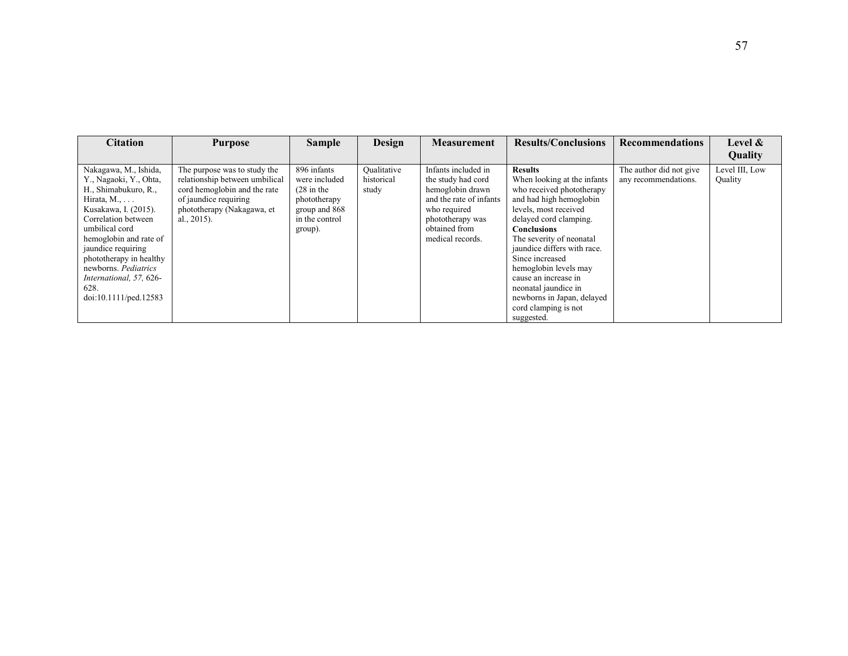| <b>Citation</b>                                                                                                                                                                                                                                       | <b>Purpose</b>                                                                                                                                                          | <b>Sample</b>                                                                                                       | Design                             | <b>Measurement</b>                                                                                                                                                | <b>Results/Conclusions</b>                                                                                                                                                                                                                                   | <b>Recommendations</b>                          | Level &                   |
|-------------------------------------------------------------------------------------------------------------------------------------------------------------------------------------------------------------------------------------------------------|-------------------------------------------------------------------------------------------------------------------------------------------------------------------------|---------------------------------------------------------------------------------------------------------------------|------------------------------------|-------------------------------------------------------------------------------------------------------------------------------------------------------------------|--------------------------------------------------------------------------------------------------------------------------------------------------------------------------------------------------------------------------------------------------------------|-------------------------------------------------|---------------------------|
|                                                                                                                                                                                                                                                       |                                                                                                                                                                         |                                                                                                                     |                                    |                                                                                                                                                                   |                                                                                                                                                                                                                                                              |                                                 | Quality                   |
| Nakagawa, M., Ishida,<br>Y., Nagaoki, Y., Ohta,<br>H., Shimabukuro, R.,<br>Hirata, $M_{1}, \ldots$<br>Kusakawa, I. (2015).<br>Correlation between<br>umbilical cord<br>hemoglobin and rate of<br><i>jaundice</i> requiring<br>phototherapy in healthy | The purpose was to study the<br>relationship between umbilical<br>cord hemoglobin and the rate<br>of jaundice requiring<br>phototherapy (Nakagawa, et<br>al., $2015$ ). | 896 infants<br>were included<br>$(28 \text{ in the})$<br>phototherapy<br>group and 868<br>in the control<br>group). | Oualitative<br>historical<br>study | Infants included in<br>the study had cord<br>hemoglobin drawn<br>and the rate of infants<br>who required<br>phototherapy was<br>obtained from<br>medical records. | <b>Results</b><br>When looking at the infants<br>who received phototherapy<br>and had high hemoglobin<br>levels, most received<br>delayed cord clamping.<br><b>Conclusions</b><br>The severity of neonatal<br>jaundice differs with race.<br>Since increased | The author did not give<br>any recommendations. | Level III, Low<br>Quality |
| newborns. Pediatrics<br>International, 57, 626-<br>628.<br>doi:10.1111/ped.12583                                                                                                                                                                      |                                                                                                                                                                         |                                                                                                                     |                                    |                                                                                                                                                                   | hemoglobin levels may<br>cause an increase in<br>neonatal jaundice in<br>newborns in Japan, delayed<br>cord clamping is not<br>suggested.                                                                                                                    |                                                 |                           |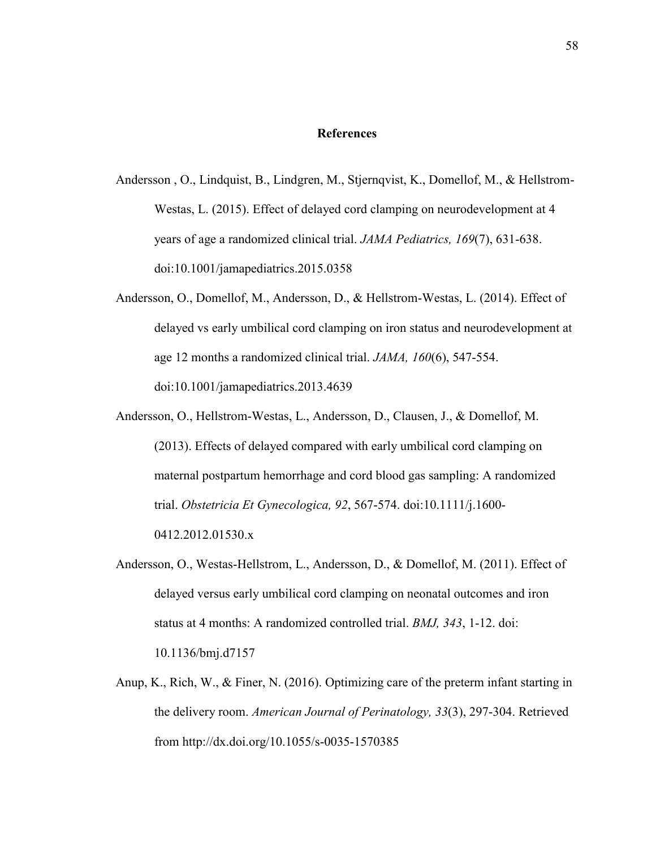#### **References**

- Andersson , O., Lindquist, B., Lindgren, M., Stjernqvist, K., Domellof, M., & Hellstrom-Westas, L. (2015). Effect of delayed cord clamping on neurodevelopment at 4 years of age a randomized clinical trial. *JAMA Pediatrics, 169*(7), 631-638. doi:10.1001/jamapediatrics.2015.0358
- Andersson, O., Domellof, M., Andersson, D., & Hellstrom-Westas, L. (2014). Effect of delayed vs early umbilical cord clamping on iron status and neurodevelopment at age 12 months a randomized clinical trial. *JAMA, 160*(6), 547-554. doi:10.1001/jamapediatrics.2013.4639
- Andersson, O., Hellstrom-Westas, L., Andersson, D., Clausen, J., & Domellof, M. (2013). Effects of delayed compared with early umbilical cord clamping on maternal postpartum hemorrhage and cord blood gas sampling: A randomized trial. *Obstetricia Et Gynecologica, 92*, 567-574. doi:10.1111/j.1600- 0412.2012.01530.x
- Andersson, O., Westas-Hellstrom, L., Andersson, D., & Domellof, M. (2011). Effect of delayed versus early umbilical cord clamping on neonatal outcomes and iron status at 4 months: A randomized controlled trial. *BMJ, 343*, 1-12. doi: 10.1136/bmj.d7157
- Anup, K., Rich, W., & Finer, N. (2016). Optimizing care of the preterm infant starting in the delivery room. *American Journal of Perinatology, 33*(3), 297-304. Retrieved from http://dx.doi.org/10.1055/s-0035-1570385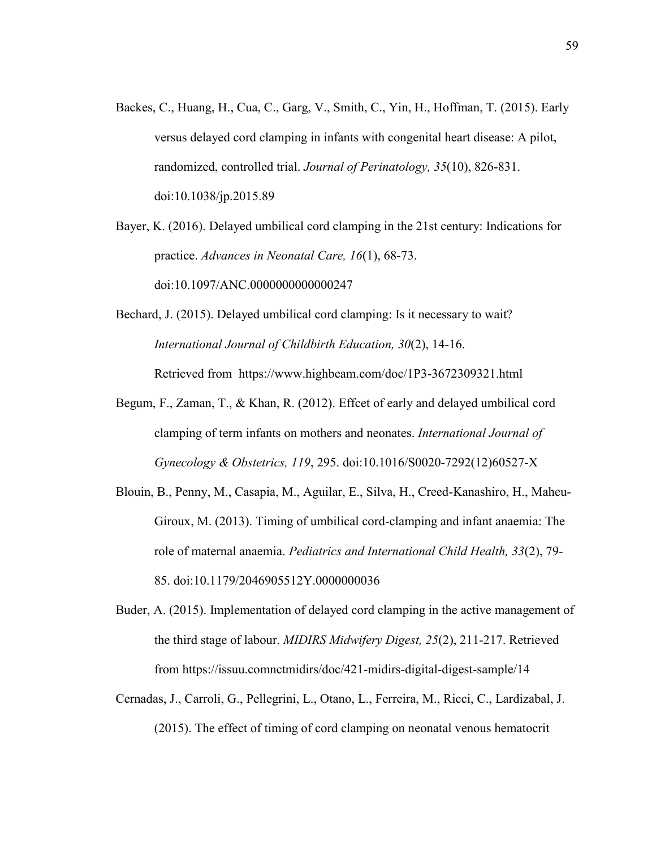Backes, C., Huang, H., Cua, C., Garg, V., Smith, C., Yin, H., Hoffman, T. (2015). Early versus delayed cord clamping in infants with congenital heart disease: A pilot, randomized, controlled trial. *Journal of Perinatology, 35*(10), 826-831. doi:10.1038/jp.2015.89

Bayer, K. (2016). Delayed umbilical cord clamping in the 21st century: Indications for practice. *Advances in Neonatal Care, 16*(1), 68-73. doi:10.1097/ANC.0000000000000247

- Bechard, J. (2015). Delayed umbilical cord clamping: Is it necessary to wait? *International Journal of Childbirth Education, 30*(2), 14-16. Retrieved from https://www.highbeam.com/doc/1P3-3672309321.html
- Begum, F., Zaman, T., & Khan, R. (2012). Effcet of early and delayed umbilical cord clamping of term infants on mothers and neonates. *International Journal of Gynecology & Obstetrics, 119*, 295. doi:10.1016/S0020-7292(12)60527-X
- Blouin, B., Penny, M., Casapia, M., Aguilar, E., Silva, H., Creed-Kanashiro, H., Maheu-Giroux, M. (2013). Timing of umbilical cord-clamping and infant anaemia: The role of maternal anaemia. *Pediatrics and International Child Health, 33*(2), 79- 85. doi:10.1179/2046905512Y.0000000036
- Buder, A. (2015). Implementation of delayed cord clamping in the active management of the third stage of labour. *MIDIRS Midwifery Digest, 25*(2), 211-217. Retrieved from https://issuu.comnctmidirs/doc/421-midirs-digital-digest-sample/14
- Cernadas, J., Carroli, G., Pellegrini, L., Otano, L., Ferreira, M., Ricci, C., Lardizabal, J. (2015). The effect of timing of cord clamping on neonatal venous hematocrit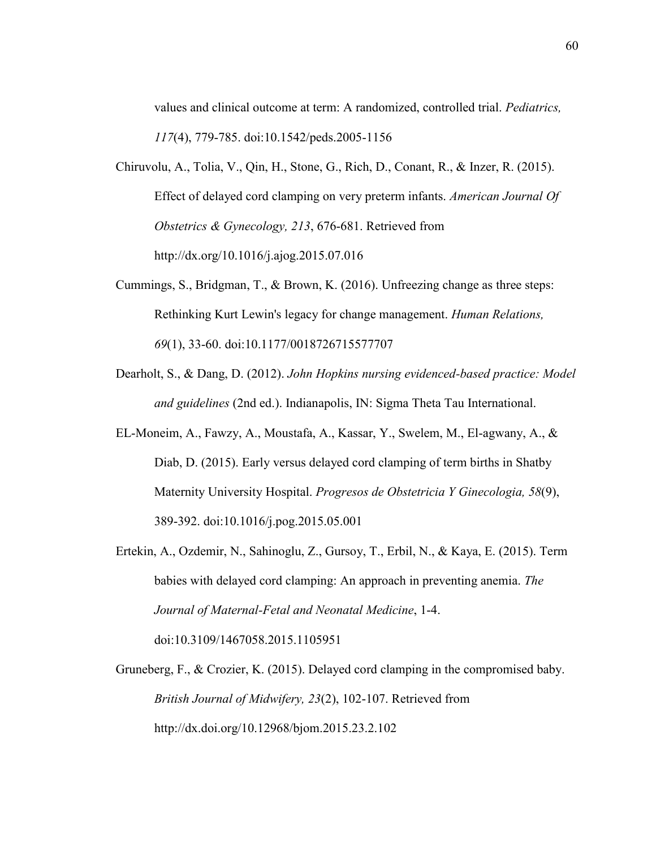values and clinical outcome at term: A randomized, controlled trial. *Pediatrics, 117*(4), 779-785. doi:10.1542/peds.2005-1156

- Chiruvolu, A., Tolia, V., Qin, H., Stone, G., Rich, D., Conant, R., & Inzer, R. (2015). Effect of delayed cord clamping on very preterm infants. *American Journal Of Obstetrics & Gynecology, 213*, 676-681. Retrieved from http://dx.org/10.1016/j.ajog.2015.07.016
- Cummings, S., Bridgman, T., & Brown, K. (2016). Unfreezing change as three steps: Rethinking Kurt Lewin's legacy for change management. *Human Relations, 69*(1), 33-60. doi:10.1177/0018726715577707
- Dearholt, S., & Dang, D. (2012). *John Hopkins nursing evidenced-based practice: Model and guidelines* (2nd ed.). Indianapolis, IN: Sigma Theta Tau International.
- EL-Moneim, A., Fawzy, A., Moustafa, A., Kassar, Y., Swelem, M., El-agwany, A., & Diab, D. (2015). Early versus delayed cord clamping of term births in Shatby Maternity University Hospital. *Progresos de Obstetricia Y Ginecologia, 58*(9), 389-392. doi:10.1016/j.pog.2015.05.001
- Ertekin, A., Ozdemir, N., Sahinoglu, Z., Gursoy, T., Erbil, N., & Kaya, E. (2015). Term babies with delayed cord clamping: An approach in preventing anemia. *The Journal of Maternal-Fetal and Neonatal Medicine*, 1-4. doi:10.3109/1467058.2015.1105951

Gruneberg, F., & Crozier, K. (2015). Delayed cord clamping in the compromised baby. *British Journal of Midwifery, 23*(2), 102-107. Retrieved from http://dx.doi.org/10.12968/bjom.2015.23.2.102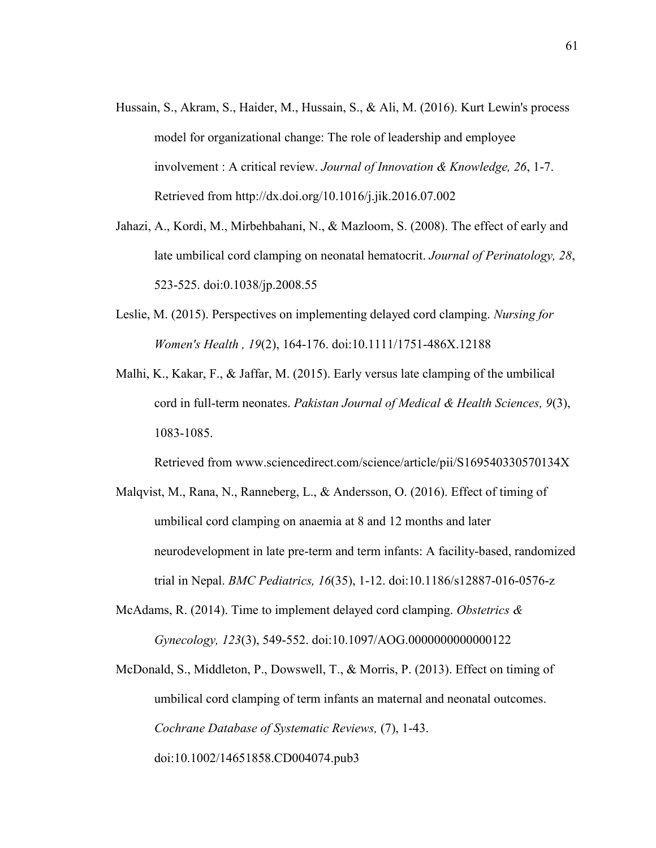- Hussain, S., Akram, S., Haider, M., Hussain, S., & Ali, M. (2016). Kurt Lewin's process model for organizational change: The role of leadership and employee involvement : A critical review. *Journal of Innovation & Knowledge, 26*, 1-7. Retrieved from http://dx.doi.org/10.1016/j.jik.2016.07.002
- Jahazi, A., Kordi, M., Mirbehbahani, N., & Mazloom, S. (2008). The effect of early and late umbilical cord clamping on neonatal hematocrit. *Journal of Perinatology, 28*, 523-525. doi:0.1038/jp.2008.55
- Leslie, M. (2015). Perspectives on implementing delayed cord clamping. *Nursing for Women's Health , 19*(2), 164-176. doi:10.1111/1751-486X.12188
- Malhi, K., Kakar, F., & Jaffar, M. (2015). Early versus late clamping of the umbilical cord in full-term neonates. *Pakistan Journal of Medical & Health Sciences, 9*(3), 1083-1085.

Retrieved from www.sciencedirect.com/science/article/pii/S169540330570134X

- Malqvist, M., Rana, N., Ranneberg, L., & Andersson, O. (2016). Effect of timing of umbilical cord clamping on anaemia at 8 and 12 months and later neurodevelopment in late pre-term and term infants: A facility-based, randomized trial in Nepal. *BMC Pediatrics, 16*(35), 1-12. doi:10.1186/s12887-016-0576-z
- McAdams, R. (2014). Time to implement delayed cord clamping. *Obstetrics & Gynecology, 123*(3), 549-552. doi:10.1097/AOG.0000000000000122
- McDonald, S., Middleton, P., Dowswell, T., & Morris, P. (2013). Effect on timing of umbilical cord clamping of term infants an maternal and neonatal outcomes. *Cochrane Database of Systematic Reviews,* (7), 1-43. doi:10.1002/14651858.CD004074.pub3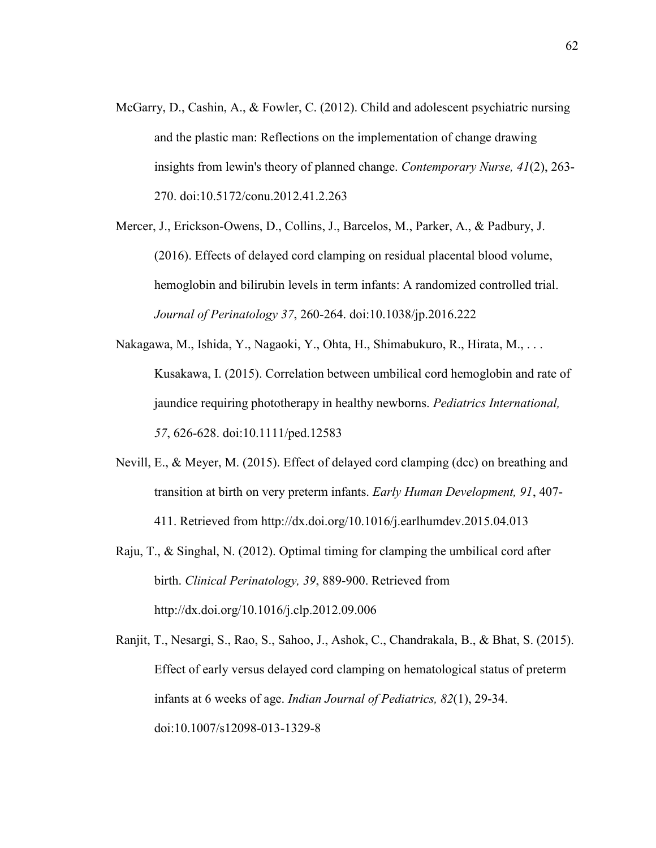- McGarry, D., Cashin, A., & Fowler, C. (2012). Child and adolescent psychiatric nursing and the plastic man: Reflections on the implementation of change drawing insights from lewin's theory of planned change. *Contemporary Nurse, 41*(2), 263- 270. doi:10.5172/conu.2012.41.2.263
- Mercer, J., Erickson-Owens, D., Collins, J., Barcelos, M., Parker, A., & Padbury, J. (2016). Effects of delayed cord clamping on residual placental blood volume, hemoglobin and bilirubin levels in term infants: A randomized controlled trial. *Journal of Perinatology 37*, 260-264. doi:10.1038/jp.2016.222
- Nakagawa, M., Ishida, Y., Nagaoki, Y., Ohta, H., Shimabukuro, R., Hirata, M., . . . Kusakawa, I. (2015). Correlation between umbilical cord hemoglobin and rate of jaundice requiring phototherapy in healthy newborns. *Pediatrics International, 57*, 626-628. doi:10.1111/ped.12583
- Nevill, E., & Meyer, M. (2015). Effect of delayed cord clamping (dcc) on breathing and transition at birth on very preterm infants. *Early Human Development, 91*, 407- 411. Retrieved from http://dx.doi.org/10.1016/j.earlhumdev.2015.04.013
- Raju,  $T_{\alpha}$ , & Singhal, N. (2012). Optimal timing for clamping the umbilical cord after birth. *Clinical Perinatology, 39*, 889-900. Retrieved from http://dx.doi.org/10.1016/j.clp.2012.09.006
- Ranjit, T., Nesargi, S., Rao, S., Sahoo, J., Ashok, C., Chandrakala, B., & Bhat, S. (2015). Effect of early versus delayed cord clamping on hematological status of preterm infants at 6 weeks of age. *Indian Journal of Pediatrics, 82*(1), 29-34. doi:10.1007/s12098-013-1329-8